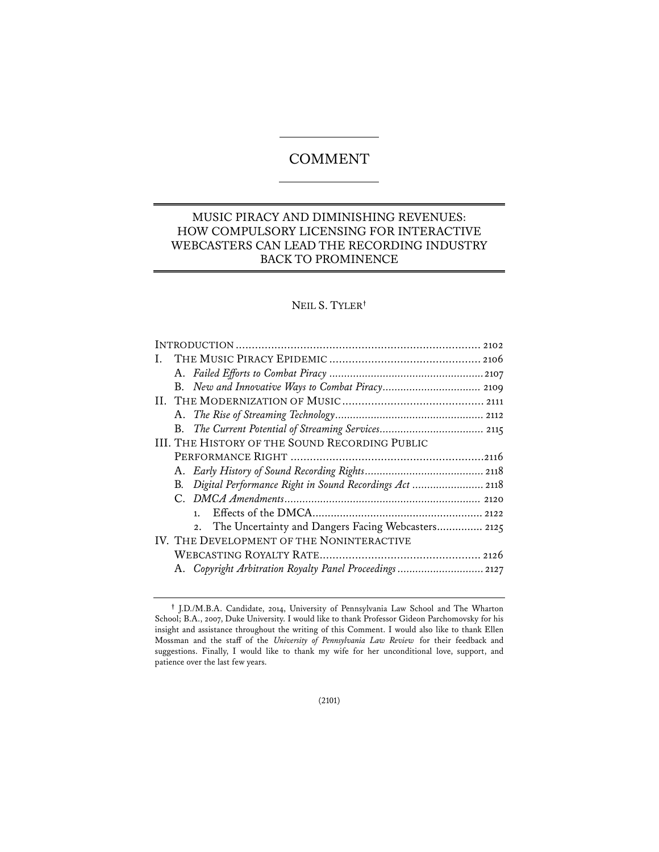# **COMMENT**

# MUSIC PIRACY AND DIMINISHING REVENUES: HOW COMPULSORY LICENSING FOR INTERACTIVE WEBCASTERS CAN LEAD THE RECORDING INDUSTRY BACK TO PROMINENCE

# NEIL S. TYLER**†**

**<sup>†</sup>** J.D./M.B.A. Candidate, 2014, University of Pennsylvania Law School and The Wharton School; B.A., 2007, Duke University. I would like to thank Professor Gideon Parchomovsky for his insight and assistance throughout the writing of this Comment. I would also like to thank Ellen Mossman and the staff of the *University of Pennsylvania Law Review* for their feedback and suggestions. Finally, I would like to thank my wife for her unconditional love, support, and patience over the last few years.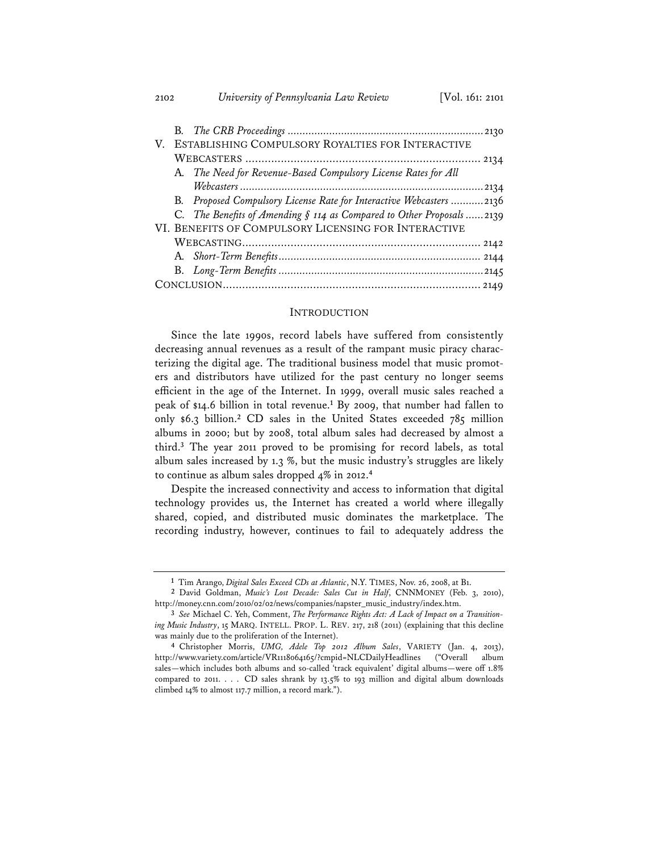|  |                                                      | V. ESTABLISHING COMPULSORY ROYALTIES FOR INTERACTIVE                  |  |
|--|------------------------------------------------------|-----------------------------------------------------------------------|--|
|  |                                                      |                                                                       |  |
|  |                                                      | A. The Need for Revenue-Based Compulsory License Rates for All        |  |
|  |                                                      |                                                                       |  |
|  |                                                      | B. Proposed Compulsory License Rate for Interactive Webcasters 2136   |  |
|  |                                                      | C. The Benefits of Amending § 114 as Compared to Other Proposals 2139 |  |
|  | VI. BENEFITS OF COMPULSORY LICENSING FOR INTERACTIVE |                                                                       |  |
|  |                                                      |                                                                       |  |
|  |                                                      |                                                                       |  |
|  |                                                      |                                                                       |  |
|  |                                                      |                                                                       |  |

#### INTRODUCTION

Since the late 1990s, record labels have suffered from consistently decreasing annual revenues as a result of the rampant music piracy characterizing the digital age. The traditional business model that music promoters and distributors have utilized for the past century no longer seems efficient in the age of the Internet. In 1999, overall music sales reached a peak of \$14.6 billion in total revenue.**<sup>1</sup>** By 2009, that number had fallen to only \$6.3 billion.**<sup>2</sup>** CD sales in the United States exceeded 785 million albums in 2000; but by 2008, total album sales had decreased by almost a third.**<sup>3</sup>** The year 2011 proved to be promising for record labels, as total album sales increased by 1.3 %, but the music industry's struggles are likely to continue as album sales dropped 4% in 2012.**<sup>4</sup>**

Despite the increased connectivity and access to information that digital technology provides us, the Internet has created a world where illegally shared, copied, and distributed music dominates the marketplace. The recording industry, however, continues to fail to adequately address the

**<sup>1</sup>** Tim Arango, *Digital Sales Exceed CDs at Atlantic*, N.Y. TIMES, Nov. 26, 2008, at B1.

**<sup>2</sup>** David Goldman, *Music's Lost Decade: Sales Cut in Half*, CNNMONEY (Feb. 3, 2010), http://money.cnn.com/2010/02/02/news/companies/napster\_music\_industry/index.htm.

**<sup>3</sup>** *See* Michael C. Yeh, Comment, *The Performance Rights Act: A Lack of Impact on a Transitioning Music Industry*, 15 MARQ. INTELL. PROP. L. REV. 217, 218 (2011) (explaining that this decline was mainly due to the proliferation of the Internet).

**<sup>4</sup>** Christopher Morris, *UMG, Adele Top 2012 Album Sales*, VARIETY (Jan. 4, 2013), http://www.variety.com/article/VR1118064165/?cmpid=NLCDailyHeadlines ("Overall album sales—which includes both albums and so-called 'track equivalent' digital albums—were off 1.8% compared to 2011. . . . CD sales shrank by 13.5% to 193 million and digital album downloads climbed 14% to almost 117.7 million, a record mark.").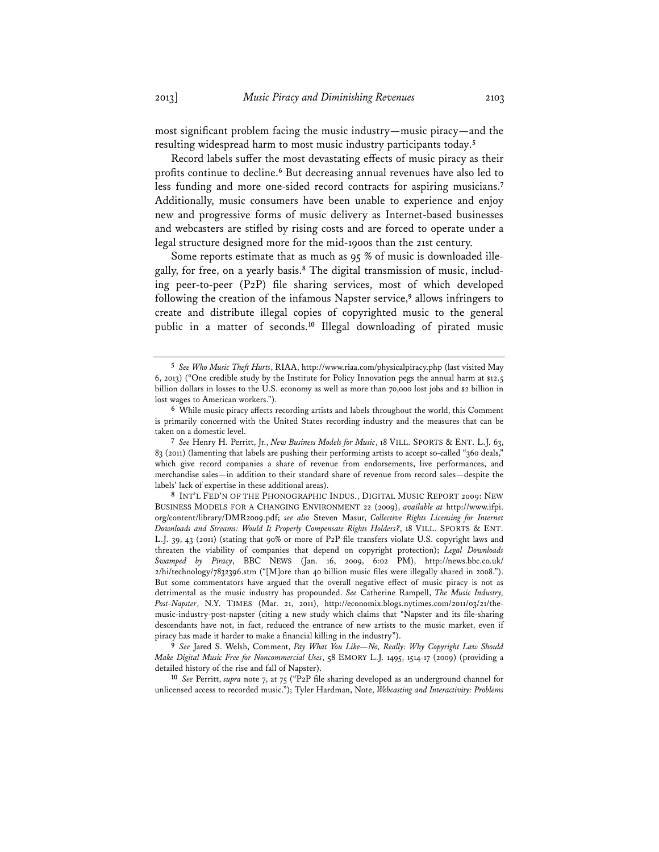most significant problem facing the music industry—music piracy—and the resulting widespread harm to most music industry participants today.**<sup>5</sup>**

Record labels suffer the most devastating effects of music piracy as their profits continue to decline.**<sup>6</sup>** But decreasing annual revenues have also led to less funding and more one-sided record contracts for aspiring musicians.**<sup>7</sup>** Additionally, music consumers have been unable to experience and enjoy new and progressive forms of music delivery as Internet-based businesses and webcasters are stifled by rising costs and are forced to operate under a legal structure designed more for the mid-1900s than the 21st century.

Some reports estimate that as much as 95 % of music is downloaded illegally, for free, on a yearly basis.**8** The digital transmission of music, including peer-to-peer (P2P) file sharing services, most of which developed following the creation of the infamous Napster service,**<sup>9</sup>** allows infringers to create and distribute illegal copies of copyrighted music to the general public in a matter of seconds.**<sup>10</sup>** Illegal downloading of pirated music

**<sup>5</sup>** *See Who Music Theft Hurts*, RIAA, http://www.riaa.com/physicalpiracy.php (last visited May 6, 2013) ("One credible study by the Institute for Policy Innovation pegs the annual harm at \$12.5 billion dollars in losses to the U.S. economy as well as more than 70,000 lost jobs and \$2 billion in lost wages to American workers.").

**<sup>6</sup>** While music piracy affects recording artists and labels throughout the world, this Comment is primarily concerned with the United States recording industry and the measures that can be taken on a domestic level.

**<sup>7</sup>** *See* Henry H. Perritt, Jr., *New Business Models for Music*, 18 VILL. SPORTS & ENT. L.J. 63, 83 (2011) (lamenting that labels are pushing their performing artists to accept so-called "360 deals," which give record companies a share of revenue from endorsements, live performances, and merchandise sales—in addition to their standard share of revenue from record sales—despite the labels' lack of expertise in these additional areas).

**<sup>8</sup>** INT'L FED'N OF THE PHONOGRAPHIC INDUS., DIGITAL MUSIC REPORT 2009: NEW BUSINESS MODELS FOR A CHANGING ENVIRONMENT 22 (2009), *available at* http://www.ifpi. org/content/library/DMR2009.pdf; *see also* Steven Masur, *Collective Rights Licensing for Internet Downloads and Streams: Would It Properly Compensate Rights Holders?*, 18 VILL. SPORTS & ENT. L.J. 39, 43 (2011) (stating that 90% or more of P2P file transfers violate U.S. copyright laws and threaten the viability of companies that depend on copyright protection); *Legal Downloads Swamped by Piracy*, BBC NEWS (Jan. 16, 2009, 6:02 PM), http://news.bbc.co.uk/ 2/hi/technology/7832396.stm ("[M]ore than 40 billion music files were illegally shared in 2008."). But some commentators have argued that the overall negative effect of music piracy is not as detrimental as the music industry has propounded. *See* Catherine Rampell, *The Music Industry, Post-Napster*, N.Y. TIMES (Mar. 21, 2011), http://economix.blogs.nytimes.com/2011/03/21/themusic-industry-post-napster (citing a new study which claims that "Napster and its file-sharing descendants have not, in fact, reduced the entrance of new artists to the music market, even if piracy has made it harder to make a financial killing in the industry").

**<sup>9</sup>** *See* Jared S. Welsh, Comment, *Pay What You Like—No, Really: Why Copyright Law Should Make Digital Music Free for Noncommercial Uses*, 58 EMORY L.J. 1495, 1514-17 (2009) (providing a detailed history of the rise and fall of Napster).

**<sup>10</sup>** *See* Perritt, *supra* note 7, at 75 ("P2P file sharing developed as an underground channel for unlicensed access to recorded music."); Tyler Hardman, Note, *Webcasting and Interactivity: Problems*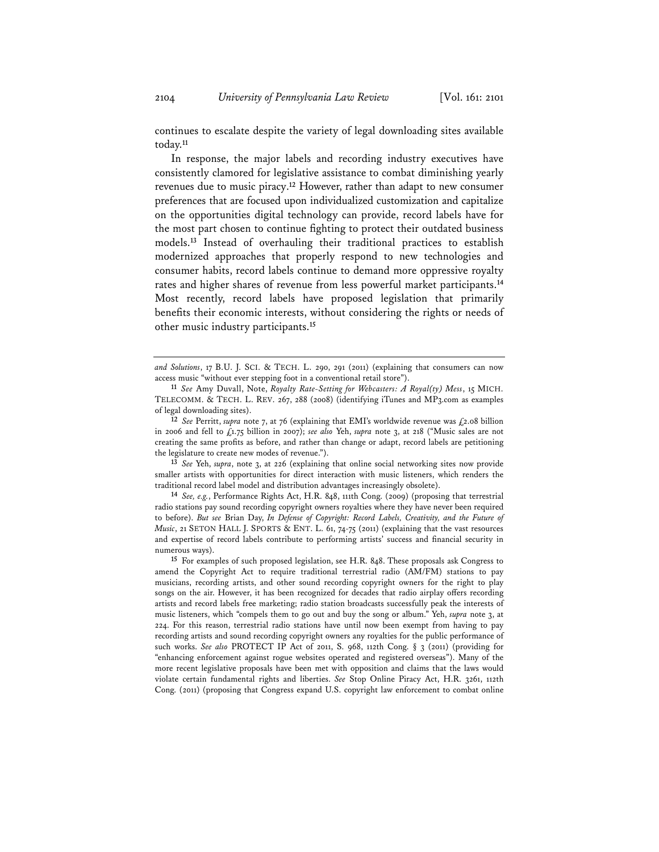continues to escalate despite the variety of legal downloading sites available today.**<sup>11</sup>**

In response, the major labels and recording industry executives have consistently clamored for legislative assistance to combat diminishing yearly revenues due to music piracy.**<sup>12</sup>** However, rather than adapt to new consumer preferences that are focused upon individualized customization and capitalize on the opportunities digital technology can provide, record labels have for the most part chosen to continue fighting to protect their outdated business models.**<sup>13</sup>** Instead of overhauling their traditional practices to establish modernized approaches that properly respond to new technologies and consumer habits, record labels continue to demand more oppressive royalty rates and higher shares of revenue from less powerful market participants.**<sup>14</sup>** Most recently, record labels have proposed legislation that primarily benefits their economic interests, without considering the rights or needs of other music industry participants.**<sup>15</sup>**

**12** *See* Perritt, *supra* note 7, at 76 (explaining that EMI's worldwide revenue was £2.08 billion in 2006 and fell to £1.75 billion in 2007); *see also* Yeh, *supra* note 3, at 218 ("Music sales are not creating the same profits as before, and rather than change or adapt, record labels are petitioning the legislature to create new modes of revenue.").

**13** *See* Yeh, *supra*, note 3, at 226 (explaining that online social networking sites now provide smaller artists with opportunities for direct interaction with music listeners, which renders the traditional record label model and distribution advantages increasingly obsolete).

**14** *See, e.g.*, Performance Rights Act, H.R. 848, 111th Cong. (2009) (proposing that terrestrial radio stations pay sound recording copyright owners royalties where they have never been required to before). *But see* Brian Day, *In Defense of Copyright: Record Labels, Creativity, and the Future of Music*, 21 SETON HALL J. SPORTS & ENT. L. 61, 74-75 (2011) (explaining that the vast resources and expertise of record labels contribute to performing artists' success and financial security in numerous ways).

**15** For examples of such proposed legislation, see H.R. 848. These proposals ask Congress to amend the Copyright Act to require traditional terrestrial radio (AM/FM) stations to pay musicians, recording artists, and other sound recording copyright owners for the right to play songs on the air. However, it has been recognized for decades that radio airplay offers recording artists and record labels free marketing; radio station broadcasts successfully peak the interests of music listeners, which "compels them to go out and buy the song or album." Yeh, *supra* note 3, at 224. For this reason, terrestrial radio stations have until now been exempt from having to pay recording artists and sound recording copyright owners any royalties for the public performance of such works. *See also* PROTECT IP Act of 2011, S. 968, 112th Cong. § 3 (2011) (providing for "enhancing enforcement against rogue websites operated and registered overseas"). Many of the more recent legislative proposals have been met with opposition and claims that the laws would violate certain fundamental rights and liberties. *See* Stop Online Piracy Act, H.R. 3261, 112th Cong. (2011) (proposing that Congress expand U.S. copyright law enforcement to combat online

*and Solutions*, 17 B.U. J. SCI. & TECH. L. 290, 291 (2011) (explaining that consumers can now access music "without ever stepping foot in a conventional retail store").

**<sup>11</sup>** *See* Amy Duvall, Note, *Royalty Rate-Setting for Webcasters: A Royal(ty) Mess*, 15 MICH. TELECOMM. & TECH. L. REV. 267, 288 (2008) (identifying iTunes and MP3.com as examples of legal downloading sites).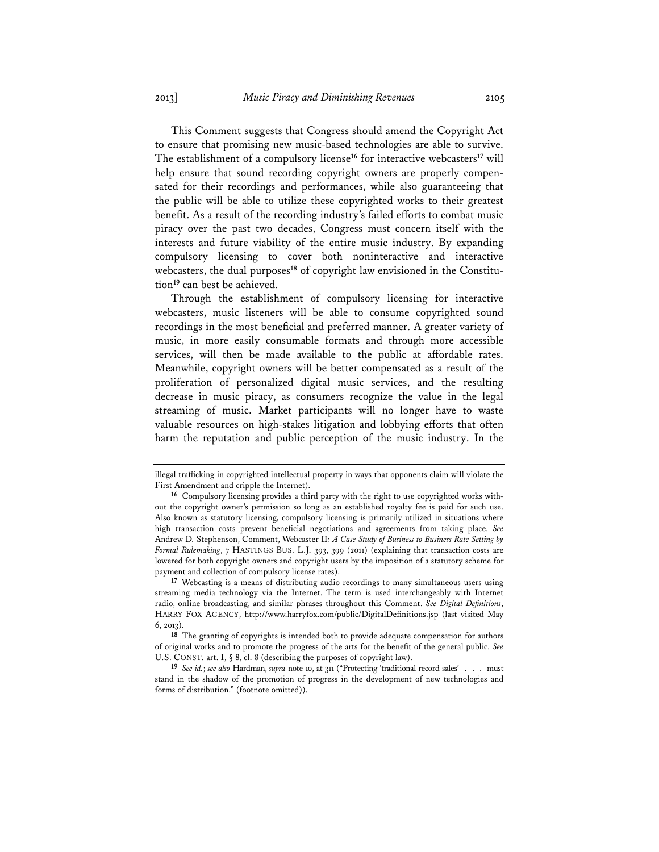This Comment suggests that Congress should amend the Copyright Act to ensure that promising new music-based technologies are able to survive. The establishment of a compulsory license**<sup>16</sup>** for interactive webcasters**<sup>17</sup>** will help ensure that sound recording copyright owners are properly compensated for their recordings and performances, while also guaranteeing that the public will be able to utilize these copyrighted works to their greatest benefit. As a result of the recording industry's failed efforts to combat music piracy over the past two decades, Congress must concern itself with the interests and future viability of the entire music industry. By expanding compulsory licensing to cover both noninteractive and interactive webcasters, the dual purposes**18** of copyright law envisioned in the Constitution**<sup>19</sup>** can best be achieved.

Through the establishment of compulsory licensing for interactive webcasters, music listeners will be able to consume copyrighted sound recordings in the most beneficial and preferred manner. A greater variety of music, in more easily consumable formats and through more accessible services, will then be made available to the public at affordable rates. Meanwhile, copyright owners will be better compensated as a result of the proliferation of personalized digital music services, and the resulting decrease in music piracy, as consumers recognize the value in the legal streaming of music. Market participants will no longer have to waste valuable resources on high-stakes litigation and lobbying efforts that often harm the reputation and public perception of the music industry. In the

illegal trafficking in copyrighted intellectual property in ways that opponents claim will violate the First Amendment and cripple the Internet).

**<sup>16</sup>** Compulsory licensing provides a third party with the right to use copyrighted works without the copyright owner's permission so long as an established royalty fee is paid for such use. Also known as statutory licensing, compulsory licensing is primarily utilized in situations where high transaction costs prevent beneficial negotiations and agreements from taking place. *See*  Andrew D. Stephenson, Comment, Webcaster II*: A Case Study of Business to Business Rate Setting by Formal Rulemaking*, 7 HASTINGS BUS. L.J. 393, 399 (2011) (explaining that transaction costs are lowered for both copyright owners and copyright users by the imposition of a statutory scheme for payment and collection of compulsory license rates).

**<sup>17</sup>** Webcasting is a means of distributing audio recordings to many simultaneous users using streaming media technology via the Internet. The term is used interchangeably with Internet radio, online broadcasting, and similar phrases throughout this Comment. *See Digital Definitions*, HARRY FOX AGENCY, http://www.harryfox.com/public/DigitalDefinitions.jsp (last visited May 6, 2013).

**<sup>18</sup>** The granting of copyrights is intended both to provide adequate compensation for authors of original works and to promote the progress of the arts for the benefit of the general public. *See* U.S. CONST. art. I, § 8, cl. 8 (describing the purposes of copyright law).

**<sup>19</sup>** *See id.*; *see also* Hardman, *supra* note 10, at 311 ("Protecting 'traditional record sales' . . . must stand in the shadow of the promotion of progress in the development of new technologies and forms of distribution." (footnote omitted)).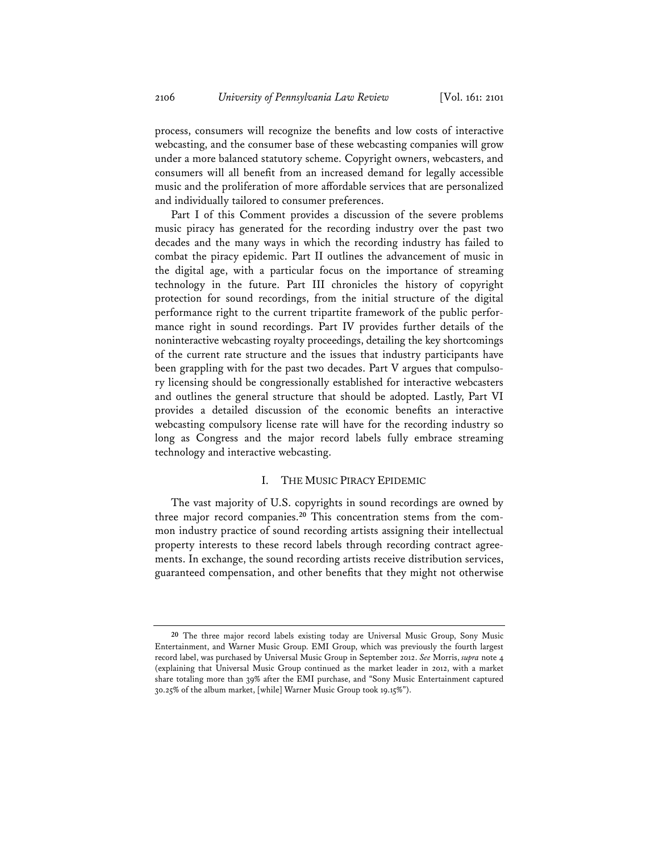process, consumers will recognize the benefits and low costs of interactive webcasting, and the consumer base of these webcasting companies will grow under a more balanced statutory scheme. Copyright owners, webcasters, and consumers will all benefit from an increased demand for legally accessible music and the proliferation of more affordable services that are personalized and individually tailored to consumer preferences.

Part I of this Comment provides a discussion of the severe problems music piracy has generated for the recording industry over the past two decades and the many ways in which the recording industry has failed to combat the piracy epidemic. Part II outlines the advancement of music in the digital age, with a particular focus on the importance of streaming technology in the future. Part III chronicles the history of copyright protection for sound recordings, from the initial structure of the digital performance right to the current tripartite framework of the public performance right in sound recordings. Part IV provides further details of the noninteractive webcasting royalty proceedings, detailing the key shortcomings of the current rate structure and the issues that industry participants have been grappling with for the past two decades. Part V argues that compulsory licensing should be congressionally established for interactive webcasters and outlines the general structure that should be adopted. Lastly, Part VI provides a detailed discussion of the economic benefits an interactive webcasting compulsory license rate will have for the recording industry so long as Congress and the major record labels fully embrace streaming technology and interactive webcasting.

# I. THE MUSIC PIRACY EPIDEMIC

The vast majority of U.S. copyrights in sound recordings are owned by three major record companies.**20** This concentration stems from the common industry practice of sound recording artists assigning their intellectual property interests to these record labels through recording contract agreements. In exchange, the sound recording artists receive distribution services, guaranteed compensation, and other benefits that they might not otherwise

**<sup>20</sup>** The three major record labels existing today are Universal Music Group, Sony Music Entertainment, and Warner Music Group. EMI Group, which was previously the fourth largest record label, was purchased by Universal Music Group in September 2012. *See* Morris, *supra* note 4 (explaining that Universal Music Group continued as the market leader in 2012, with a market share totaling more than 39% after the EMI purchase, and "Sony Music Entertainment captured 30.25% of the album market, [while] Warner Music Group took 19.15%").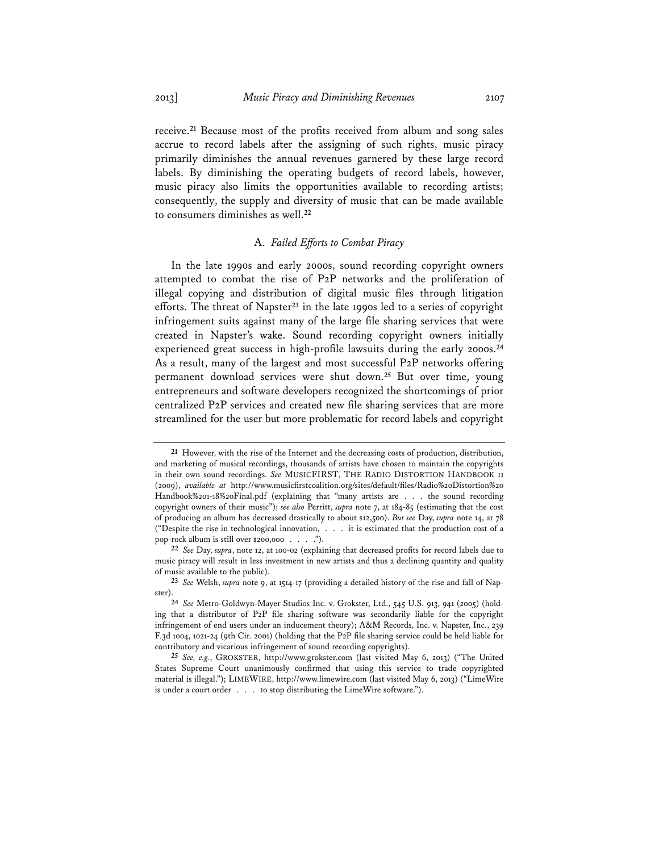receive.**<sup>21</sup>** Because most of the profits received from album and song sales accrue to record labels after the assigning of such rights, music piracy primarily diminishes the annual revenues garnered by these large record labels. By diminishing the operating budgets of record labels, however, music piracy also limits the opportunities available to recording artists; consequently, the supply and diversity of music that can be made available to consumers diminishes as well.**<sup>22</sup>**

# A. *Failed Efforts to Combat Piracy*

In the late 1990s and early 2000s, sound recording copyright owners attempted to combat the rise of P2P networks and the proliferation of illegal copying and distribution of digital music files through litigation efforts. The threat of Napster**<sup>23</sup>** in the late 1990s led to a series of copyright infringement suits against many of the large file sharing services that were created in Napster's wake. Sound recording copyright owners initially experienced great success in high-profile lawsuits during the early 2000s.**<sup>24</sup>** As a result, many of the largest and most successful P2P networks offering permanent download services were shut down.**<sup>25</sup>** But over time, young entrepreneurs and software developers recognized the shortcomings of prior centralized P2P services and created new file sharing services that are more streamlined for the user but more problematic for record labels and copyright

**<sup>21</sup>** However, with the rise of the Internet and the decreasing costs of production, distribution, and marketing of musical recordings, thousands of artists have chosen to maintain the copyrights in their own sound recordings. *See* MUSICFIRST, THE RADIO DISTORTION HANDBOOK 11 (2009), *available at* http://www.musicfirstcoalition.org/sites/default/files/Radio%20Distortion%20 Handbook%201-18%20Final.pdf (explaining that "many artists are . . . the sound recording copyright owners of their music"); *see also* Perritt, *supra* note 7, at 184-85 (estimating that the cost of producing an album has decreased drastically to about \$12,500). *But see* Day, *supra* note 14, at 78 ("Despite the rise in technological innovation, . . . it is estimated that the production cost of a pop-rock album is still over \$200,000 . . . .").

**<sup>22</sup>** *See* Day, *supra*, note 12, at 100-02 (explaining that decreased profits for record labels due to music piracy will result in less investment in new artists and thus a declining quantity and quality of music available to the public).

**<sup>23</sup>** *See* Welsh, *supra* note 9, at 1514-17 (providing a detailed history of the rise and fall of Napster).

**<sup>24</sup>** *See* Metro-Goldwyn-Mayer Studios Inc. v. Grokster, Ltd., 545 U.S. 913, 941 (2005) (holding that a distributor of P2P file sharing software was secondarily liable for the copyright infringement of end users under an inducement theory); A&M Records, Inc. v. Napster, Inc., 239 F.3d 1004, 1021-24 (9th Cir. 2001) (holding that the P2P file sharing service could be held liable for contributory and vicarious infringement of sound recording copyrights).

**<sup>25</sup>** *See, e.g.*, GROKSTER, http://www.grokster.com (last visited May 6, 2013) ("The United States Supreme Court unanimously confirmed that using this service to trade copyrighted material is illegal."); LIMEWIRE, http://www.limewire.com (last visited May 6, 2013) ("LimeWire is under a court order . . . to stop distributing the LimeWire software.").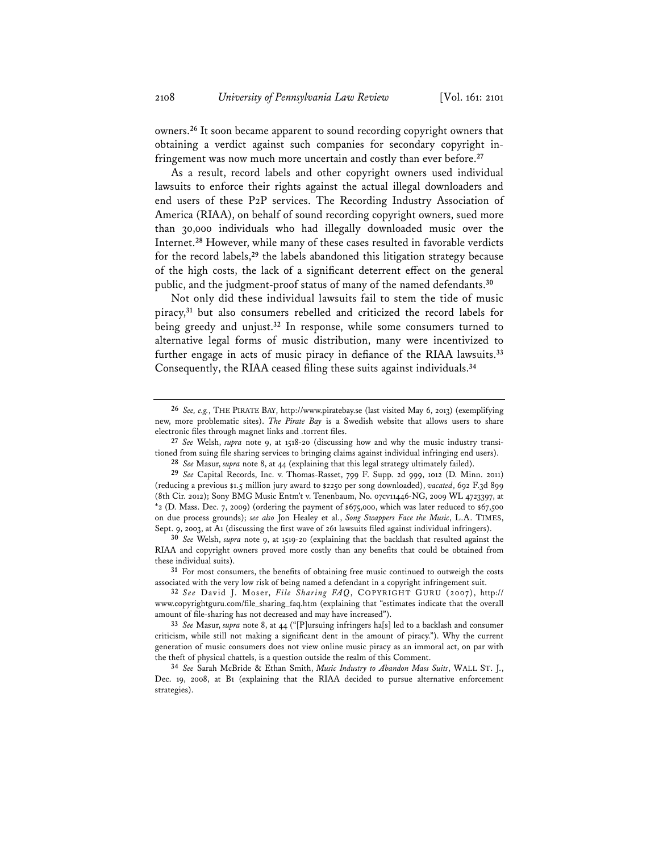owners.**<sup>26</sup>** It soon became apparent to sound recording copyright owners that obtaining a verdict against such companies for secondary copyright infringement was now much more uncertain and costly than ever before.**<sup>27</sup>**

As a result, record labels and other copyright owners used individual lawsuits to enforce their rights against the actual illegal downloaders and end users of these P2P services. The Recording Industry Association of America (RIAA), on behalf of sound recording copyright owners, sued more than 30,000 individuals who had illegally downloaded music over the Internet.**<sup>28</sup>** However, while many of these cases resulted in favorable verdicts for the record labels,**<sup>29</sup>** the labels abandoned this litigation strategy because of the high costs, the lack of a significant deterrent effect on the general public, and the judgment-proof status of many of the named defendants.**<sup>30</sup>**

Not only did these individual lawsuits fail to stem the tide of music piracy,**<sup>31</sup>** but also consumers rebelled and criticized the record labels for being greedy and unjust.**<sup>32</sup>** In response, while some consumers turned to alternative legal forms of music distribution, many were incentivized to further engage in acts of music piracy in defiance of the RIAA lawsuits.**<sup>33</sup>** Consequently, the RIAA ceased filing these suits against individuals.**<sup>34</sup>**

**<sup>26</sup>** *See, e.g.*, THE PIRATE BAY, http://www.piratebay.se (last visited May 6, 2013) (exemplifying new, more problematic sites). *The Pirate Bay* is a Swedish website that allows users to share electronic files through magnet links and .torrent files.

**<sup>27</sup>** *See* Welsh, *supra* note 9, at 1518-20 (discussing how and why the music industry transitioned from suing file sharing services to bringing claims against individual infringing end users).

**<sup>28</sup>** *See* Masur, *supra* note 8, at 44 (explaining that this legal strategy ultimately failed).

**<sup>29</sup>** *See* Capital Records, Inc. v. Thomas-Rasset, 799 F. Supp. 2d 999, 1012 (D. Minn. 2011) (reducing a previous \$1.5 million jury award to \$2250 per song downloaded), *vacated*, 692 F.3d 899 (8th Cir. 2012); Sony BMG Music Entm't v. Tenenbaum, No. 07cv11446-NG, 2009 WL 4723397, at \*2 (D. Mass. Dec. 7, 2009) (ordering the payment of \$675,000, which was later reduced to \$67,500 on due process grounds); *see also* Jon Healey et al., *Song Swappers Face the Music*, L.A. TIMES, Sept. 9, 2003, at A1 (discussing the first wave of 261 lawsuits filed against individual infringers).

**<sup>30</sup>** *See* Welsh, *supra* note 9, at 1519-20 (explaining that the backlash that resulted against the RIAA and copyright owners proved more costly than any benefits that could be obtained from these individual suits).

**<sup>31</sup>** For most consumers, the benefits of obtaining free music continued to outweigh the costs associated with the very low risk of being named a defendant in a copyright infringement suit.

**<sup>32</sup>** *See* David J. Moser, *File Sharing FAQ*, COPYRIGHT GURU (2007), http:// www.copyrightguru.com/file\_sharing\_faq.htm (explaining that "estimates indicate that the overall amount of file-sharing has not decreased and may have increased").

**<sup>33</sup>** *See* Masur, *supra* note 8, at 44 ("[P]ursuing infringers ha[s] led to a backlash and consumer criticism, while still not making a significant dent in the amount of piracy."). Why the current generation of music consumers does not view online music piracy as an immoral act, on par with the theft of physical chattels, is a question outside the realm of this Comment.

**<sup>34</sup>** *See* Sarah McBride & Ethan Smith, *Music Industry to Abandon Mass Suits*, WALL ST. J., Dec. 19, 2008, at B1 (explaining that the RIAA decided to pursue alternative enforcement strategies).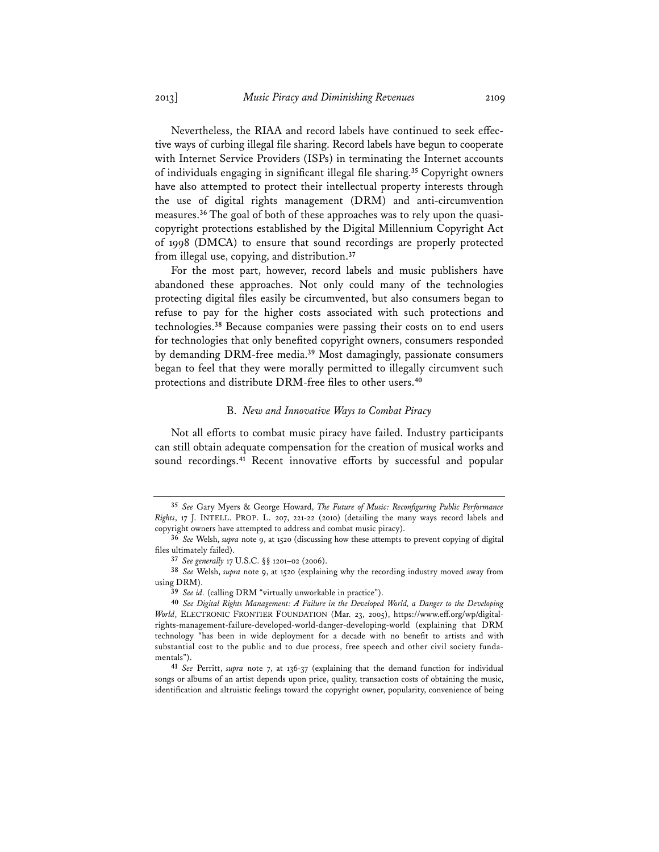Nevertheless, the RIAA and record labels have continued to seek effective ways of curbing illegal file sharing. Record labels have begun to cooperate with Internet Service Providers (ISPs) in terminating the Internet accounts of individuals engaging in significant illegal file sharing.**<sup>35</sup>** Copyright owners have also attempted to protect their intellectual property interests through the use of digital rights management (DRM) and anti-circumvention measures.**36** The goal of both of these approaches was to rely upon the quasicopyright protections established by the Digital Millennium Copyright Act of 1998 (DMCA) to ensure that sound recordings are properly protected from illegal use, copying, and distribution.**<sup>37</sup>**

For the most part, however, record labels and music publishers have abandoned these approaches. Not only could many of the technologies protecting digital files easily be circumvented, but also consumers began to refuse to pay for the higher costs associated with such protections and technologies.**<sup>38</sup>** Because companies were passing their costs on to end users for technologies that only benefited copyright owners, consumers responded by demanding DRM-free media.**<sup>39</sup>** Most damagingly, passionate consumers began to feel that they were morally permitted to illegally circumvent such protections and distribute DRM-free files to other users.**<sup>40</sup>**

#### B. *New and Innovative Ways to Combat Piracy*

Not all efforts to combat music piracy have failed. Industry participants can still obtain adequate compensation for the creation of musical works and sound recordings.**<sup>41</sup>** Recent innovative efforts by successful and popular

**<sup>35</sup>** *See* Gary Myers & George Howard, *The Future of Music: Reconfiguring Public Performance Rights*, 17 J. INTELL. PROP. L. 207, 221-22 (2010) (detailing the many ways record labels and copyright owners have attempted to address and combat music piracy).

**<sup>36</sup>** *See* Welsh, *supra* note 9, at 1520 (discussing how these attempts to prevent copying of digital files ultimately failed).

**<sup>37</sup>** *See generally* 17 U.S.C. §§ 1201–02 (2006).

**<sup>38</sup>** *See* Welsh, *supra* note 9, at 1520 (explaining why the recording industry moved away from using DRM).

**<sup>39</sup>** *See id.* (calling DRM "virtually unworkable in practice").

**<sup>40</sup>** *See Digital Rights Management: A Failure in the Developed World, a Danger to the Developing World*, ELECTRONIC FRONTIER FOUNDATION (Mar. 23, 2005), https://www.eff.org/wp/digitalrights-management-failure-developed-world-danger-developing-world (explaining that DRM technology "has been in wide deployment for a decade with no benefit to artists and with substantial cost to the public and to due process, free speech and other civil society fundamentals").

**<sup>41</sup>** *See* Perritt, *supra* note 7, at 136-37 (explaining that the demand function for individual songs or albums of an artist depends upon price, quality, transaction costs of obtaining the music, identification and altruistic feelings toward the copyright owner, popularity, convenience of being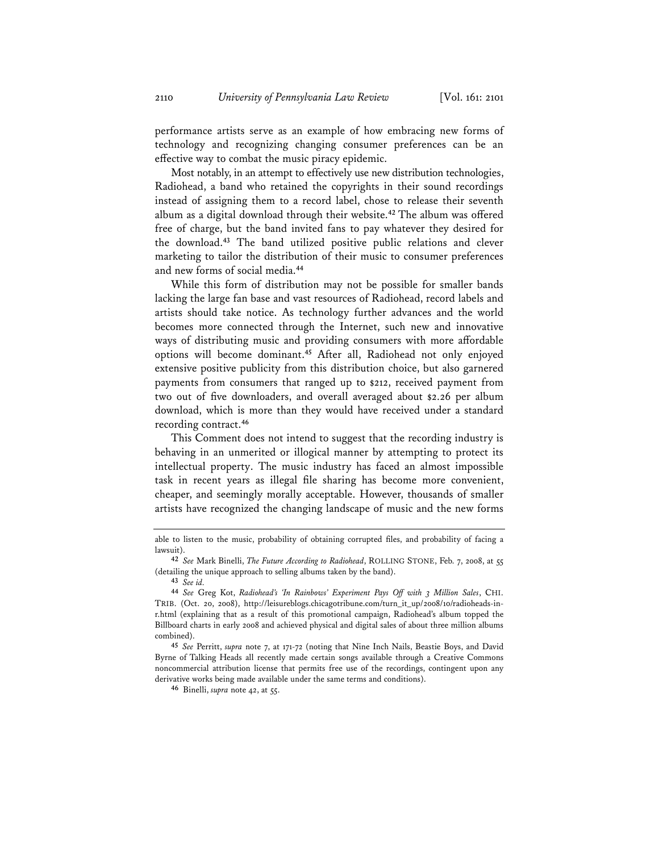performance artists serve as an example of how embracing new forms of technology and recognizing changing consumer preferences can be an effective way to combat the music piracy epidemic.

Most notably, in an attempt to effectively use new distribution technologies, Radiohead, a band who retained the copyrights in their sound recordings instead of assigning them to a record label, chose to release their seventh album as a digital download through their website.**<sup>42</sup>** The album was offered free of charge, but the band invited fans to pay whatever they desired for the download.**<sup>43</sup>** The band utilized positive public relations and clever marketing to tailor the distribution of their music to consumer preferences and new forms of social media.**<sup>44</sup>**

While this form of distribution may not be possible for smaller bands lacking the large fan base and vast resources of Radiohead, record labels and artists should take notice. As technology further advances and the world becomes more connected through the Internet, such new and innovative ways of distributing music and providing consumers with more affordable options will become dominant.**<sup>45</sup>** After all, Radiohead not only enjoyed extensive positive publicity from this distribution choice, but also garnered payments from consumers that ranged up to \$212, received payment from two out of five downloaders, and overall averaged about \$2.26 per album download, which is more than they would have received under a standard recording contract.**<sup>46</sup>**

This Comment does not intend to suggest that the recording industry is behaving in an unmerited or illogical manner by attempting to protect its intellectual property. The music industry has faced an almost impossible task in recent years as illegal file sharing has become more convenient, cheaper, and seemingly morally acceptable. However, thousands of smaller artists have recognized the changing landscape of music and the new forms

able to listen to the music, probability of obtaining corrupted files, and probability of facing a lawsuit).

**<sup>42</sup>** *See* Mark Binelli, *The Future According to Radiohead*, ROLLING STONE, Feb. 7, 2008, at 55 (detailing the unique approach to selling albums taken by the band).

**<sup>43</sup>** *See id.*

**<sup>44</sup>** *See* Greg Kot, *Radiohead's 'In Rainbows' Experiment Pays Off with 3 Million Sales*, CHI. TRIB. (Oct. 20, 2008), http://leisureblogs.chicagotribune.com/turn\_it\_up/2008/10/radioheads-inr.html (explaining that as a result of this promotional campaign, Radiohead's album topped the Billboard charts in early 2008 and achieved physical and digital sales of about three million albums combined).

**<sup>45</sup>** *See* Perritt, *supra* note 7, at 171-72 (noting that Nine Inch Nails, Beastie Boys, and David Byrne of Talking Heads all recently made certain songs available through a Creative Commons noncommercial attribution license that permits free use of the recordings, contingent upon any derivative works being made available under the same terms and conditions).

**<sup>46</sup>** Binelli, *supra* note 42, at 55.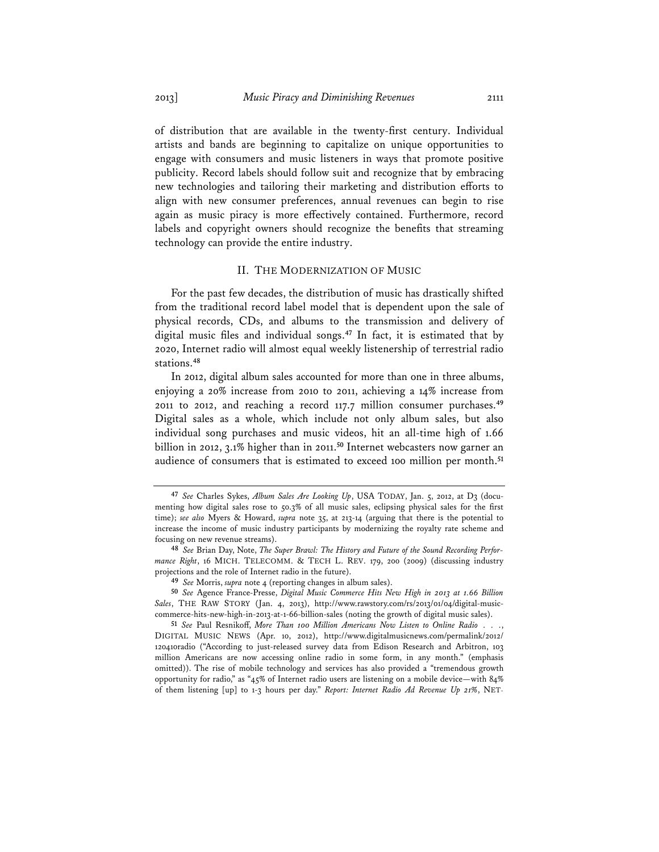of distribution that are available in the twenty-first century. Individual artists and bands are beginning to capitalize on unique opportunities to engage with consumers and music listeners in ways that promote positive publicity. Record labels should follow suit and recognize that by embracing new technologies and tailoring their marketing and distribution efforts to align with new consumer preferences, annual revenues can begin to rise again as music piracy is more effectively contained. Furthermore, record labels and copyright owners should recognize the benefits that streaming technology can provide the entire industry.

#### II. THE MODERNIZATION OF MUSIC

For the past few decades, the distribution of music has drastically shifted from the traditional record label model that is dependent upon the sale of physical records, CDs, and albums to the transmission and delivery of digital music files and individual songs.**<sup>47</sup>** In fact, it is estimated that by 2020, Internet radio will almost equal weekly listenership of terrestrial radio stations.**<sup>48</sup>**

In 2012, digital album sales accounted for more than one in three albums, enjoying a 20% increase from 2010 to 2011, achieving a 14% increase from 2011 to 2012, and reaching a record 117.7 million consumer purchases.**<sup>49</sup>** Digital sales as a whole, which include not only album sales, but also individual song purchases and music videos, hit an all-time high of 1.66 billion in 2012, 3.1% higher than in 2011.**<sup>50</sup>** Internet webcasters now garner an audience of consumers that is estimated to exceed 100 million per month.**<sup>51</sup>**

**<sup>47</sup>** *See* Charles Sykes, *Album Sales Are Looking Up*, USA TODAY, Jan. 5, 2012, at D3 (documenting how digital sales rose to 50.3% of all music sales, eclipsing physical sales for the first time); *see also* Myers & Howard, *supra* note 35, at 213-14 (arguing that there is the potential to increase the income of music industry participants by modernizing the royalty rate scheme and focusing on new revenue streams).

**<sup>48</sup>** *See* Brian Day, Note, *The Super Brawl: The History and Future of the Sound Recording Performance Right*, 16 MICH. TELECOMM. & TECH L. REV. 179, 200 (2009) (discussing industry projections and the role of Internet radio in the future).

**<sup>49</sup>** *See* Morris, *supra* note 4 (reporting changes in album sales).

**<sup>50</sup>** *See* Agence France-Presse, *Digital Music Commerce Hits New High in 2013 at 1.66 Billion Sales*, THE RAW STORY (Jan. 4, 2013), http://www.rawstory.com/rs/2013/01/04/digital-musiccommerce-hits-new-high-in-2013-at-1-66-billion-sales (noting the growth of digital music sales).

**<sup>51</sup>** *See* Paul Resnikoff, *More Than 100 Million Americans Now Listen to Online Radio . . .*, DIGITAL MUSIC NEWS (Apr. 10, 2012), http://www.digitalmusicnews.com/permalink/2012/ 120410radio ("According to just-released survey data from Edison Research and Arbitron, 103 million Americans are now accessing online radio in some form, in any month." (emphasis omitted)). The rise of mobile technology and services has also provided a "tremendous growth opportunity for radio," as "45% of Internet radio users are listening on a mobile device—with 84% of them listening [up] to 1-3 hours per day." *Report: Internet Radio Ad Revenue Up 21%*, NET-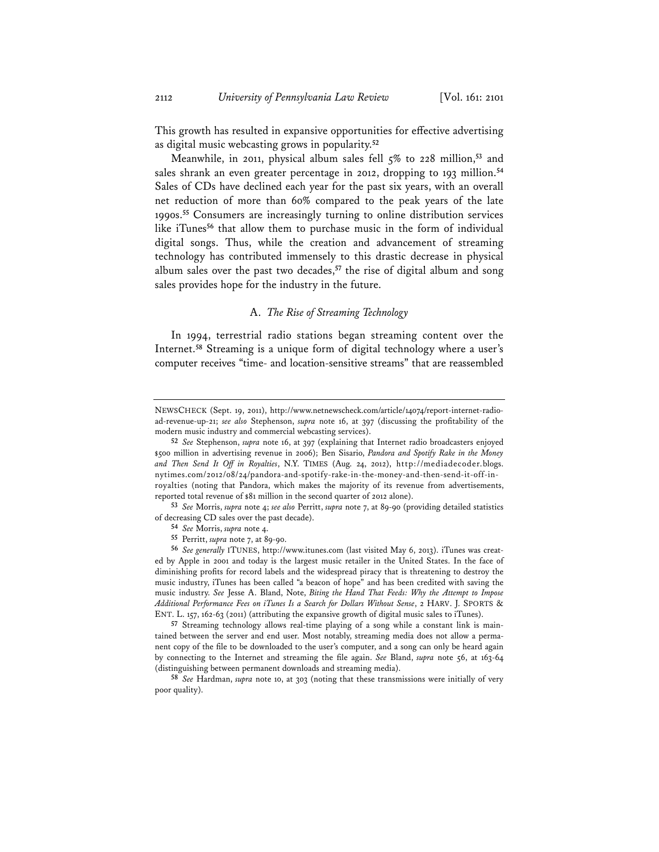This growth has resulted in expansive opportunities for effective advertising as digital music webcasting grows in popularity.**<sup>52</sup>**

Meanwhile, in 2011, physical album sales fell 5% to 228 million,**<sup>53</sup>** and sales shrank an even greater percentage in 2012, dropping to 193 million.**<sup>54</sup>** Sales of CDs have declined each year for the past six years, with an overall net reduction of more than 60% compared to the peak years of the late 1990s.**<sup>55</sup>** Consumers are increasingly turning to online distribution services like iTunes**<sup>56</sup>** that allow them to purchase music in the form of individual digital songs. Thus, while the creation and advancement of streaming technology has contributed immensely to this drastic decrease in physical album sales over the past two decades,**<sup>57</sup>** the rise of digital album and song sales provides hope for the industry in the future.

#### A. *The Rise of Streaming Technology*

In 1994, terrestrial radio stations began streaming content over the Internet.**<sup>58</sup>** Streaming is a unique form of digital technology where a user's computer receives "time- and location-sensitive streams" that are reassembled

**57** Streaming technology allows real-time playing of a song while a constant link is maintained between the server and end user. Most notably, streaming media does not allow a permanent copy of the file to be downloaded to the user's computer, and a song can only be heard again by connecting to the Internet and streaming the file again. *See* Bland, *supra* note 56, at 163-64 (distinguishing between permanent downloads and streaming media).

**58** *See* Hardman, *supra* note 10, at 303 (noting that these transmissions were initially of very poor quality).

NEWSCHECK (Sept. 19, 2011), http://www.netnewscheck.com/article/14074/report-internet-radioad-revenue-up-21; *see also* Stephenson, *supra* note 16, at 397 (discussing the profitability of the modern music industry and commercial webcasting services).

**<sup>52</sup>** *See* Stephenson, *supra* note 16, at 397 (explaining that Internet radio broadcasters enjoyed \$500 million in advertising revenue in 2006); Ben Sisario, *Pandora and Spotify Rake in the Money and Then Send It Off in Royalties*, N.Y. TIMES (Aug. 24, 2012), http://mediadecoder.blogs. nytimes.com/2012/08/24/pandora-and-spotify-rake-in-the-money-and-then-send-it-off-inroyalties (noting that Pandora, which makes the majority of its revenue from advertisements, reported total revenue of \$81 million in the second quarter of 2012 alone).

**<sup>53</sup>** *See* Morris, *supra* note 4; *see also* Perritt, *supra* note 7, at 89-90 (providing detailed statistics of decreasing CD sales over the past decade).

**<sup>54</sup>** *See* Morris, *supra* note 4.

**<sup>55</sup>** Perritt, *supra* note 7, at 89-90.

**<sup>56</sup>** *See generally* ITUNES, http://www.itunes.com (last visited May 6, 2013). iTunes was created by Apple in 2001 and today is the largest music retailer in the United States. In the face of diminishing profits for record labels and the widespread piracy that is threatening to destroy the music industry, iTunes has been called "a beacon of hope" and has been credited with saving the music industry. *See* Jesse A. Bland, Note, *Biting the Hand That Feeds: Why the Attempt to Impose Additional Performance Fees on iTunes Is a Search for Dollars Without Sense*, 2 HARV. J. SPORTS & ENT. L. 157, 162-63 (2011) (attributing the expansive growth of digital music sales to iTunes).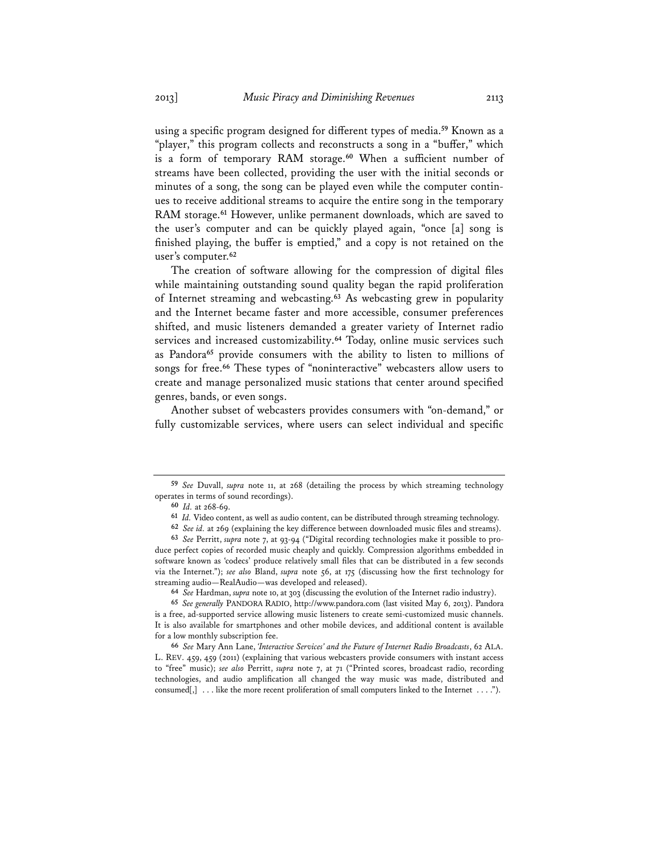using a specific program designed for different types of media.**<sup>59</sup>** Known as a "player," this program collects and reconstructs a song in a "buffer," which is a form of temporary RAM storage.**<sup>60</sup>** When a sufficient number of streams have been collected, providing the user with the initial seconds or minutes of a song, the song can be played even while the computer continues to receive additional streams to acquire the entire song in the temporary RAM storage.**<sup>61</sup>** However, unlike permanent downloads, which are saved to the user's computer and can be quickly played again, "once [a] song is finished playing, the buffer is emptied," and a copy is not retained on the user's computer.**<sup>62</sup>**

The creation of software allowing for the compression of digital files while maintaining outstanding sound quality began the rapid proliferation of Internet streaming and webcasting.**<sup>63</sup>** As webcasting grew in popularity and the Internet became faster and more accessible, consumer preferences shifted, and music listeners demanded a greater variety of Internet radio services and increased customizability.**<sup>64</sup>** Today, online music services such as Pandora**<sup>65</sup>** provide consumers with the ability to listen to millions of songs for free.**<sup>66</sup>** These types of "noninteractive" webcasters allow users to create and manage personalized music stations that center around specified genres, bands, or even songs.

Another subset of webcasters provides consumers with "on-demand," or fully customizable services, where users can select individual and specific

**<sup>59</sup>** *See* Duvall, *supra* note 11, at 268 (detailing the process by which streaming technology operates in terms of sound recordings).

**<sup>60</sup>** *Id.* at 268-69.

**<sup>61</sup>** *Id.* Video content, as well as audio content, can be distributed through streaming technology.

**<sup>62</sup>** *See id.* at 269 (explaining the key difference between downloaded music files and streams).

**<sup>63</sup>** *See* Perritt, *supra* note 7, at 93-94 ("Digital recording technologies make it possible to produce perfect copies of recorded music cheaply and quickly. Compression algorithms embedded in software known as 'codecs' produce relatively small files that can be distributed in a few seconds via the Internet."); *see also* Bland, *supra* note 56, at 175 (discussing how the first technology for streaming audio—RealAudio—was developed and released).

**<sup>64</sup>** *See* Hardman, *supra* note 10, at 303 (discussing the evolution of the Internet radio industry).

**<sup>65</sup>** *See generally* PANDORA RADIO, http://www.pandora.com (last visited May 6, 2013). Pandora is a free, ad-supported service allowing music listeners to create semi-customized music channels. It is also available for smartphones and other mobile devices, and additional content is available for a low monthly subscription fee.

**<sup>66</sup>** *See* Mary Ann Lane, *'Interactive Services' and the Future of Internet Radio Broadcasts*, 62 ALA. L. REV. 459, 459 (2011) (explaining that various webcasters provide consumers with instant access to "free" music); *see also* Perritt, *supra* note 7, at 71 ("Printed scores, broadcast radio, recording technologies, and audio amplification all changed the way music was made, distributed and consumed $[,$  ... like the more recent proliferation of small computers linked to the Internet ....").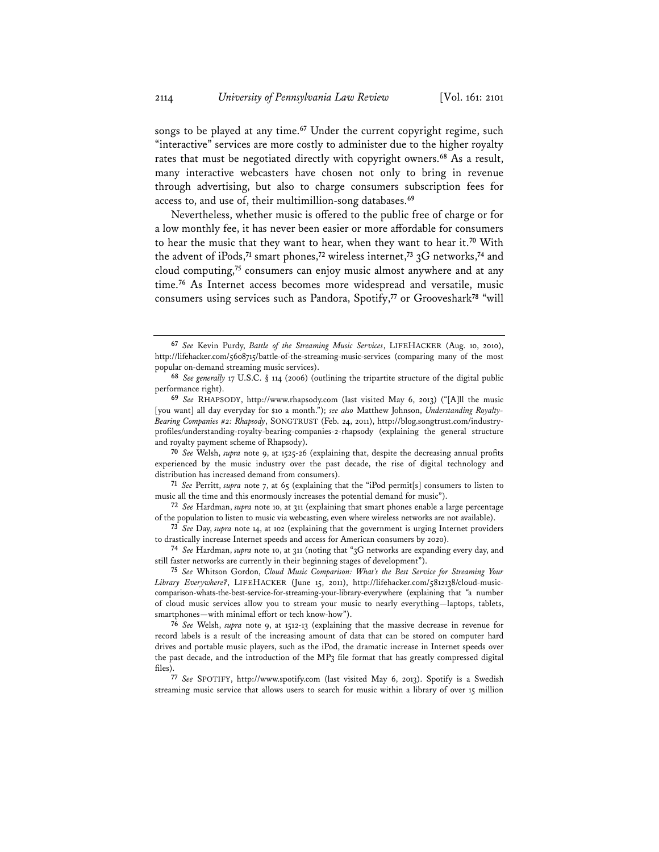songs to be played at any time.**<sup>67</sup>** Under the current copyright regime, such "interactive" services are more costly to administer due to the higher royalty rates that must be negotiated directly with copyright owners.**<sup>68</sup>** As a result, many interactive webcasters have chosen not only to bring in revenue through advertising, but also to charge consumers subscription fees for access to, and use of, their multimillion-song databases.**<sup>69</sup>**

Nevertheless, whether music is offered to the public free of charge or for a low monthly fee, it has never been easier or more affordable for consumers to hear the music that they want to hear, when they want to hear it.**<sup>70</sup>** With the advent of iPods,**<sup>71</sup>** smart phones,**<sup>72</sup>** wireless internet,**<sup>73</sup>** 3G networks,**<sup>74</sup>** and cloud computing,**<sup>75</sup>** consumers can enjoy music almost anywhere and at any time.**<sup>76</sup>** As Internet access becomes more widespread and versatile, music consumers using services such as Pandora, Spotify,**<sup>77</sup>** or Grooveshark**<sup>78</sup>** "will

**71** *See* Perritt, *supra* note 7, at 65 (explaining that the "iPod permit[s] consumers to listen to music all the time and this enormously increases the potential demand for music").

**<sup>67</sup>** *See* Kevin Purdy, *Battle of the Streaming Music Services*, LIFEHACKER (Aug. 10, 2010), http://lifehacker.com/5608715/battle-of-the-streaming-music-services (comparing many of the most popular on-demand streaming music services).

**<sup>68</sup>** *See generally* 17 U.S.C. § 114 (2006) (outlining the tripartite structure of the digital public performance right).

**<sup>69</sup>** *See* RHAPSODY, http://www.rhapsody.com (last visited May 6, 2013) ("[A]ll the music [you want] all day everyday for \$10 a month."); *see also* Matthew Johnson, *Understanding Royalty-Bearing Companies #2: Rhapsody*, SONGTRUST (Feb. 24, 2011), http://blog.songtrust.com/industryprofiles/understanding-royalty-bearing-companies-2-rhapsody (explaining the general structure and royalty payment scheme of Rhapsody).

**<sup>70</sup>** *See* Welsh, *supra* note 9, at 1525-26 (explaining that, despite the decreasing annual profits experienced by the music industry over the past decade, the rise of digital technology and distribution has increased demand from consumers).

**<sup>72</sup>** *See* Hardman, *supra* note 10, at 311 (explaining that smart phones enable a large percentage of the population to listen to music via webcasting, even where wireless networks are not available).

**<sup>73</sup>** *See* Day, *supra* note 14, at 102 (explaining that the government is urging Internet providers to drastically increase Internet speeds and access for American consumers by 2020).

**<sup>74</sup>** *See* Hardman, *supra* note 10, at 311 (noting that "3G networks are expanding every day, and still faster networks are currently in their beginning stages of development").

**<sup>75</sup>** *See* Whitson Gordon, *Cloud Music Comparison: What's the Best Service for Streaming Your Library Everywhere?*, LIFEHACKER (June 15, 2011), http://lifehacker.com/5812138/cloud-musiccomparison-whats-the-best-service-for-streaming-your-library-everywhere (explaining that "a number of cloud music services allow you to stream your music to nearly everything—laptops, tablets, smartphones—with minimal effort or tech know-how").

**<sup>76</sup>** *See* Welsh, *supra* note 9, at 1512-13 (explaining that the massive decrease in revenue for record labels is a result of the increasing amount of data that can be stored on computer hard drives and portable music players, such as the iPod, the dramatic increase in Internet speeds over the past decade, and the introduction of the MP3 file format that has greatly compressed digital files).

**<sup>77</sup>** *See* SPOTIFY, http://www.spotify.com (last visited May 6, 2013). Spotify is a Swedish streaming music service that allows users to search for music within a library of over 15 million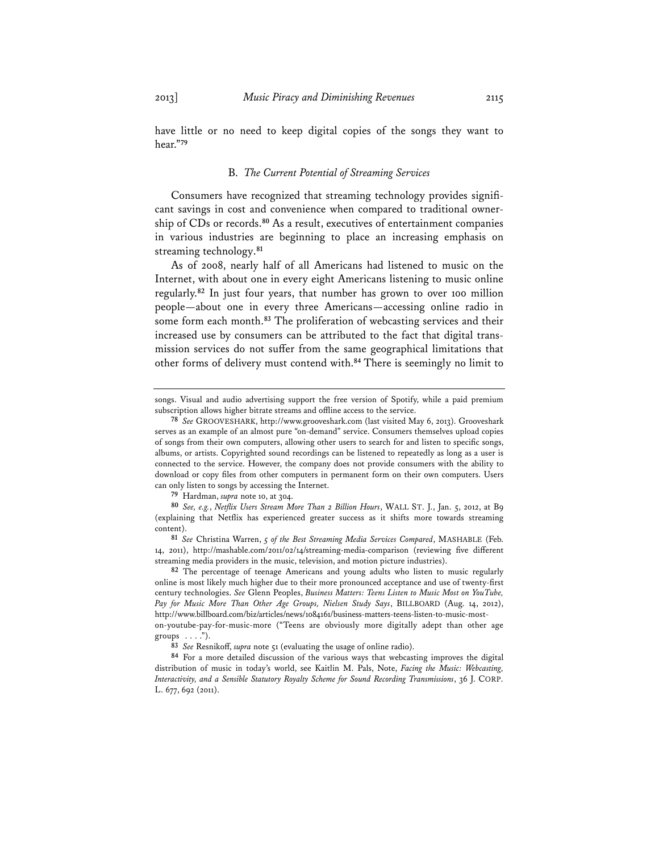have little or no need to keep digital copies of the songs they want to hear."**<sup>79</sup>**

#### B. *The Current Potential of Streaming Services*

Consumers have recognized that streaming technology provides significant savings in cost and convenience when compared to traditional ownership of CDs or records.**<sup>80</sup>** As a result, executives of entertainment companies in various industries are beginning to place an increasing emphasis on streaming technology.**<sup>81</sup>**

As of 2008, nearly half of all Americans had listened to music on the Internet, with about one in every eight Americans listening to music online regularly.**<sup>82</sup>** In just four years, that number has grown to over 100 million people—about one in every three Americans—accessing online radio in some form each month.**<sup>83</sup>** The proliferation of webcasting services and their increased use by consumers can be attributed to the fact that digital transmission services do not suffer from the same geographical limitations that other forms of delivery must contend with.**<sup>84</sup>** There is seemingly no limit to

**79** Hardman, *supra* note 10, at 304.

**80** *See, e.g.*, *Netflix Users Stream More Than 2 Billion Hours*, WALL ST. J., Jan. 5, 2012, at B9 (explaining that Netflix has experienced greater success as it shifts more towards streaming content).

**81** *See* Christina Warren, *5 of the Best Streaming Media Services Compared*, MASHABLE (Feb. 14, 2011), http://mashable.com/2011/02/14/streaming-media-comparison (reviewing five different streaming media providers in the music, television, and motion picture industries).

**82** The percentage of teenage Americans and young adults who listen to music regularly online is most likely much higher due to their more pronounced acceptance and use of twenty-first century technologies. *See* Glenn Peoples, *Business Matters: Teens Listen to Music Most on YouTube, Pay for Music More Than Other Age Groups, Nielsen Study Says*, BILLBOARD (Aug. 14, 2012), http://www.billboard.com/biz/articles/news/1084161/business-matters-teens-listen-to-music-most-

on-youtube-pay-for-music-more ("Teens are obviously more digitally adept than other age groups  $\dots$ .").

**83** *See* Resnikoff, *supra* note 51 (evaluating the usage of online radio).

**84** For a more detailed discussion of the various ways that webcasting improves the digital distribution of music in today's world, see Kaitlin M. Pals, Note, *Facing the Music: Webcasting, Interactivity, and a Sensible Statutory Royalty Scheme for Sound Recording Transmissions*, 36 J. CORP. L. 677, 692 (2011).

songs. Visual and audio advertising support the free version of Spotify, while a paid premium subscription allows higher bitrate streams and offline access to the service.

**<sup>78</sup>** *See* GROOVESHARK, http://www.grooveshark.com (last visited May 6, 2013). Grooveshark serves as an example of an almost pure "on-demand" service. Consumers themselves upload copies of songs from their own computers, allowing other users to search for and listen to specific songs, albums, or artists. Copyrighted sound recordings can be listened to repeatedly as long as a user is connected to the service. However, the company does not provide consumers with the ability to download or copy files from other computers in permanent form on their own computers. Users can only listen to songs by accessing the Internet.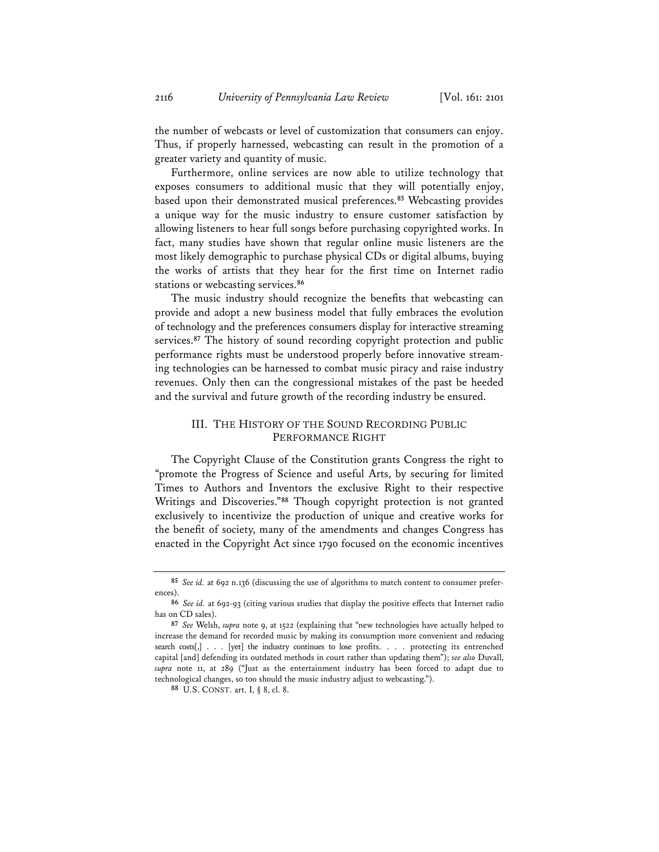the number of webcasts or level of customization that consumers can enjoy. Thus, if properly harnessed, webcasting can result in the promotion of a greater variety and quantity of music.

Furthermore, online services are now able to utilize technology that exposes consumers to additional music that they will potentially enjoy, based upon their demonstrated musical preferences.**<sup>85</sup>** Webcasting provides a unique way for the music industry to ensure customer satisfaction by allowing listeners to hear full songs before purchasing copyrighted works. In fact, many studies have shown that regular online music listeners are the most likely demographic to purchase physical CDs or digital albums, buying the works of artists that they hear for the first time on Internet radio stations or webcasting services.**<sup>86</sup>**

The music industry should recognize the benefits that webcasting can provide and adopt a new business model that fully embraces the evolution of technology and the preferences consumers display for interactive streaming services.**<sup>87</sup>** The history of sound recording copyright protection and public performance rights must be understood properly before innovative streaming technologies can be harnessed to combat music piracy and raise industry revenues. Only then can the congressional mistakes of the past be heeded and the survival and future growth of the recording industry be ensured.

# III. THE HISTORY OF THE SOUND RECORDING PUBLIC PERFORMANCE RIGHT

The Copyright Clause of the Constitution grants Congress the right to "promote the Progress of Science and useful Arts, by securing for limited Times to Authors and Inventors the exclusive Right to their respective Writings and Discoveries."**<sup>88</sup>** Though copyright protection is not granted exclusively to incentivize the production of unique and creative works for the benefit of society, many of the amendments and changes Congress has enacted in the Copyright Act since 1790 focused on the economic incentives

**<sup>85</sup>** *See id.* at 692 n.136 (discussing the use of algorithms to match content to consumer preferences).

**<sup>86</sup>** *See id.* at 692-93 (citing various studies that display the positive effects that Internet radio has on CD sales).

**<sup>87</sup>** *See* Welsh, *supra* note 9, at 1522 (explaining that "new technologies have actually helped to increase the demand for recorded music by making its consumption more convenient and reducing search costs[,] . . . [yet] the industry continues to lose profits. . . . protecting its entrenched capital [and] defending its outdated methods in court rather than updating them"); *see also* Duvall, *supra* note 11, at 289 ("Just as the entertainment industry has been forced to adapt due to technological changes, so too should the music industry adjust to webcasting.").

**<sup>88</sup>** U.S. CONST. art. I, § 8, cl. 8.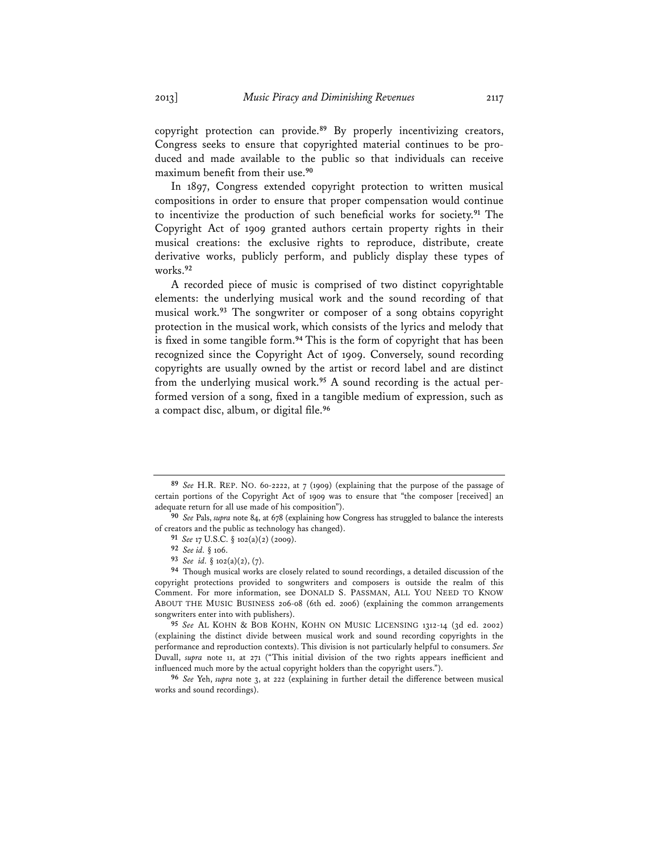copyright protection can provide.**<sup>89</sup>** By properly incentivizing creators, Congress seeks to ensure that copyrighted material continues to be produced and made available to the public so that individuals can receive maximum benefit from their use.**<sup>90</sup>**

In 1897, Congress extended copyright protection to written musical compositions in order to ensure that proper compensation would continue to incentivize the production of such beneficial works for society.**<sup>91</sup>** The Copyright Act of 1909 granted authors certain property rights in their musical creations: the exclusive rights to reproduce, distribute, create derivative works, publicly perform, and publicly display these types of works.**<sup>92</sup>**

A recorded piece of music is comprised of two distinct copyrightable elements: the underlying musical work and the sound recording of that musical work.**<sup>93</sup>** The songwriter or composer of a song obtains copyright protection in the musical work, which consists of the lyrics and melody that is fixed in some tangible form.**<sup>94</sup>** This is the form of copyright that has been recognized since the Copyright Act of 1909. Conversely, sound recording copyrights are usually owned by the artist or record label and are distinct from the underlying musical work.**95** A sound recording is the actual performed version of a song, fixed in a tangible medium of expression, such as a compact disc, album, or digital file.**<sup>96</sup>**

**<sup>89</sup>** *See* H.R. REP. NO. 60-2222, at 7 (1909) (explaining that the purpose of the passage of certain portions of the Copyright Act of 1909 was to ensure that "the composer [received] an adequate return for all use made of his composition").

**<sup>90</sup>** *See* Pals, *supra* note 84, at 678 (explaining how Congress has struggled to balance the interests of creators and the public as technology has changed).

**<sup>91</sup>** *See* 17 U.S.C. § 102(a)(2) (2009).

**<sup>92</sup>** *See id.* § 106.

**<sup>93</sup>** *See id.* § 102(a)(2), (7).

**<sup>94</sup>** Though musical works are closely related to sound recordings, a detailed discussion of the copyright protections provided to songwriters and composers is outside the realm of this Comment. For more information, see DONALD S. PASSMAN, ALL YOU NEED TO KNOW ABOUT THE MUSIC BUSINESS 206-08 (6th ed. 2006) (explaining the common arrangements songwriters enter into with publishers).

**<sup>95</sup>** *See* AL KOHN & BOB KOHN, KOHN ON MUSIC LICENSING 1312-14 (3d ed. 2002) (explaining the distinct divide between musical work and sound recording copyrights in the performance and reproduction contexts). This division is not particularly helpful to consumers. *See*  Duvall, *supra* note 11, at 271 ("This initial division of the two rights appears inefficient and influenced much more by the actual copyright holders than the copyright users.").

**<sup>96</sup>** *See* Yeh, *supra* note 3, at 222 (explaining in further detail the difference between musical works and sound recordings).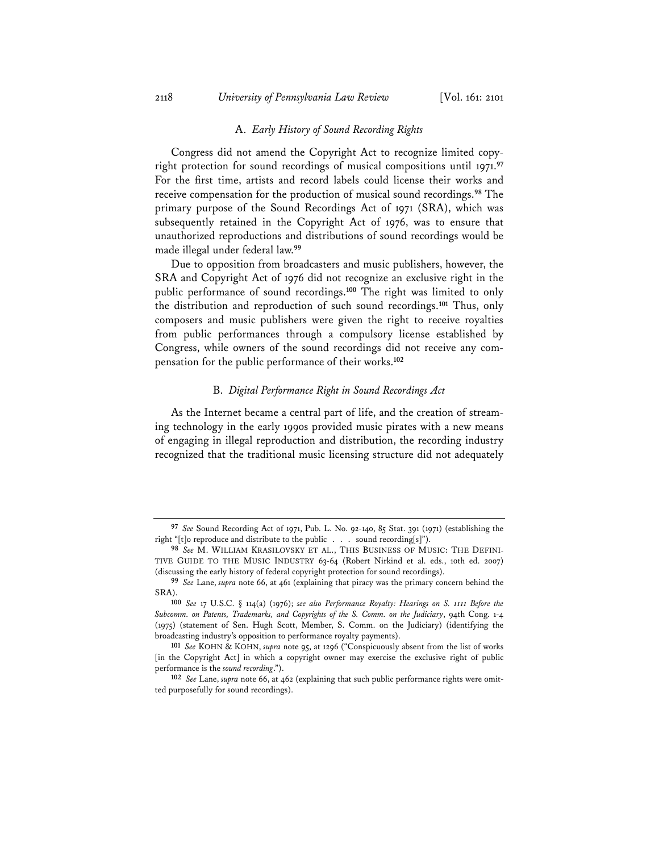#### A. *Early History of Sound Recording Rights*

Congress did not amend the Copyright Act to recognize limited copyright protection for sound recordings of musical compositions until 1971.**<sup>97</sup>** For the first time, artists and record labels could license their works and receive compensation for the production of musical sound recordings.**<sup>98</sup>** The primary purpose of the Sound Recordings Act of 1971 (SRA), which was subsequently retained in the Copyright Act of 1976, was to ensure that unauthorized reproductions and distributions of sound recordings would be made illegal under federal law.**<sup>99</sup>**

Due to opposition from broadcasters and music publishers, however, the SRA and Copyright Act of 1976 did not recognize an exclusive right in the public performance of sound recordings.**<sup>100</sup>** The right was limited to only the distribution and reproduction of such sound recordings.**<sup>101</sup>** Thus, only composers and music publishers were given the right to receive royalties from public performances through a compulsory license established by Congress, while owners of the sound recordings did not receive any compensation for the public performance of their works.**<sup>102</sup>**

#### B. *Digital Performance Right in Sound Recordings Act*

As the Internet became a central part of life, and the creation of streaming technology in the early 1990s provided music pirates with a new means of engaging in illegal reproduction and distribution, the recording industry recognized that the traditional music licensing structure did not adequately

**<sup>97</sup>** *See* Sound Recording Act of 1971, Pub. L. No. 92-140, 85 Stat. 391 (1971) (establishing the right "[t]o reproduce and distribute to the public . . . sound recording[s]").

**<sup>98</sup>** *See* M. WILLIAM KRASILOVSKY ET AL., THIS BUSINESS OF MUSIC: THE DEFINI-TIVE GUIDE TO THE MUSIC INDUSTRY 63-64 (Robert Nirkind et al. eds., 10th ed. 2007) (discussing the early history of federal copyright protection for sound recordings).

**<sup>99</sup>** *See* Lane, *supra* note 66, at 461 (explaining that piracy was the primary concern behind the SRA).

**<sup>100</sup>** *See* 17 U.S.C. § 114(a) (1976); *see also Performance Royalty: Hearings on S. 1111 Before the Subcomm. on Patents, Trademarks, and Copyrights of the S. Comm. on the Judiciary*, 94th Cong. 1-4 (1975) (statement of Sen. Hugh Scott, Member, S. Comm. on the Judiciary) (identifying the broadcasting industry's opposition to performance royalty payments).

**<sup>101</sup>** *See* KOHN & KOHN, *supra* note 95, at 1296 ("Conspicuously absent from the list of works [in the Copyright Act] in which a copyright owner may exercise the exclusive right of public performance is the *sound recording*.").

**<sup>102</sup>** *See* Lane, *supra* note 66, at 462 (explaining that such public performance rights were omitted purposefully for sound recordings).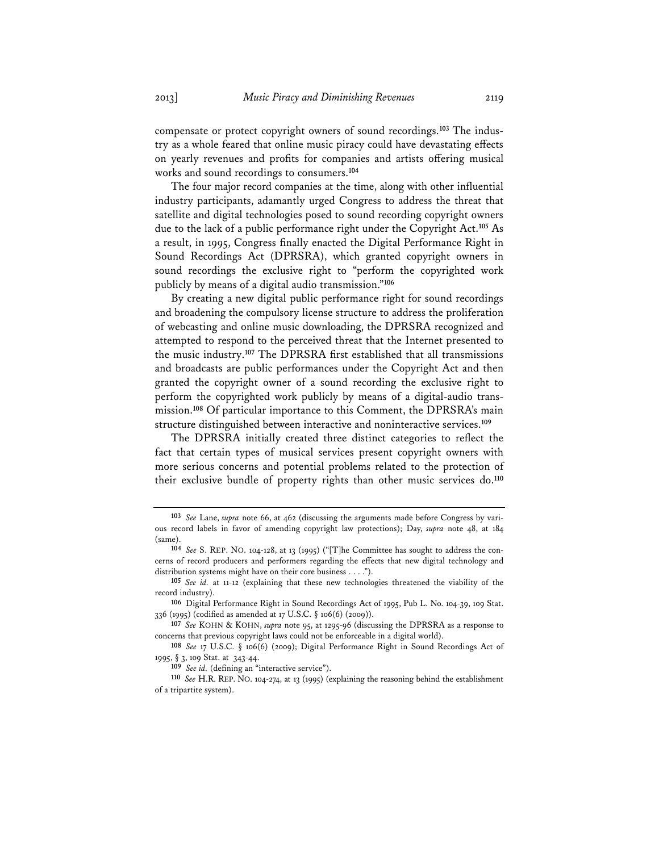compensate or protect copyright owners of sound recordings.**103** The industry as a whole feared that online music piracy could have devastating effects on yearly revenues and profits for companies and artists offering musical works and sound recordings to consumers.**<sup>104</sup>**

The four major record companies at the time, along with other influential industry participants, adamantly urged Congress to address the threat that satellite and digital technologies posed to sound recording copyright owners due to the lack of a public performance right under the Copyright Act.**<sup>105</sup>** As a result, in 1995, Congress finally enacted the Digital Performance Right in Sound Recordings Act (DPRSRA), which granted copyright owners in sound recordings the exclusive right to "perform the copyrighted work publicly by means of a digital audio transmission."**<sup>106</sup>**

By creating a new digital public performance right for sound recordings and broadening the compulsory license structure to address the proliferation of webcasting and online music downloading, the DPRSRA recognized and attempted to respond to the perceived threat that the Internet presented to the music industry.**<sup>107</sup>** The DPRSRA first established that all transmissions and broadcasts are public performances under the Copyright Act and then granted the copyright owner of a sound recording the exclusive right to perform the copyrighted work publicly by means of a digital-audio transmission.**<sup>108</sup>** Of particular importance to this Comment, the DPRSRA's main structure distinguished between interactive and noninteractive services.**<sup>109</sup>**

The DPRSRA initially created three distinct categories to reflect the fact that certain types of musical services present copyright owners with more serious concerns and potential problems related to the protection of their exclusive bundle of property rights than other music services do.**<sup>110</sup>**

**<sup>103</sup>** *See* Lane, *supra* note 66, at 462 (discussing the arguments made before Congress by various record labels in favor of amending copyright law protections); Day, *supra* note 48, at 184 (same).

**<sup>104</sup>** *See* S. REP. NO. 104-128, at 13 (1995) ("[T]he Committee has sought to address the concerns of record producers and performers regarding the effects that new digital technology and distribution systems might have on their core business . . . .").

**<sup>105</sup>** *See id.* at 11-12 (explaining that these new technologies threatened the viability of the record industry).

**<sup>106</sup>** Digital Performance Right in Sound Recordings Act of 1995, Pub L. No. 104-39, 109 Stat. 336 (1995) (codified as amended at 17 U.S.C. § 106(6) (2009)).

**<sup>107</sup>** *See* KOHN & KOHN, *supra* note 95, at 1295-96 (discussing the DPRSRA as a response to concerns that previous copyright laws could not be enforceable in a digital world).

**<sup>108</sup>** *See* 17 U.S.C. § 106(6) (2009); Digital Performance Right in Sound Recordings Act of 1995, § 3, 109 Stat. at 343-44.

**<sup>109</sup>** *See id.* (defining an "interactive service").

**<sup>110</sup>** *See* H.R. REP. NO. 104-274, at 13 (1995) (explaining the reasoning behind the establishment of a tripartite system).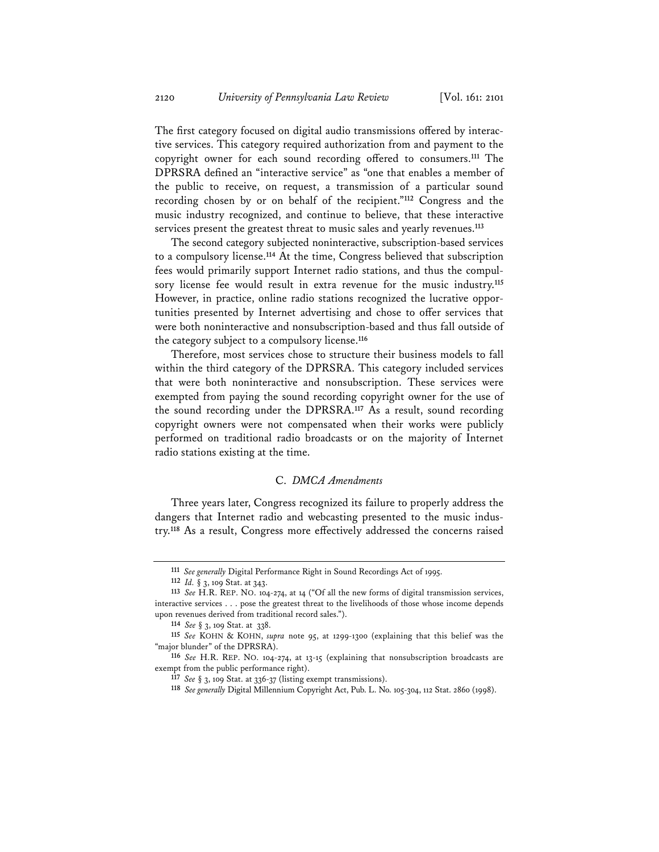The first category focused on digital audio transmissions offered by interactive services. This category required authorization from and payment to the copyright owner for each sound recording offered to consumers.**<sup>111</sup>** The DPRSRA defined an "interactive service" as "one that enables a member of the public to receive, on request, a transmission of a particular sound recording chosen by or on behalf of the recipient."**<sup>112</sup>** Congress and the music industry recognized, and continue to believe, that these interactive services present the greatest threat to music sales and yearly revenues.**<sup>113</sup>**

The second category subjected noninteractive, subscription-based services to a compulsory license.**<sup>114</sup>** At the time, Congress believed that subscription fees would primarily support Internet radio stations, and thus the compulsory license fee would result in extra revenue for the music industry.**<sup>115</sup>** However, in practice, online radio stations recognized the lucrative opportunities presented by Internet advertising and chose to offer services that were both noninteractive and nonsubscription-based and thus fall outside of the category subject to a compulsory license.**<sup>116</sup>**

Therefore, most services chose to structure their business models to fall within the third category of the DPRSRA. This category included services that were both noninteractive and nonsubscription. These services were exempted from paying the sound recording copyright owner for the use of the sound recording under the DPRSRA.**<sup>117</sup>** As a result, sound recording copyright owners were not compensated when their works were publicly performed on traditional radio broadcasts or on the majority of Internet radio stations existing at the time.

# C. *DMCA Amendments*

Three years later, Congress recognized its failure to properly address the dangers that Internet radio and webcasting presented to the music industry.**<sup>118</sup>** As a result, Congress more effectively addressed the concerns raised

**<sup>111</sup>** *See generally* Digital Performance Right in Sound Recordings Act of 1995.

**<sup>112</sup>** *Id.* § 3, 109 Stat. at 343.

**<sup>113</sup>** *See* H.R. REP. NO. 104-274, at 14 ("Of all the new forms of digital transmission services, interactive services . . . pose the greatest threat to the livelihoods of those whose income depends upon revenues derived from traditional record sales.").

**<sup>114</sup>** *See* § 3, 109 Stat. at 338.

**<sup>115</sup>** *See* KOHN & KOHN, *supra* note 95, at 1299-1300 (explaining that this belief was the "major blunder" of the DPRSRA).

**<sup>116</sup>** *See* H.R. REP. NO. 104-274, at 13-15 (explaining that nonsubscription broadcasts are exempt from the public performance right).

**<sup>117</sup>** *See* § 3, 109 Stat. at 336-37 (listing exempt transmissions).

**<sup>118</sup>** *See generally* Digital Millennium Copyright Act, Pub. L. No. 105-304, 112 Stat. 2860 (1998).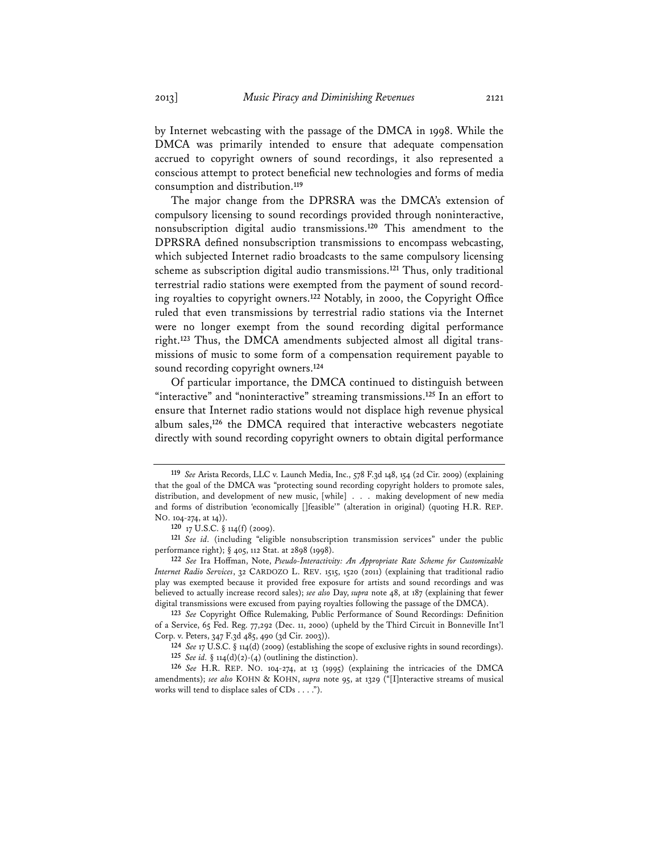by Internet webcasting with the passage of the DMCA in 1998. While the DMCA was primarily intended to ensure that adequate compensation accrued to copyright owners of sound recordings, it also represented a conscious attempt to protect beneficial new technologies and forms of media consumption and distribution.**<sup>119</sup>**

The major change from the DPRSRA was the DMCA's extension of compulsory licensing to sound recordings provided through noninteractive, nonsubscription digital audio transmissions.**<sup>120</sup>** This amendment to the DPRSRA defined nonsubscription transmissions to encompass webcasting, which subjected Internet radio broadcasts to the same compulsory licensing scheme as subscription digital audio transmissions.**<sup>121</sup>** Thus, only traditional terrestrial radio stations were exempted from the payment of sound recording royalties to copyright owners.**<sup>122</sup>** Notably, in 2000, the Copyright Office ruled that even transmissions by terrestrial radio stations via the Internet were no longer exempt from the sound recording digital performance right.**123** Thus, the DMCA amendments subjected almost all digital transmissions of music to some form of a compensation requirement payable to sound recording copyright owners.**<sup>124</sup>**

Of particular importance, the DMCA continued to distinguish between "interactive" and "noninteractive" streaming transmissions.**<sup>125</sup>** In an effort to ensure that Internet radio stations would not displace high revenue physical album sales,**<sup>126</sup>** the DMCA required that interactive webcasters negotiate directly with sound recording copyright owners to obtain digital performance

**<sup>119</sup>** *See* Arista Records, LLC v. Launch Media, Inc., 578 F.3d 148, 154 (2d Cir. 2009) (explaining that the goal of the DMCA was "protecting sound recording copyright holders to promote sales, distribution, and development of new music, [while] . . . making development of new media and forms of distribution 'economically []feasible'" (alteration in original) (quoting H.R. REP. NO. 104-274, at 14)).

**<sup>120</sup>** 17 U.S.C. § 114(f) (2009).

**<sup>121</sup>** *See id.* (including "eligible nonsubscription transmission services" under the public performance right); § 405, 112 Stat. at 2898 (1998).

**<sup>122</sup>** *See* Ira Hoffman, Note, *Pseudo-Interactivity: An Appropriate Rate Scheme for Customizable Internet Radio Services*, 32 CARDOZO L. REV. 1515, 1520 (2011) (explaining that traditional radio play was exempted because it provided free exposure for artists and sound recordings and was believed to actually increase record sales); *see also* Day, *supra* note 48, at 187 (explaining that fewer digital transmissions were excused from paying royalties following the passage of the DMCA).

**<sup>123</sup>** *See* Copyright Office Rulemaking, Public Performance of Sound Recordings: Definition of a Service, 65 Fed. Reg. 77,292 (Dec. 11, 2000) (upheld by the Third Circuit in Bonneville Int'l Corp. v. Peters, 347 F.3d 485, 490 (3d Cir. 2003)).

**<sup>124</sup>** *See* 17 U.S.C. § 114(d) (2009) (establishing the scope of exclusive rights in sound recordings).

**<sup>125</sup>** *See id.* § 114(d)(2)-(4) (outlining the distinction).

**<sup>126</sup>** *See* H.R. REP. NO. 104-274, at 13 (1995) (explaining the intricacies of the DMCA amendments); *see also* KOHN & KOHN, *supra* note 95, at 1329 ("[I]nteractive streams of musical works will tend to displace sales of CDs . . . .").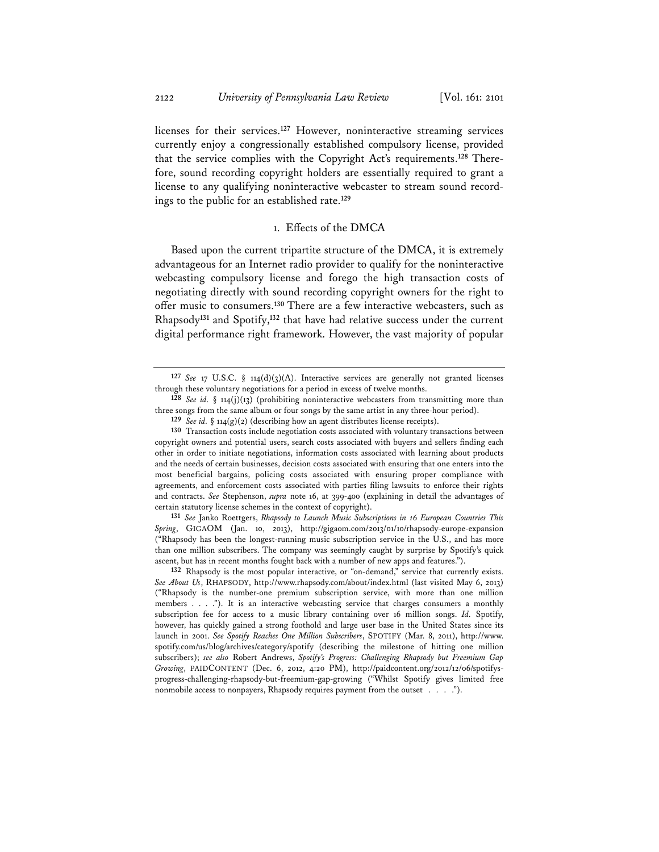licenses for their services.**<sup>127</sup>** However, noninteractive streaming services currently enjoy a congressionally established compulsory license, provided that the service complies with the Copyright Act's requirements.**128** Therefore, sound recording copyright holders are essentially required to grant a license to any qualifying noninteractive webcaster to stream sound recordings to the public for an established rate.**<sup>129</sup>**

#### 1. Effects of the DMCA

Based upon the current tripartite structure of the DMCA, it is extremely advantageous for an Internet radio provider to qualify for the noninteractive webcasting compulsory license and forego the high transaction costs of negotiating directly with sound recording copyright owners for the right to offer music to consumers.**<sup>130</sup>** There are a few interactive webcasters, such as Rhapsody**<sup>131</sup>** and Spotify,**<sup>132</sup>** that have had relative success under the current digital performance right framework. However, the vast majority of popular

**131** *See* Janko Roettgers, *Rhapsody to Launch Music Subscriptions in 16 European Countries This Spring*, GIGAOM (Jan. 10, 2013), http://gigaom.com/2013/01/10/rhapsody-europe-expansion ("Rhapsody has been the longest-running music subscription service in the U.S., and has more than one million subscribers. The company was seemingly caught by surprise by Spotify's quick ascent, but has in recent months fought back with a number of new apps and features.").

**132** Rhapsody is the most popular interactive, or "on-demand," service that currently exists. *See About Us*, RHAPSODY, http://www.rhapsody.com/about/index.html (last visited May 6, 2013) ("Rhapsody is the number-one premium subscription service, with more than one million members . . . ."). It is an interactive webcasting service that charges consumers a monthly subscription fee for access to a music library containing over 16 million songs. *Id.* Spotify, however, has quickly gained a strong foothold and large user base in the United States since its launch in 2001. *See Spotify Reaches One Million Subscribers*, SPOTIFY (Mar. 8, 2011), http://www. spotify.com/us/blog/archives/category/spotify (describing the milestone of hitting one million subscribers); *see also* Robert Andrews, *Spotify's Progress: Challenging Rhapsody but Freemium Gap Growing*, PAIDCONTENT (Dec. 6, 2012, 4:20 PM), http://paidcontent.org/2012/12/06/spotifysprogress-challenging-rhapsody-but-freemium-gap-growing ("Whilst Spotify gives limited free nonmobile access to nonpayers, Rhapsody requires payment from the outset . . . .").

**<sup>127</sup>** *See* 17 U.S.C. § 114(d)(3)(A). Interactive services are generally not granted licenses through these voluntary negotiations for a period in excess of twelve months.

**<sup>128</sup>** *See id.* § 114(j)(13) (prohibiting noninteractive webcasters from transmitting more than three songs from the same album or four songs by the same artist in any three-hour period).

**<sup>129</sup>** *See id.* § 114(g)(2) (describing how an agent distributes license receipts).

**<sup>130</sup>** Transaction costs include negotiation costs associated with voluntary transactions between copyright owners and potential users, search costs associated with buyers and sellers finding each other in order to initiate negotiations, information costs associated with learning about products and the needs of certain businesses, decision costs associated with ensuring that one enters into the most beneficial bargains, policing costs associated with ensuring proper compliance with agreements, and enforcement costs associated with parties filing lawsuits to enforce their rights and contracts. *See* Stephenson, *supra* note 16, at 399-400 (explaining in detail the advantages of certain statutory license schemes in the context of copyright).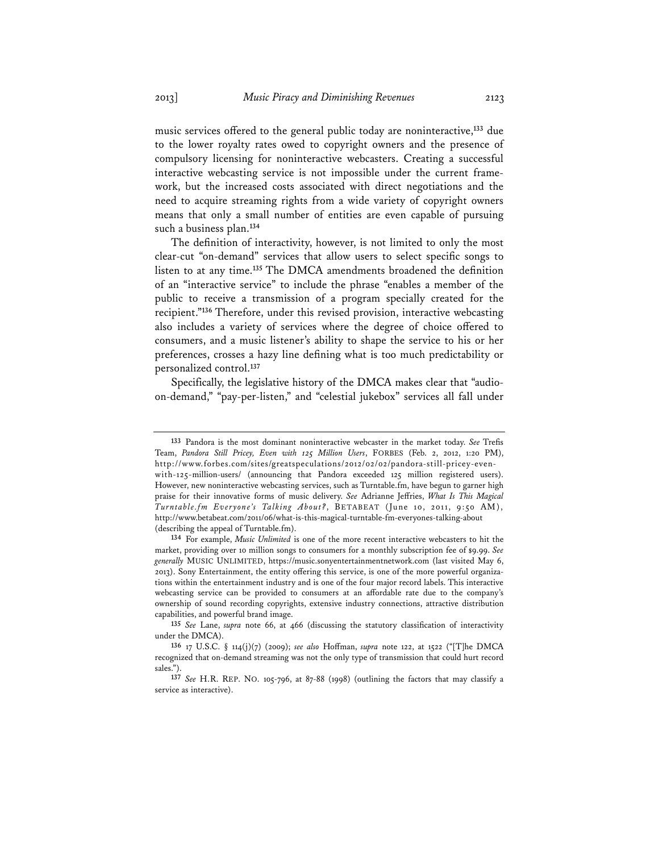music services offered to the general public today are noninteractive,**<sup>133</sup>** due to the lower royalty rates owed to copyright owners and the presence of compulsory licensing for noninteractive webcasters. Creating a successful interactive webcasting service is not impossible under the current framework, but the increased costs associated with direct negotiations and the need to acquire streaming rights from a wide variety of copyright owners means that only a small number of entities are even capable of pursuing such a business plan.**<sup>134</sup>**

The definition of interactivity, however, is not limited to only the most clear-cut "on-demand" services that allow users to select specific songs to listen to at any time.**<sup>135</sup>** The DMCA amendments broadened the definition of an "interactive service" to include the phrase "enables a member of the public to receive a transmission of a program specially created for the recipient."**<sup>136</sup>** Therefore, under this revised provision, interactive webcasting also includes a variety of services where the degree of choice offered to consumers, and a music listener's ability to shape the service to his or her preferences, crosses a hazy line defining what is too much predictability or personalized control.**<sup>137</sup>**

Specifically, the legislative history of the DMCA makes clear that "audioon-demand," "pay-per-listen," and "celestial jukebox" services all fall under

**<sup>133</sup>** Pandora is the most dominant noninteractive webcaster in the market today. *See* Trefis Team, *Pandora Still Pricey, Even with 125 Million Users*, FORBES (Feb. 2, 2012, 1:20 PM), http://www.forbes.com/sites/greatspeculations/2012/02/02/pandora-still-pricey-evenwith-125-million-users/ (announcing that Pandora exceeded 125 million registered users). However, new noninteractive webcasting services, such as Turntable.fm, have begun to garner high praise for their innovative forms of music delivery. *See* Adrianne Jeffries, *What Is This Magical Turntable.fm Everyone's Talking About?*, BETABEAT (June 10, 2011, 9:50 AM), http://www.betabeat.com/2011/06/what-is-this-magical-turntable-fm-everyones-talking-about (describing the appeal of Turntable.fm).

**<sup>134</sup>** For example, *Music Unlimited* is one of the more recent interactive webcasters to hit the market, providing over 10 million songs to consumers for a monthly subscription fee of \$9.99. *See generally* MUSIC UNLIMITED, https://music.sonyentertainmentnetwork.com (last visited May 6, 2013). Sony Entertainment, the entity offering this service, is one of the more powerful organizations within the entertainment industry and is one of the four major record labels. This interactive webcasting service can be provided to consumers at an affordable rate due to the company's ownership of sound recording copyrights, extensive industry connections, attractive distribution capabilities, and powerful brand image.

**<sup>135</sup>** *See* Lane, *supra* note 66, at 466 (discussing the statutory classification of interactivity under the DMCA).

**<sup>136</sup>** 17 U.S.C. § 114(j)(7) (2009); *see also* Hoffman, *supra* note 122, at 1522 ("[T]he DMCA recognized that on-demand streaming was not the only type of transmission that could hurt record sales.").

**<sup>137</sup>** *See* H.R. REP. NO. 105-796, at 87-88 (1998) (outlining the factors that may classify a service as interactive).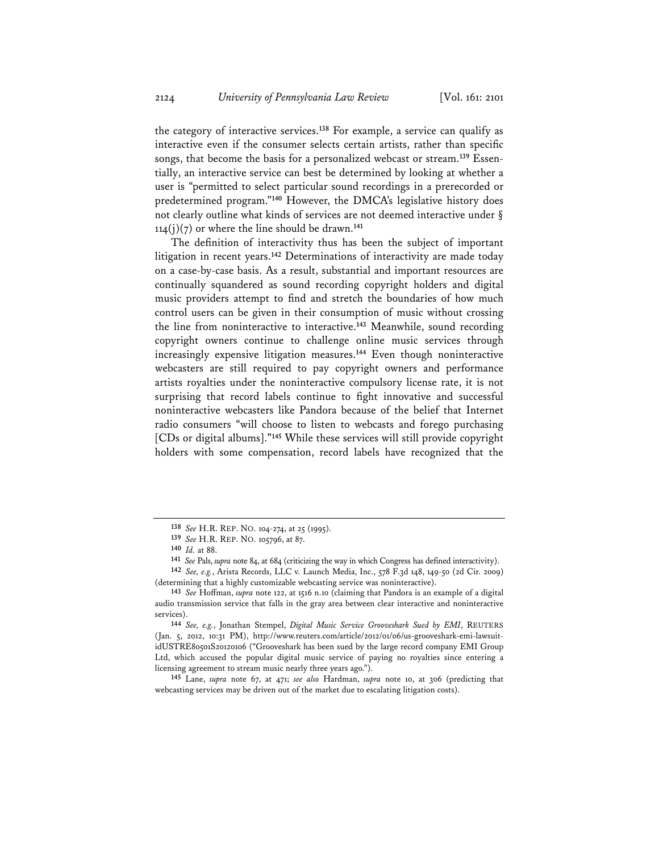the category of interactive services.**<sup>138</sup>** For example, a service can qualify as interactive even if the consumer selects certain artists, rather than specific songs, that become the basis for a personalized webcast or stream.**139** Essentially, an interactive service can best be determined by looking at whether a user is "permitted to select particular sound recordings in a prerecorded or predetermined program."**<sup>140</sup>** However, the DMCA's legislative history does not clearly outline what kinds of services are not deemed interactive under §  $114(j)(7)$  or where the line should be drawn.<sup>141</sup>

The definition of interactivity thus has been the subject of important litigation in recent years.**<sup>142</sup>** Determinations of interactivity are made today on a case-by-case basis. As a result, substantial and important resources are continually squandered as sound recording copyright holders and digital music providers attempt to find and stretch the boundaries of how much control users can be given in their consumption of music without crossing the line from noninteractive to interactive.**<sup>143</sup>** Meanwhile, sound recording copyright owners continue to challenge online music services through increasingly expensive litigation measures.**<sup>144</sup>** Even though noninteractive webcasters are still required to pay copyright owners and performance artists royalties under the noninteractive compulsory license rate, it is not surprising that record labels continue to fight innovative and successful noninteractive webcasters like Pandora because of the belief that Internet radio consumers "will choose to listen to webcasts and forego purchasing [CDs or digital albums]."**<sup>145</sup>** While these services will still provide copyright holders with some compensation, record labels have recognized that the

**145** Lane, *supra* note 67, at 471; *see also* Hardman, *supra* note 10, at 306 (predicting that webcasting services may be driven out of the market due to escalating litigation costs).

**<sup>138</sup>** *See* H.R. REP. NO. 104-274, at 25 (1995).

**<sup>139</sup>** *See* H.R. REP. NO. 105796, at 87.

**<sup>140</sup>** *Id.* at 88.

**<sup>141</sup>** *See* Pals, *supra* note 84, at 684 (criticizing the way in which Congress has defined interactivity).

**<sup>142</sup>** *See, e.g.*, Arista Records, LLC v. Launch Media, Inc., 578 F.3d 148, 149-50 (2d Cir. 2009) (determining that a highly customizable webcasting service was noninteractive).

**<sup>143</sup>** *See* Hoffman, *supra* note 122, at 1516 n.10 (claiming that Pandora is an example of a digital audio transmission service that falls in the gray area between clear interactive and noninteractive services).

**<sup>144</sup>** *See, e.g.*, Jonathan Stempel, *Digital Music Service Grooveshark Sued by EMI*, REUTERS (Jan. 5, 2012, 10:31 PM), http://www.reuters.com/article/2012/01/06/us-grooveshark-emi-lawsuitidUSTRE80501S20120106 ("Grooveshark has been sued by the large record company EMI Group Ltd, which accused the popular digital music service of paying no royalties since entering a licensing agreement to stream music nearly three years ago.").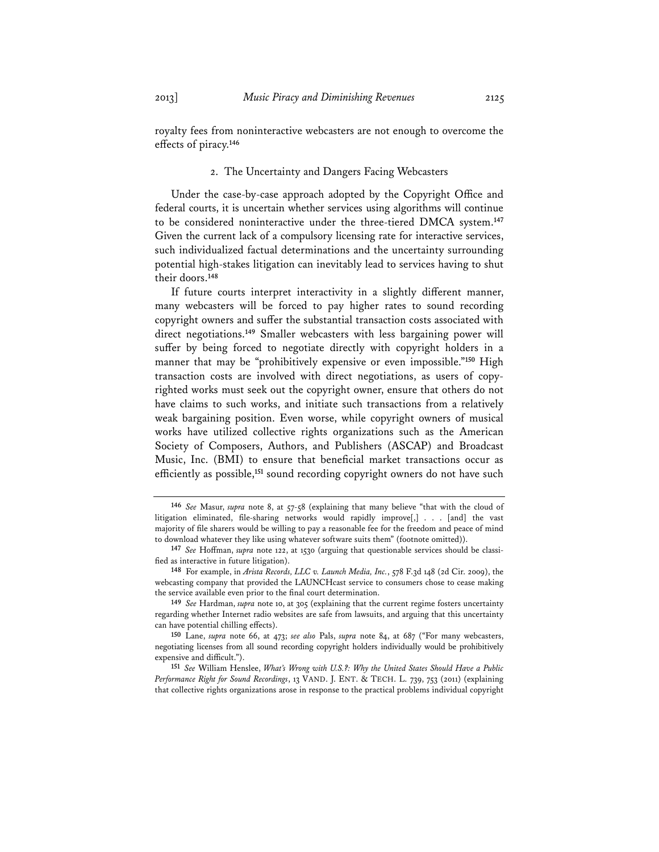royalty fees from noninteractive webcasters are not enough to overcome the effects of piracy.**<sup>146</sup>**

#### 2. The Uncertainty and Dangers Facing Webcasters

Under the case-by-case approach adopted by the Copyright Office and federal courts, it is uncertain whether services using algorithms will continue to be considered noninteractive under the three-tiered DMCA system.**<sup>147</sup>** Given the current lack of a compulsory licensing rate for interactive services, such individualized factual determinations and the uncertainty surrounding potential high-stakes litigation can inevitably lead to services having to shut their doors.**<sup>148</sup>**

If future courts interpret interactivity in a slightly different manner, many webcasters will be forced to pay higher rates to sound recording copyright owners and suffer the substantial transaction costs associated with direct negotiations.**<sup>149</sup>** Smaller webcasters with less bargaining power will suffer by being forced to negotiate directly with copyright holders in a manner that may be "prohibitively expensive or even impossible."**<sup>150</sup>** High transaction costs are involved with direct negotiations, as users of copyrighted works must seek out the copyright owner, ensure that others do not have claims to such works, and initiate such transactions from a relatively weak bargaining position. Even worse, while copyright owners of musical works have utilized collective rights organizations such as the American Society of Composers, Authors, and Publishers (ASCAP) and Broadcast Music, Inc. (BMI) to ensure that beneficial market transactions occur as efficiently as possible,**<sup>151</sup>** sound recording copyright owners do not have such

**<sup>146</sup>** *See* Masur, *supra* note 8, at 57-58 (explaining that many believe "that with the cloud of litigation eliminated, file-sharing networks would rapidly improve[,] . . . [and] the vast majority of file sharers would be willing to pay a reasonable fee for the freedom and peace of mind to download whatever they like using whatever software suits them" (footnote omitted)).

**<sup>147</sup>** *See* Hoffman, *supra* note 122, at 1530 (arguing that questionable services should be classified as interactive in future litigation).

**<sup>148</sup>** For example, in *Arista Records, LLC v. Launch Media, Inc.*, 578 F.3d 148 (2d Cir. 2009), the webcasting company that provided the LAUNCHcast service to consumers chose to cease making the service available even prior to the final court determination.

**<sup>149</sup>** *See* Hardman, *supra* note 10, at 305 (explaining that the current regime fosters uncertainty regarding whether Internet radio websites are safe from lawsuits, and arguing that this uncertainty can have potential chilling effects).

**<sup>150</sup>** Lane, *supra* note 66, at 473; *see also* Pals, *supra* note 84, at 687 ("For many webcasters, negotiating licenses from all sound recording copyright holders individually would be prohibitively expensive and difficult.").

**<sup>151</sup>** *See* William Henslee, *What's Wrong with U.S.?: Why the United States Should Have a Public Performance Right for Sound Recordings*, 13 VAND. J. ENT. & TECH. L. 739, 753 (2011) (explaining that collective rights organizations arose in response to the practical problems individual copyright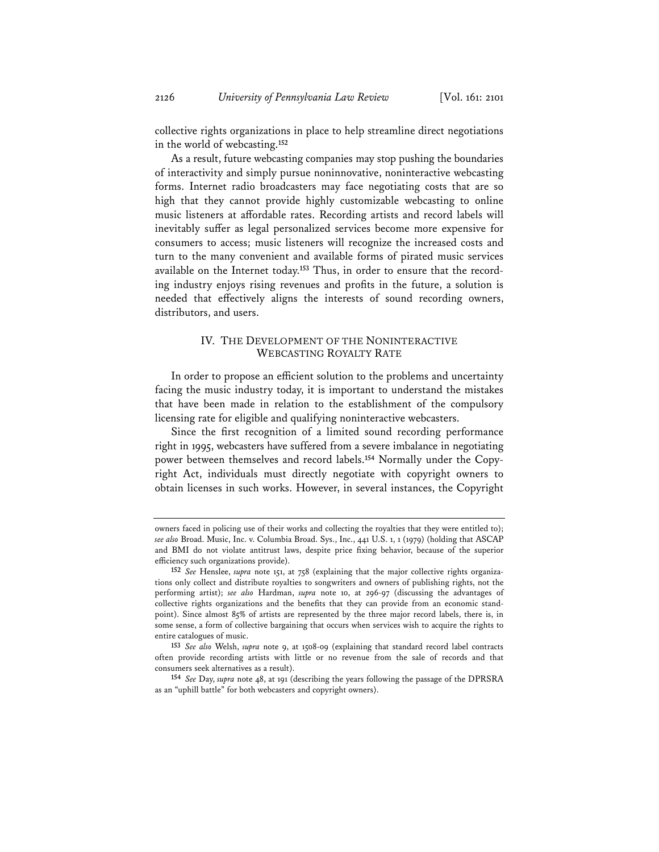collective rights organizations in place to help streamline direct negotiations in the world of webcasting.**<sup>152</sup>**

As a result, future webcasting companies may stop pushing the boundaries of interactivity and simply pursue noninnovative, noninteractive webcasting forms. Internet radio broadcasters may face negotiating costs that are so high that they cannot provide highly customizable webcasting to online music listeners at affordable rates. Recording artists and record labels will inevitably suffer as legal personalized services become more expensive for consumers to access; music listeners will recognize the increased costs and turn to the many convenient and available forms of pirated music services available on the Internet today.**153** Thus, in order to ensure that the recording industry enjoys rising revenues and profits in the future, a solution is needed that effectively aligns the interests of sound recording owners, distributors, and users.

# IV. THE DEVELOPMENT OF THE NONINTERACTIVE WEBCASTING ROYALTY RATE

In order to propose an efficient solution to the problems and uncertainty facing the music industry today, it is important to understand the mistakes that have been made in relation to the establishment of the compulsory licensing rate for eligible and qualifying noninteractive webcasters.

Since the first recognition of a limited sound recording performance right in 1995, webcasters have suffered from a severe imbalance in negotiating power between themselves and record labels.**154** Normally under the Copyright Act, individuals must directly negotiate with copyright owners to obtain licenses in such works. However, in several instances, the Copyright

owners faced in policing use of their works and collecting the royalties that they were entitled to); *see also* Broad. Music, Inc. v. Columbia Broad. Sys., Inc., 441 U.S. 1, 1 (1979) (holding that ASCAP and BMI do not violate antitrust laws, despite price fixing behavior, because of the superior efficiency such organizations provide).

**<sup>152</sup>** *See* Henslee, *supra* note 151, at 758 (explaining that the major collective rights organizations only collect and distribute royalties to songwriters and owners of publishing rights, not the performing artist); *see also* Hardman, *supra* note 10, at 296-97 (discussing the advantages of collective rights organizations and the benefits that they can provide from an economic standpoint). Since almost 85% of artists are represented by the three major record labels, there is, in some sense, a form of collective bargaining that occurs when services wish to acquire the rights to entire catalogues of music.

**<sup>153</sup>** *See also* Welsh, *supra* note 9, at 1508-09 (explaining that standard record label contracts often provide recording artists with little or no revenue from the sale of records and that consumers seek alternatives as a result).

**<sup>154</sup>** *See* Day, *supra* note 48, at 191 (describing the years following the passage of the DPRSRA as an "uphill battle" for both webcasters and copyright owners).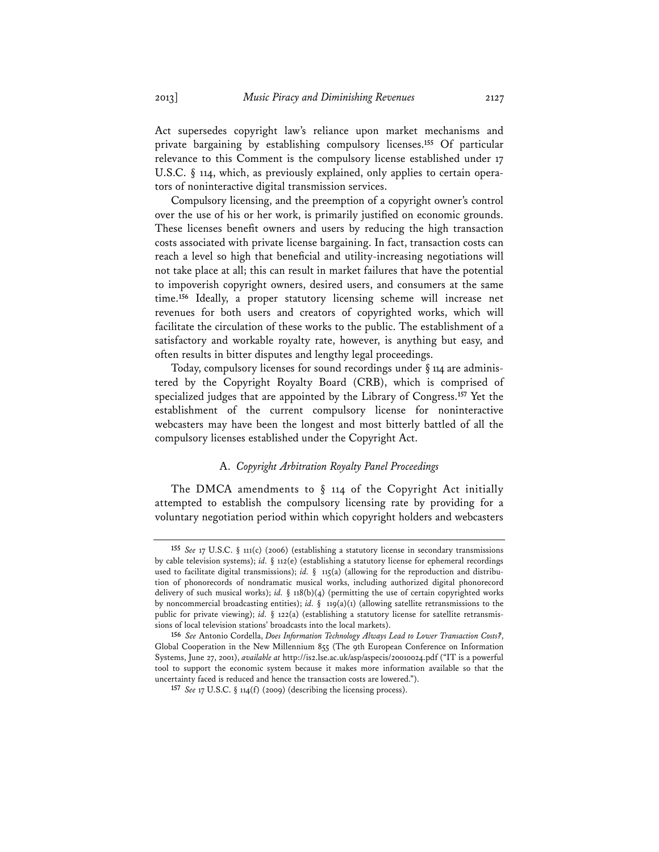Act supersedes copyright law's reliance upon market mechanisms and private bargaining by establishing compulsory licenses.**<sup>155</sup>** Of particular relevance to this Comment is the compulsory license established under 17 U.S.C.  $\S$  114, which, as previously explained, only applies to certain operators of noninteractive digital transmission services.

Compulsory licensing, and the preemption of a copyright owner's control over the use of his or her work, is primarily justified on economic grounds. These licenses benefit owners and users by reducing the high transaction costs associated with private license bargaining. In fact, transaction costs can reach a level so high that beneficial and utility-increasing negotiations will not take place at all; this can result in market failures that have the potential to impoverish copyright owners, desired users, and consumers at the same time.**<sup>156</sup>** Ideally, a proper statutory licensing scheme will increase net revenues for both users and creators of copyrighted works, which will facilitate the circulation of these works to the public. The establishment of a satisfactory and workable royalty rate, however, is anything but easy, and often results in bitter disputes and lengthy legal proceedings.

Today, compulsory licenses for sound recordings under § 114 are administered by the Copyright Royalty Board (CRB), which is comprised of specialized judges that are appointed by the Library of Congress.**<sup>157</sup>** Yet the establishment of the current compulsory license for noninteractive webcasters may have been the longest and most bitterly battled of all the compulsory licenses established under the Copyright Act.

# A. *Copyright Arbitration Royalty Panel Proceedings*

The DMCA amendments to  $\S$  114 of the Copyright Act initially attempted to establish the compulsory licensing rate by providing for a voluntary negotiation period within which copyright holders and webcasters

**<sup>155</sup>** *See* 17 U.S.C. § 111(c) (2006) (establishing a statutory license in secondary transmissions by cable television systems); *id.* § 112(e) (establishing a statutory license for ephemeral recordings used to facilitate digital transmissions); *id.* § 115(a) (allowing for the reproduction and distribution of phonorecords of nondramatic musical works, including authorized digital phonorecord delivery of such musical works); *id.* § 118(b)(4) (permitting the use of certain copyrighted works by noncommercial broadcasting entities); *id.* § 119(a)(1) (allowing satellite retransmissions to the public for private viewing); *id.* § 122(a) (establishing a statutory license for satellite retransmissions of local television stations' broadcasts into the local markets).

**<sup>156</sup>** *See* Antonio Cordella, *Does Information Technology Always Lead to Lower Transaction Costs?*, Global Cooperation in the New Millennium 855 (The 9th European Conference on Information Systems, June 27, 2001), *available at* http://is2.lse.ac.uk/asp/aspecis/20010024.pdf ("IT is a powerful tool to support the economic system because it makes more information available so that the uncertainty faced is reduced and hence the transaction costs are lowered.").

**<sup>157</sup>** *See* 17 U.S.C. § 114(f) (2009) (describing the licensing process).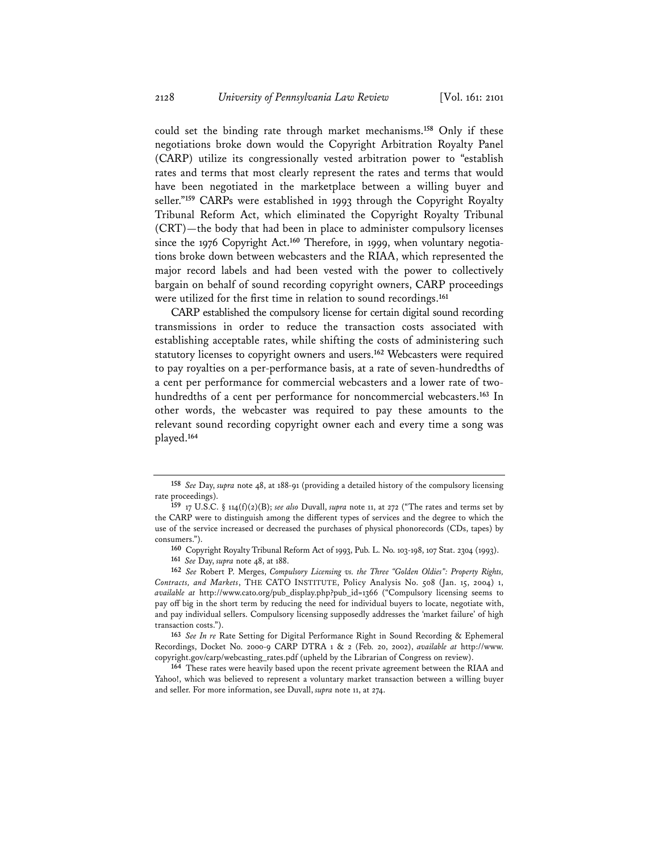could set the binding rate through market mechanisms.**<sup>158</sup>** Only if these negotiations broke down would the Copyright Arbitration Royalty Panel (CARP) utilize its congressionally vested arbitration power to "establish rates and terms that most clearly represent the rates and terms that would have been negotiated in the marketplace between a willing buyer and seller."**<sup>159</sup>** CARPs were established in 1993 through the Copyright Royalty Tribunal Reform Act, which eliminated the Copyright Royalty Tribunal (CRT)—the body that had been in place to administer compulsory licenses since the 1976 Copyright Act.**160** Therefore, in 1999, when voluntary negotiations broke down between webcasters and the RIAA, which represented the major record labels and had been vested with the power to collectively bargain on behalf of sound recording copyright owners, CARP proceedings were utilized for the first time in relation to sound recordings.**<sup>161</sup>**

CARP established the compulsory license for certain digital sound recording transmissions in order to reduce the transaction costs associated with establishing acceptable rates, while shifting the costs of administering such statutory licenses to copyright owners and users.**<sup>162</sup>** Webcasters were required to pay royalties on a per-performance basis, at a rate of seven-hundredths of a cent per performance for commercial webcasters and a lower rate of twohundredths of a cent per performance for noncommercial webcasters.**<sup>163</sup>** In other words, the webcaster was required to pay these amounts to the relevant sound recording copyright owner each and every time a song was played.**<sup>164</sup>**

**<sup>158</sup>** *See* Day, *supra* note 48, at 188-91 (providing a detailed history of the compulsory licensing rate proceedings).

**<sup>159</sup>** 17 U.S.C. § 114(f)(2)(B); *see also* Duvall, *supra* note 11, at 272 ("The rates and terms set by the CARP were to distinguish among the different types of services and the degree to which the use of the service increased or decreased the purchases of physical phonorecords (CDs, tapes) by consumers.").

**<sup>160</sup>** Copyright Royalty Tribunal Reform Act of 1993, Pub. L. No. 103-198, 107 Stat. 2304 (1993).

**<sup>161</sup>** *See* Day, *supra* note 48, at 188.

**<sup>162</sup>** *See* Robert P. Merges, *Compulsory Licensing vs. the Three "Golden Oldies": Property Rights, Contracts, and Markets*, THE CATO INSTITUTE, Policy Analysis No. 508 (Jan. 15, 2004) 1, *available at* http://www.cato.org/pub\_display.php?pub\_id=1366 ("Compulsory licensing seems to pay off big in the short term by reducing the need for individual buyers to locate, negotiate with, and pay individual sellers. Compulsory licensing supposedly addresses the 'market failure' of high transaction costs.").

**<sup>163</sup>** *See In re* Rate Setting for Digital Performance Right in Sound Recording & Ephemeral Recordings, Docket No. 2000-9 CARP DTRA 1 & 2 (Feb. 20, 2002), *available at* http://www. copyright.gov/carp/webcasting\_rates.pdf (upheld by the Librarian of Congress on review).

**<sup>164</sup>** These rates were heavily based upon the recent private agreement between the RIAA and Yahoo!, which was believed to represent a voluntary market transaction between a willing buyer and seller. For more information, see Duvall, *supra* note 11, at 274.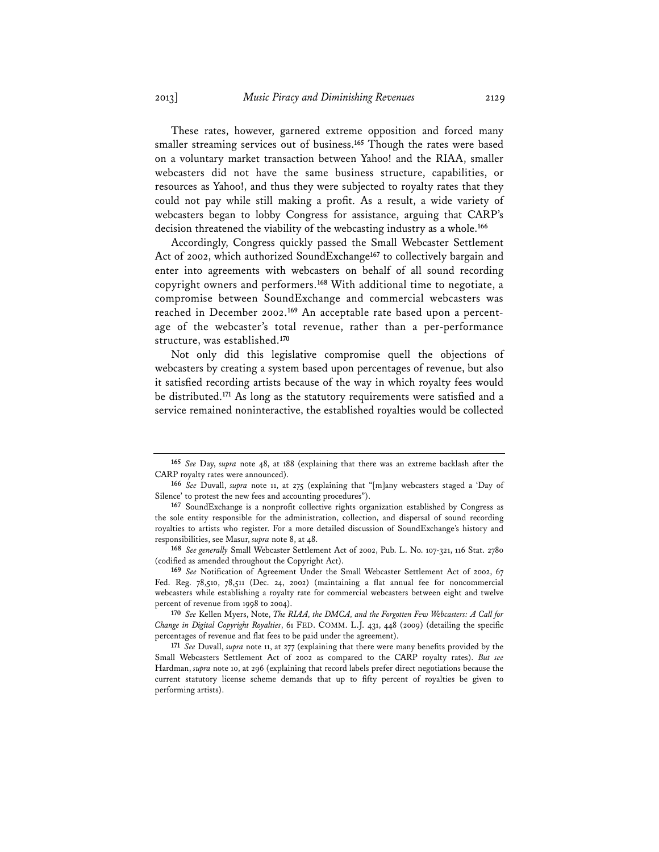These rates, however, garnered extreme opposition and forced many smaller streaming services out of business.**<sup>165</sup>** Though the rates were based on a voluntary market transaction between Yahoo! and the RIAA, smaller webcasters did not have the same business structure, capabilities, or resources as Yahoo!, and thus they were subjected to royalty rates that they could not pay while still making a profit. As a result, a wide variety of webcasters began to lobby Congress for assistance, arguing that CARP's decision threatened the viability of the webcasting industry as a whole.**<sup>166</sup>**

Accordingly, Congress quickly passed the Small Webcaster Settlement Act of 2002, which authorized SoundExchange**<sup>167</sup>** to collectively bargain and enter into agreements with webcasters on behalf of all sound recording copyright owners and performers.**<sup>168</sup>** With additional time to negotiate, a compromise between SoundExchange and commercial webcasters was reached in December 2002.**169** An acceptable rate based upon a percentage of the webcaster's total revenue, rather than a per-performance structure, was established.**<sup>170</sup>**

Not only did this legislative compromise quell the objections of webcasters by creating a system based upon percentages of revenue, but also it satisfied recording artists because of the way in which royalty fees would be distributed.**<sup>171</sup>** As long as the statutory requirements were satisfied and a service remained noninteractive, the established royalties would be collected

**<sup>165</sup>** *See* Day, *supra* note 48, at 188 (explaining that there was an extreme backlash after the CARP royalty rates were announced).

**<sup>166</sup>** *See* Duvall, *supra* note 11, at 275 (explaining that "[m]any webcasters staged a 'Day of Silence' to protest the new fees and accounting procedures").

**<sup>167</sup>** SoundExchange is a nonprofit collective rights organization established by Congress as the sole entity responsible for the administration, collection, and dispersal of sound recording royalties to artists who register. For a more detailed discussion of SoundExchange's history and responsibilities, see Masur, *supra* note 8, at 48.

**<sup>168</sup>** *See generally* Small Webcaster Settlement Act of 2002, Pub. L. No. 107-321, 116 Stat. 2780 (codified as amended throughout the Copyright Act).

**<sup>169</sup>** *See* Notification of Agreement Under the Small Webcaster Settlement Act of 2002, 67 Fed. Reg. 78,510, 78,511 (Dec. 24, 2002) (maintaining a flat annual fee for noncommercial webcasters while establishing a royalty rate for commercial webcasters between eight and twelve percent of revenue from 1998 to 2004).

**<sup>170</sup>** *See* Kellen Myers, Note, *The RIAA, the DMCA, and the Forgotten Few Webcasters: A Call for Change in Digital Copyright Royalties*, 61 FED. COMM. L.J. 431, 448 (2009) (detailing the specific percentages of revenue and flat fees to be paid under the agreement).

**<sup>171</sup>** *See* Duvall, *supra* note 11, at 277 (explaining that there were many benefits provided by the Small Webcasters Settlement Act of 2002 as compared to the CARP royalty rates). *But see* Hardman, *supra* note 10, at 296 (explaining that record labels prefer direct negotiations because the current statutory license scheme demands that up to fifty percent of royalties be given to performing artists).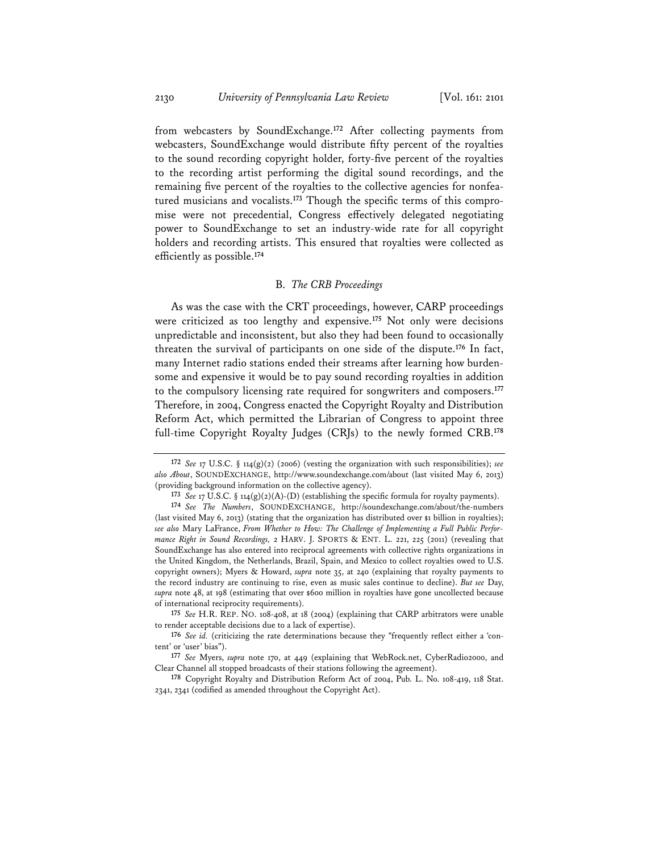from webcasters by SoundExchange.**<sup>172</sup>** After collecting payments from webcasters, SoundExchange would distribute fifty percent of the royalties to the sound recording copyright holder, forty-five percent of the royalties to the recording artist performing the digital sound recordings, and the remaining five percent of the royalties to the collective agencies for nonfeatured musicians and vocalists.**173** Though the specific terms of this compromise were not precedential, Congress effectively delegated negotiating power to SoundExchange to set an industry-wide rate for all copyright holders and recording artists. This ensured that royalties were collected as efficiently as possible.**<sup>174</sup>**

# B. *The CRB Proceedings*

As was the case with the CRT proceedings, however, CARP proceedings were criticized as too lengthy and expensive.**<sup>175</sup>** Not only were decisions unpredictable and inconsistent, but also they had been found to occasionally threaten the survival of participants on one side of the dispute.**<sup>176</sup>** In fact, many Internet radio stations ended their streams after learning how burdensome and expensive it would be to pay sound recording royalties in addition to the compulsory licensing rate required for songwriters and composers.**<sup>177</sup>** Therefore, in 2004, Congress enacted the Copyright Royalty and Distribution Reform Act, which permitted the Librarian of Congress to appoint three full-time Copyright Royalty Judges (CRJs) to the newly formed CRB.**<sup>178</sup>**

**<sup>172</sup>** *See* 17 U.S.C. § 114(g)(2) (2006) (vesting the organization with such responsibilities); *see also About*, SOUNDEXCHANGE, http://www.soundexchange.com/about (last visited May 6, 2013) (providing background information on the collective agency).

**<sup>173</sup>** *See* 17 U.S.C. § 114(g)(2)(A)-(D) (establishing the specific formula for royalty payments).

**<sup>174</sup>** *See The Numbers*, SOUNDEXCHANGE, http://soundexchange.com/about/the-numbers (last visited May 6, 2013) (stating that the organization has distributed over \$1 billion in royalties); *see also* Mary LaFrance, *From Whether to How: The Challenge of Implementing a Full Public Performance Right in Sound Recordings,* 2 HARV. J. SPORTS & ENT. L. 221, 225 (2011) (revealing that SoundExchange has also entered into reciprocal agreements with collective rights organizations in the United Kingdom, the Netherlands, Brazil, Spain, and Mexico to collect royalties owed to U.S. copyright owners); Myers & Howard, *supra* note 35, at 240 (explaining that royalty payments to the record industry are continuing to rise, even as music sales continue to decline). *But see* Day, *supra* note 48, at 198 (estimating that over \$600 million in royalties have gone uncollected because of international reciprocity requirements).

**<sup>175</sup>** *See* H.R. REP. NO. 108-408, at 18 (2004) (explaining that CARP arbitrators were unable to render acceptable decisions due to a lack of expertise).

**<sup>176</sup>** *See id.* (criticizing the rate determinations because they "frequently reflect either a 'content' or 'user' bias").

**<sup>177</sup>** *See* Myers, *supra* note 170, at 449 (explaining that WebRock.net, CyberRadio2000, and Clear Channel all stopped broadcasts of their stations following the agreement).

**<sup>178</sup>** Copyright Royalty and Distribution Reform Act of 2004, Pub. L. No. 108-419, 118 Stat. 2341, 2341 (codified as amended throughout the Copyright Act).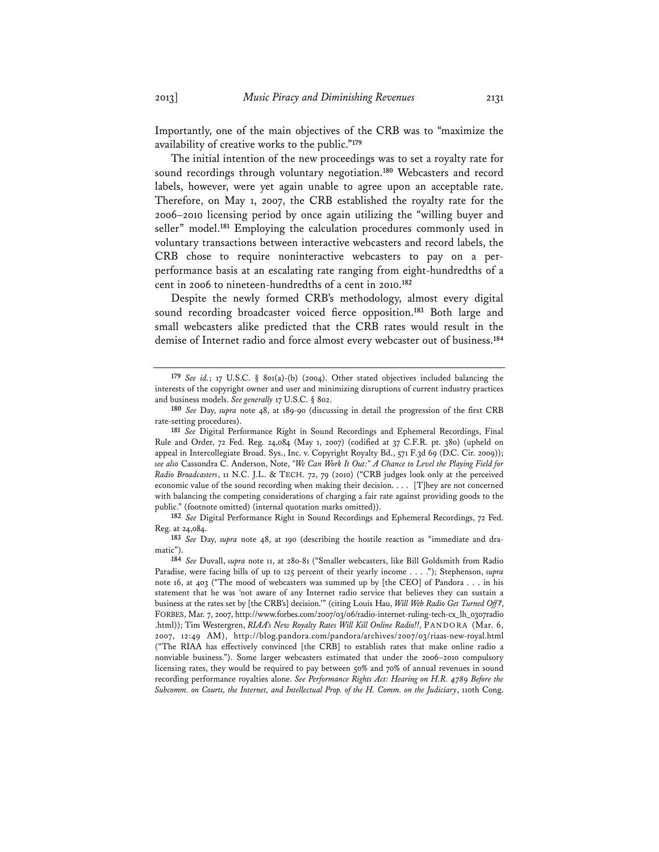Importantly, one of the main objectives of the CRB was to "maximize the availability of creative works to the public."**<sup>179</sup>**

The initial intention of the new proceedings was to set a royalty rate for sound recordings through voluntary negotiation.**<sup>180</sup>** Webcasters and record labels, however, were yet again unable to agree upon an acceptable rate. Therefore, on May 1, 2007, the CRB established the royalty rate for the 2006–2010 licensing period by once again utilizing the "willing buyer and seller" model.**<sup>181</sup>** Employing the calculation procedures commonly used in voluntary transactions between interactive webcasters and record labels, the CRB chose to require noninteractive webcasters to pay on a perperformance basis at an escalating rate ranging from eight-hundredths of a cent in 2006 to nineteen-hundredths of a cent in 2010.**<sup>182</sup>**

Despite the newly formed CRB's methodology, almost every digital sound recording broadcaster voiced fierce opposition.**<sup>183</sup>** Both large and small webcasters alike predicted that the CRB rates would result in the demise of Internet radio and force almost every webcaster out of business.**<sup>184</sup>**

**182** *See* Digital Performance Right in Sound Recordings and Ephemeral Recordings, 72 Fed. Reg. at 24,084.

**183** *See* Day, *supra* note 48, at 190 (describing the hostile reaction as "immediate and dramatic").

**<sup>179</sup>** *See id.*; 17 U.S.C. § 801(a)-(b) (2004). Other stated objectives included balancing the interests of the copyright owner and user and minimizing disruptions of current industry practices and business models. *See generally* 17 U.S.C. § 802.

**<sup>180</sup>** *See* Day, *supra* note 48, at 189-90 (discussing in detail the progression of the first CRB rate-setting procedures).

**<sup>181</sup>** *See* Digital Performance Right in Sound Recordings and Ephemeral Recordings, Final Rule and Order, 72 Fed. Reg. 24,084 (May 1, 2007) (codified at 37 C.F.R. pt. 380) (upheld on appeal in Intercollegiate Broad. Sys., Inc. v. Copyright Royalty Bd., 571 F.3d 69 (D.C. Cir. 2009)); *see also* Cassondra C. Anderson, Note, *"We Can Work It Out:" A Chance to Level the Playing Field for Radio Broadcasters*, 11 N.C. J.L. & TECH. 72, 79 (2010) ("CRB judges look only at the perceived economic value of the sound recording when making their decision. . . . [T]hey are not concerned with balancing the competing considerations of charging a fair rate against providing goods to the public." (footnote omitted) (internal quotation marks omitted)).

**<sup>184</sup>** *See* Duvall, *supra* note 11, at 280-81 ("Smaller webcasters, like Bill Goldsmith from Radio Paradise, were facing bills of up to 125 percent of their yearly income . . . ."); Stephenson, *supra* note 16, at 403 ("The mood of webcasters was summed up by [the CEO] of Pandora . . . in his statement that he was 'not aware of any Internet radio service that believes they can sustain a business at the rates set by [the CRB's] decision.'" (citing Louis Hau, *Will Web Radio Get Turned Off?*, FORBES, Mar. 7, 2007, http://www.forbes.com/2007/03/06/radio-internet-ruling-tech-cx\_lh\_0307radio .html)); Tim Westergren, *RIAA's New Royalty Rates Will Kill Online Radio!!*, PANDORA (Mar. 6, 2007, 12:49 AM), http://blog.pandora.com/pandora/archives/2007/03/riaas-new-royal.html ("The RIAA has effectively convinced [the CRB] to establish rates that make online radio a nonviable business."). Some larger webcasters estimated that under the 2006–2010 compulsory licensing rates, they would be required to pay between 50% and 70% of annual revenues in sound recording performance royalties alone. *See Performance Rights Act: Hearing on H.R. 4789 Before the Subcomm. on Courts, the Internet, and Intellectual Prop. of the H. Comm. on the Judiciary*, 110th Cong.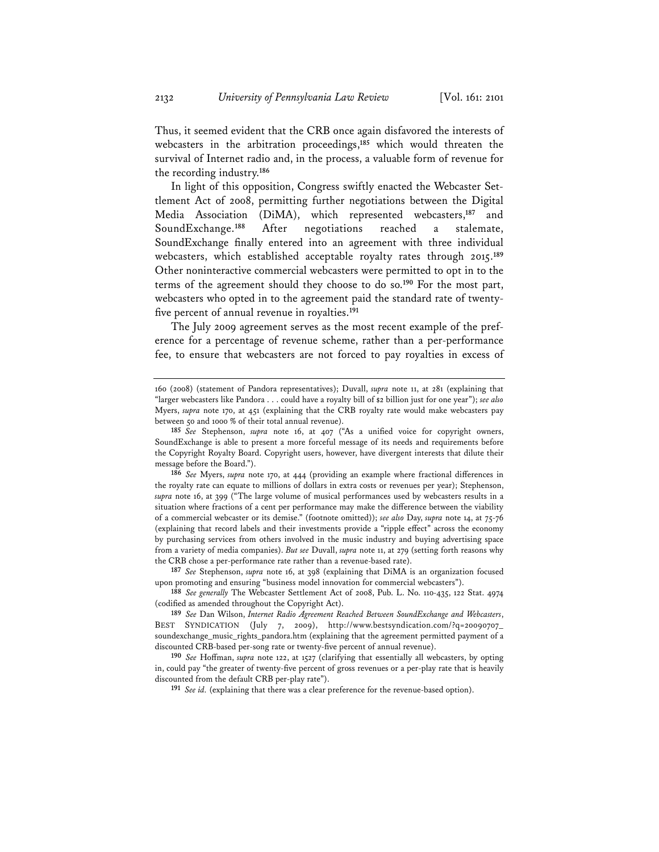Thus, it seemed evident that the CRB once again disfavored the interests of webcasters in the arbitration proceedings,**<sup>185</sup>** which would threaten the survival of Internet radio and, in the process, a valuable form of revenue for the recording industry.**<sup>186</sup>**

In light of this opposition, Congress swiftly enacted the Webcaster Settlement Act of 2008, permitting further negotiations between the Digital Media Association (DiMA), which represented webcasters,**<sup>187</sup>** and SoundExchange.**<sup>188</sup>** After negotiations reached a stalemate, SoundExchange finally entered into an agreement with three individual webcasters, which established acceptable royalty rates through 2015.**<sup>189</sup>** Other noninteractive commercial webcasters were permitted to opt in to the terms of the agreement should they choose to do so.**<sup>190</sup>** For the most part, webcasters who opted in to the agreement paid the standard rate of twentyfive percent of annual revenue in royalties.**<sup>191</sup>**

The July 2009 agreement serves as the most recent example of the preference for a percentage of revenue scheme, rather than a per-performance fee, to ensure that webcasters are not forced to pay royalties in excess of

<sup>160 (2008) (</sup>statement of Pandora representatives); Duvall, *supra* note 11, at 281 (explaining that "larger webcasters like Pandora . . . could have a royalty bill of \$2 billion just for one year"); *see also* Myers, *supra* note 170, at 451 (explaining that the CRB royalty rate would make webcasters pay between 50 and 1000 % of their total annual revenue).

**<sup>185</sup>** *See* Stephenson, *supra* note 16, at 407 ("As a unified voice for copyright owners, SoundExchange is able to present a more forceful message of its needs and requirements before the Copyright Royalty Board. Copyright users, however, have divergent interests that dilute their message before the Board.").

**<sup>186</sup>** *See* Myers, *supra* note 170, at 444 (providing an example where fractional differences in the royalty rate can equate to millions of dollars in extra costs or revenues per year); Stephenson, *supra* note 16, at 399 ("The large volume of musical performances used by webcasters results in a situation where fractions of a cent per performance may make the difference between the viability of a commercial webcaster or its demise." (footnote omitted)); *see also* Day, *supra* note 14, at 75-76 (explaining that record labels and their investments provide a "ripple effect" across the economy by purchasing services from others involved in the music industry and buying advertising space from a variety of media companies). *But see* Duvall, *supra* note 11, at 279 (setting forth reasons why the CRB chose a per-performance rate rather than a revenue-based rate).

**<sup>187</sup>** *See* Stephenson, *supra* note 16, at 398 (explaining that DiMA is an organization focused upon promoting and ensuring "business model innovation for commercial webcasters").

**<sup>188</sup>** *See generally* The Webcaster Settlement Act of 2008, Pub. L. No. 110-435, 122 Stat. 4974 (codified as amended throughout the Copyright Act).

**<sup>189</sup>** *See* Dan Wilson, *Internet Radio Agreement Reached Between SoundExchange and Webcasters*, BEST SYNDICATION (July 7, 2009), http://www.bestsyndication.com/?q=20090707\_ soundexchange\_music\_rights\_pandora.htm (explaining that the agreement permitted payment of a discounted CRB-based per-song rate or twenty-five percent of annual revenue).

**<sup>190</sup>** *See* Hoffman, *supra* note 122, at 1527 (clarifying that essentially all webcasters, by opting in, could pay "the greater of twenty-five percent of gross revenues or a per-play rate that is heavily discounted from the default CRB per-play rate").

**<sup>191</sup>** *See id.* (explaining that there was a clear preference for the revenue-based option).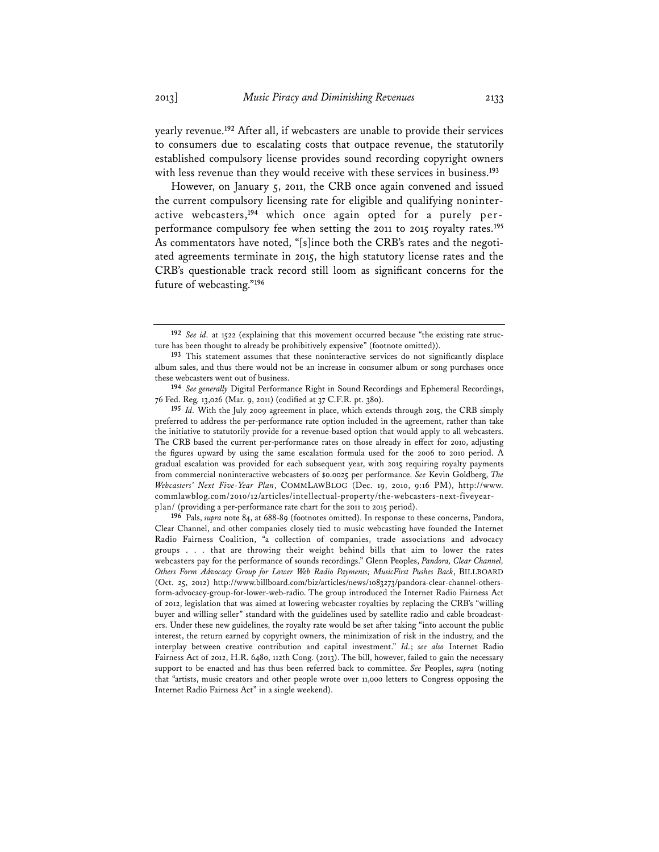yearly revenue.**<sup>192</sup>** After all, if webcasters are unable to provide their services to consumers due to escalating costs that outpace revenue, the statutorily established compulsory license provides sound recording copyright owners with less revenue than they would receive with these services in business.**<sup>193</sup>**

However, on January 5, 2011, the CRB once again convened and issued the current compulsory licensing rate for eligible and qualifying noninteractive webcasters,**194** which once again opted for a purely perperformance compulsory fee when setting the 2011 to 2015 royalty rates.**<sup>195</sup>** As commentators have noted, "[s]ince both the CRB's rates and the negotiated agreements terminate in 2015, the high statutory license rates and the CRB's questionable track record still loom as significant concerns for the future of webcasting."**<sup>196</sup>**

**<sup>192</sup>** *See id.* at 1522 (explaining that this movement occurred because "the existing rate structure has been thought to already be prohibitively expensive" (footnote omitted)).

**<sup>193</sup>** This statement assumes that these noninteractive services do not significantly displace album sales, and thus there would not be an increase in consumer album or song purchases once these webcasters went out of business.

**<sup>194</sup>** *See generally* Digital Performance Right in Sound Recordings and Ephemeral Recordings, 76 Fed. Reg. 13,026 (Mar. 9, 2011) (codified at 37 C.F.R. pt. 380).

**<sup>195</sup>** *Id.* With the July 2009 agreement in place, which extends through 2015, the CRB simply preferred to address the per-performance rate option included in the agreement, rather than take the initiative to statutorily provide for a revenue-based option that would apply to all webcasters. The CRB based the current per-performance rates on those already in effect for 2010, adjusting the figures upward by using the same escalation formula used for the 2006 to 2010 period. A gradual escalation was provided for each subsequent year, with 2015 requiring royalty payments from commercial noninteractive webcasters of \$0.0025 per performance. *See* Kevin Goldberg, *The Webcasters' Next Five-Year Plan*, COMMLAWBLOG (Dec. 19, 2010, 9:16 PM), http://www. commlawblog.com/2010/12/articles/intellectual-property/the-webcasters-next-fiveyearplan/ (providing a per-performance rate chart for the 2011 to 2015 period).

**<sup>196</sup>** Pals, *supra* note 84, at 688-89 (footnotes omitted). In response to these concerns, Pandora, Clear Channel, and other companies closely tied to music webcasting have founded the Internet Radio Fairness Coalition, "a collection of companies, trade associations and advocacy groups . . . that are throwing their weight behind bills that aim to lower the rates webcasters pay for the performance of sounds recordings." Glenn Peoples, *Pandora, Clear Channel, Others Form Advocacy Group for Lower Web Radio Payments; MusicFirst Pushes Back*, BILLBOARD (Oct. 25, 2012) http://www.billboard.com/biz/articles/news/1083273/pandora-clear-channel-othersform-advocacy-group-for-lower-web-radio. The group introduced the Internet Radio Fairness Act of 2012, legislation that was aimed at lowering webcaster royalties by replacing the CRB's "willing buyer and willing seller" standard with the guidelines used by satellite radio and cable broadcasters. Under these new guidelines, the royalty rate would be set after taking "into account the public interest, the return earned by copyright owners, the minimization of risk in the industry, and the interplay between creative contribution and capital investment." *Id.*; *see also* Internet Radio Fairness Act of 2012, H.R. 6480, 112th Cong. (2013). The bill, however, failed to gain the necessary support to be enacted and has thus been referred back to committee. *See* Peoples, *supra* (noting that "artists, music creators and other people wrote over 11,000 letters to Congress opposing the Internet Radio Fairness Act" in a single weekend).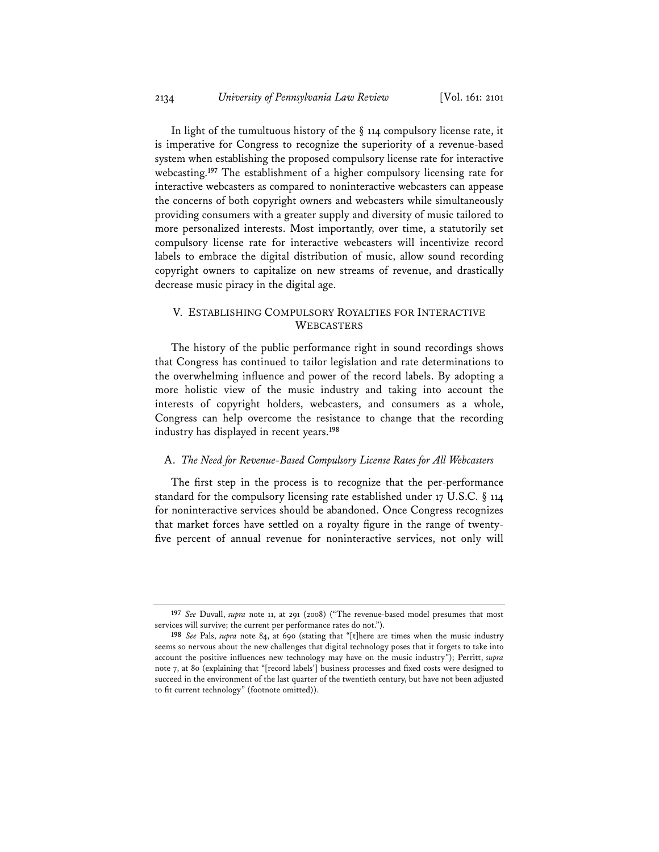In light of the tumultuous history of the  $\S$  114 compulsory license rate, it is imperative for Congress to recognize the superiority of a revenue-based system when establishing the proposed compulsory license rate for interactive webcasting.**<sup>197</sup>** The establishment of a higher compulsory licensing rate for interactive webcasters as compared to noninteractive webcasters can appease the concerns of both copyright owners and webcasters while simultaneously providing consumers with a greater supply and diversity of music tailored to more personalized interests. Most importantly, over time, a statutorily set compulsory license rate for interactive webcasters will incentivize record labels to embrace the digital distribution of music, allow sound recording copyright owners to capitalize on new streams of revenue, and drastically decrease music piracy in the digital age.

# V. ESTABLISHING COMPULSORY ROYALTIES FOR INTERACTIVE WEBCASTERS

The history of the public performance right in sound recordings shows that Congress has continued to tailor legislation and rate determinations to the overwhelming influence and power of the record labels. By adopting a more holistic view of the music industry and taking into account the interests of copyright holders, webcasters, and consumers as a whole, Congress can help overcome the resistance to change that the recording industry has displayed in recent years.**<sup>198</sup>**

#### A. *The Need for Revenue-Based Compulsory License Rates for All Webcasters*

The first step in the process is to recognize that the per-performance standard for the compulsory licensing rate established under 17 U.S.C. § 114 for noninteractive services should be abandoned. Once Congress recognizes that market forces have settled on a royalty figure in the range of twentyfive percent of annual revenue for noninteractive services, not only will

**<sup>197</sup>** *See* Duvall, *supra* note 11, at 291 (2008) ("The revenue-based model presumes that most services will survive; the current per performance rates do not.").

**<sup>198</sup>** *See* Pals, *supra* note 84, at 690 (stating that "[t]here are times when the music industry seems so nervous about the new challenges that digital technology poses that it forgets to take into account the positive influences new technology may have on the music industry"); Perritt, *supra* note 7, at 80 (explaining that "[record labels'] business processes and fixed costs were designed to succeed in the environment of the last quarter of the twentieth century, but have not been adjusted to fit current technology" (footnote omitted)).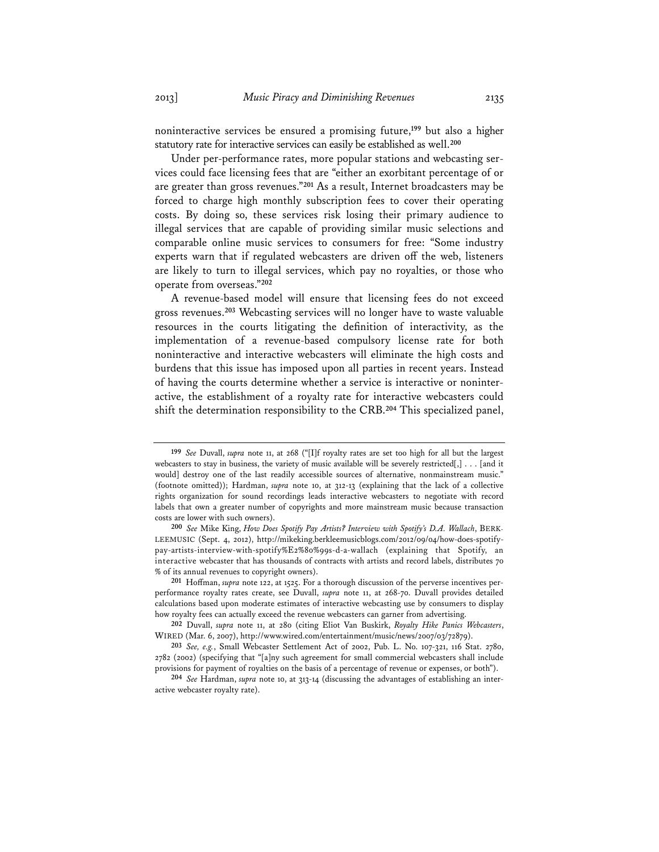noninteractive services be ensured a promising future,**<sup>199</sup>** but also a higher statutory rate for interactive services can easily be established as well.**<sup>200</sup>**

Under per-performance rates, more popular stations and webcasting services could face licensing fees that are "either an exorbitant percentage of or are greater than gross revenues."**<sup>201</sup>** As a result, Internet broadcasters may be forced to charge high monthly subscription fees to cover their operating costs. By doing so, these services risk losing their primary audience to illegal services that are capable of providing similar music selections and comparable online music services to consumers for free: "Some industry experts warn that if regulated webcasters are driven off the web, listeners are likely to turn to illegal services, which pay no royalties, or those who operate from overseas."**<sup>202</sup>**

A revenue-based model will ensure that licensing fees do not exceed gross revenues.**<sup>203</sup>** Webcasting services will no longer have to waste valuable resources in the courts litigating the definition of interactivity, as the implementation of a revenue-based compulsory license rate for both noninteractive and interactive webcasters will eliminate the high costs and burdens that this issue has imposed upon all parties in recent years. Instead of having the courts determine whether a service is interactive or noninteractive, the establishment of a royalty rate for interactive webcasters could shift the determination responsibility to the CRB.**<sup>204</sup>** This specialized panel,

**<sup>199</sup>** *See* Duvall, *supra* note 11, at 268 ("[I]f royalty rates are set too high for all but the largest webcasters to stay in business, the variety of music available will be severely restricted[,] . . . [and it would] destroy one of the last readily accessible sources of alternative, nonmainstream music." (footnote omitted)); Hardman, *supra* note 10, at 312-13 (explaining that the lack of a collective rights organization for sound recordings leads interactive webcasters to negotiate with record labels that own a greater number of copyrights and more mainstream music because transaction costs are lower with such owners).

**<sup>200</sup>** *See* Mike King, *How Does Spotify Pay Artists? Interview with Spotify's D.A. Wallach*, BERK-LEEMUSIC (Sept. 4, 2012), http://mikeking.berkleemusicblogs.com/2012/09/04/how-does-spotifypay-artists-interview-with-spotify%E2%80%99s-d-a-wallach (explaining that Spotify, an interactive webcaster that has thousands of contracts with artists and record labels, distributes 70 % of its annual revenues to copyright owners).

**<sup>201</sup>** Hoffman, *supra* note 122, at 1525. For a thorough discussion of the perverse incentives perperformance royalty rates create, see Duvall, *supra* note 11, at 268-70. Duvall provides detailed calculations based upon moderate estimates of interactive webcasting use by consumers to display how royalty fees can actually exceed the revenue webcasters can garner from advertising.

**<sup>202</sup>** Duvall, *supra* note 11, at 280 (citing Eliot Van Buskirk, *Royalty Hike Panics Webcasters*, WIRED (Mar. 6, 2007), http://www.wired.com/entertainment/music/news/2007/03/72879).

**<sup>203</sup>** *See, e.g.*, Small Webcaster Settlement Act of 2002, Pub. L. No. 107-321, 116 Stat. 2780, 2782 (2002) (specifying that "[a]ny such agreement for small commercial webcasters shall include provisions for payment of royalties on the basis of a percentage of revenue or expenses, or both").

**<sup>204</sup>** *See* Hardman, *supra* note 10, at 313-14 (discussing the advantages of establishing an interactive webcaster royalty rate).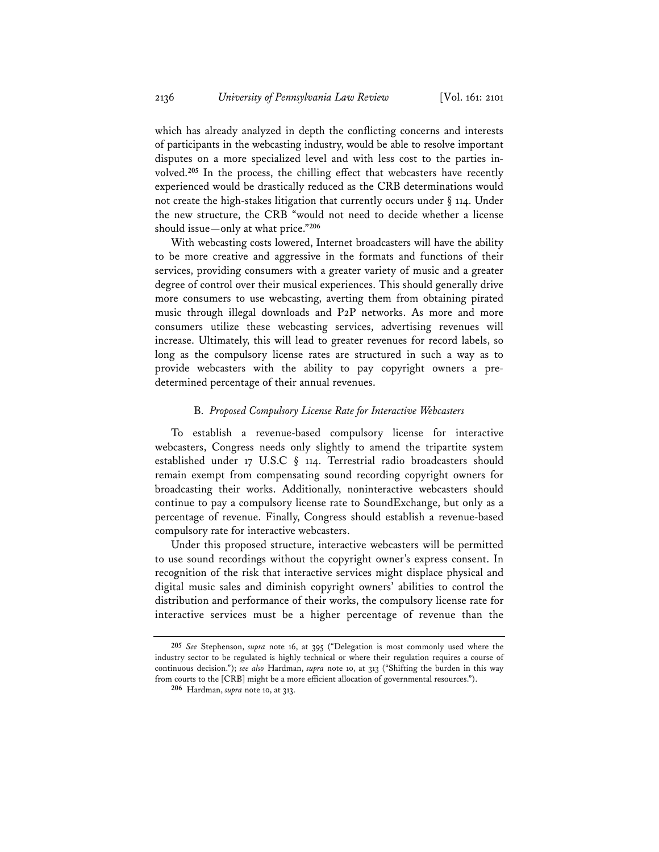which has already analyzed in depth the conflicting concerns and interests of participants in the webcasting industry, would be able to resolve important disputes on a more specialized level and with less cost to the parties involved.**<sup>205</sup>** In the process, the chilling effect that webcasters have recently experienced would be drastically reduced as the CRB determinations would not create the high-stakes litigation that currently occurs under § 114. Under the new structure, the CRB "would not need to decide whether a license should issue—only at what price."**<sup>206</sup>**

With webcasting costs lowered, Internet broadcasters will have the ability to be more creative and aggressive in the formats and functions of their services, providing consumers with a greater variety of music and a greater degree of control over their musical experiences. This should generally drive more consumers to use webcasting, averting them from obtaining pirated music through illegal downloads and P2P networks. As more and more consumers utilize these webcasting services, advertising revenues will increase. Ultimately, this will lead to greater revenues for record labels, so long as the compulsory license rates are structured in such a way as to provide webcasters with the ability to pay copyright owners a predetermined percentage of their annual revenues.

#### B. *Proposed Compulsory License Rate for Interactive Webcasters*

To establish a revenue-based compulsory license for interactive webcasters, Congress needs only slightly to amend the tripartite system established under 17 U.S.C § 114. Terrestrial radio broadcasters should remain exempt from compensating sound recording copyright owners for broadcasting their works. Additionally, noninteractive webcasters should continue to pay a compulsory license rate to SoundExchange, but only as a percentage of revenue. Finally, Congress should establish a revenue-based compulsory rate for interactive webcasters.

Under this proposed structure, interactive webcasters will be permitted to use sound recordings without the copyright owner's express consent. In recognition of the risk that interactive services might displace physical and digital music sales and diminish copyright owners' abilities to control the distribution and performance of their works, the compulsory license rate for interactive services must be a higher percentage of revenue than the

**<sup>205</sup>** *See* Stephenson, *supra* note 16, at 395 ("Delegation is most commonly used where the industry sector to be regulated is highly technical or where their regulation requires a course of continuous decision."); *see also* Hardman, *supra* note 10, at 313 ("Shifting the burden in this way from courts to the [CRB] might be a more efficient allocation of governmental resources.").

**<sup>206</sup>** Hardman, *supra* note 10, at 313.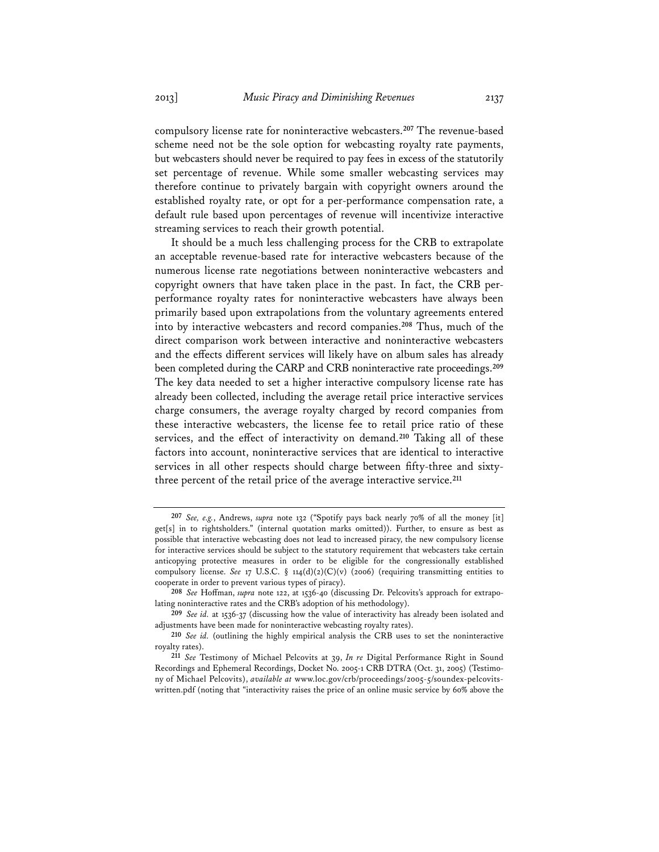compulsory license rate for noninteractive webcasters.**<sup>207</sup>** The revenue-based scheme need not be the sole option for webcasting royalty rate payments, but webcasters should never be required to pay fees in excess of the statutorily set percentage of revenue. While some smaller webcasting services may therefore continue to privately bargain with copyright owners around the established royalty rate, or opt for a per-performance compensation rate, a default rule based upon percentages of revenue will incentivize interactive streaming services to reach their growth potential.

It should be a much less challenging process for the CRB to extrapolate an acceptable revenue-based rate for interactive webcasters because of the numerous license rate negotiations between noninteractive webcasters and copyright owners that have taken place in the past. In fact, the CRB perperformance royalty rates for noninteractive webcasters have always been primarily based upon extrapolations from the voluntary agreements entered into by interactive webcasters and record companies.**<sup>208</sup>** Thus, much of the direct comparison work between interactive and noninteractive webcasters and the effects different services will likely have on album sales has already been completed during the CARP and CRB noninteractive rate proceedings.**<sup>209</sup>** The key data needed to set a higher interactive compulsory license rate has already been collected, including the average retail price interactive services charge consumers, the average royalty charged by record companies from these interactive webcasters, the license fee to retail price ratio of these services, and the effect of interactivity on demand.**<sup>210</sup>** Taking all of these factors into account, noninteractive services that are identical to interactive services in all other respects should charge between fifty-three and sixtythree percent of the retail price of the average interactive service.**<sup>211</sup>**

**<sup>207</sup>** *See, e.g.*, Andrews, *supra* note 132 ("Spotify pays back nearly 70% of all the money [it] get[s] in to rightsholders." (internal quotation marks omitted)). Further, to ensure as best as possible that interactive webcasting does not lead to increased piracy, the new compulsory license for interactive services should be subject to the statutory requirement that webcasters take certain anticopying protective measures in order to be eligible for the congressionally established compulsory license. *See* 17 U.S.C. § 114(d)(2)(C)(v) (2006) (requiring transmitting entities to cooperate in order to prevent various types of piracy).

**<sup>208</sup>** *See* Hoffman, *supra* note 122, at 1536-40 (discussing Dr. Pelcovits's approach for extrapolating noninteractive rates and the CRB's adoption of his methodology).

**<sup>209</sup>** *See id.* at 1536-37 (discussing how the value of interactivity has already been isolated and adjustments have been made for noninteractive webcasting royalty rates).

**<sup>210</sup>** *See id.* (outlining the highly empirical analysis the CRB uses to set the noninteractive royalty rates).

**<sup>211</sup>** *See* Testimony of Michael Pelcovits at 39, *In re* Digital Performance Right in Sound Recordings and Ephemeral Recordings, Docket No. 2005-1 CRB DTRA (Oct. 31, 2005) (Testimony of Michael Pelcovits), *available at* www.loc.gov/crb/proceedings/2005-5/soundex-pelcovitswritten.pdf (noting that "interactivity raises the price of an online music service by 60% above the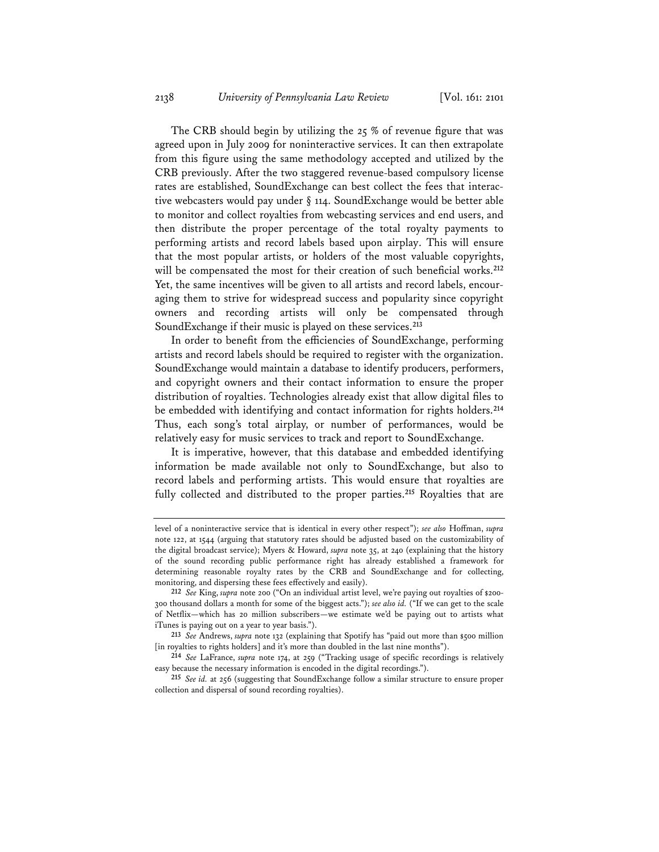The CRB should begin by utilizing the 25 % of revenue figure that was agreed upon in July 2009 for noninteractive services. It can then extrapolate from this figure using the same methodology accepted and utilized by the CRB previously. After the two staggered revenue-based compulsory license rates are established, SoundExchange can best collect the fees that interactive webcasters would pay under § 114. SoundExchange would be better able to monitor and collect royalties from webcasting services and end users, and then distribute the proper percentage of the total royalty payments to performing artists and record labels based upon airplay. This will ensure that the most popular artists, or holders of the most valuable copyrights, will be compensated the most for their creation of such beneficial works.**<sup>212</sup>** Yet, the same incentives will be given to all artists and record labels, encouraging them to strive for widespread success and popularity since copyright owners and recording artists will only be compensated through SoundExchange if their music is played on these services.**<sup>213</sup>**

In order to benefit from the efficiencies of SoundExchange, performing artists and record labels should be required to register with the organization. SoundExchange would maintain a database to identify producers, performers, and copyright owners and their contact information to ensure the proper distribution of royalties. Technologies already exist that allow digital files to be embedded with identifying and contact information for rights holders.**<sup>214</sup>** Thus, each song's total airplay, or number of performances, would be relatively easy for music services to track and report to SoundExchange.

It is imperative, however, that this database and embedded identifying information be made available not only to SoundExchange, but also to record labels and performing artists. This would ensure that royalties are fully collected and distributed to the proper parties.**<sup>215</sup>** Royalties that are

level of a noninteractive service that is identical in every other respect"); *see also* Hoffman, *supra* note 122, at 1544 (arguing that statutory rates should be adjusted based on the customizability of the digital broadcast service); Myers & Howard, *supra* note 35, at 240 (explaining that the history of the sound recording public performance right has already established a framework for determining reasonable royalty rates by the CRB and SoundExchange and for collecting, monitoring, and dispersing these fees effectively and easily).

**<sup>212</sup>** *See* King, *supra* note 200 ("On an individual artist level, we're paying out royalties of \$200- 300 thousand dollars a month for some of the biggest acts."); *see also id.* ("If we can get to the scale of Netflix—which has 20 million subscribers—we estimate we'd be paying out to artists what iTunes is paying out on a year to year basis.").

**<sup>213</sup>** *See* Andrews, *supra* note 132 (explaining that Spotify has "paid out more than \$500 million [in royalties to rights holders] and it's more than doubled in the last nine months").

**<sup>214</sup>** *See* LaFrance, *supra* note 174, at 259 ("Tracking usage of specific recordings is relatively easy because the necessary information is encoded in the digital recordings.").

**<sup>215</sup>** *See id.* at 256 (suggesting that SoundExchange follow a similar structure to ensure proper collection and dispersal of sound recording royalties).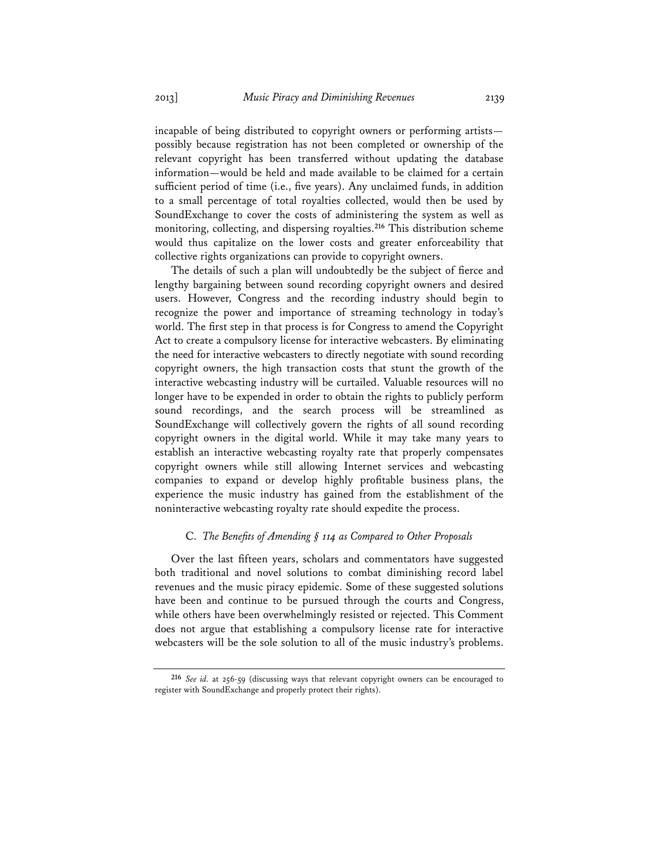incapable of being distributed to copyright owners or performing artists possibly because registration has not been completed or ownership of the relevant copyright has been transferred without updating the database information—would be held and made available to be claimed for a certain sufficient period of time (i.e., five years). Any unclaimed funds, in addition to a small percentage of total royalties collected, would then be used by SoundExchange to cover the costs of administering the system as well as monitoring, collecting, and dispersing royalties.**<sup>216</sup>** This distribution scheme would thus capitalize on the lower costs and greater enforceability that collective rights organizations can provide to copyright owners.

The details of such a plan will undoubtedly be the subject of fierce and lengthy bargaining between sound recording copyright owners and desired users. However, Congress and the recording industry should begin to recognize the power and importance of streaming technology in today's world. The first step in that process is for Congress to amend the Copyright Act to create a compulsory license for interactive webcasters. By eliminating the need for interactive webcasters to directly negotiate with sound recording copyright owners, the high transaction costs that stunt the growth of the interactive webcasting industry will be curtailed. Valuable resources will no longer have to be expended in order to obtain the rights to publicly perform sound recordings, and the search process will be streamlined as SoundExchange will collectively govern the rights of all sound recording copyright owners in the digital world. While it may take many years to establish an interactive webcasting royalty rate that properly compensates copyright owners while still allowing Internet services and webcasting companies to expand or develop highly profitable business plans, the experience the music industry has gained from the establishment of the noninteractive webcasting royalty rate should expedite the process.

#### C. *The Benefits of Amending § 114 as Compared to Other Proposals*

Over the last fifteen years, scholars and commentators have suggested both traditional and novel solutions to combat diminishing record label revenues and the music piracy epidemic. Some of these suggested solutions have been and continue to be pursued through the courts and Congress, while others have been overwhelmingly resisted or rejected. This Comment does not argue that establishing a compulsory license rate for interactive webcasters will be the sole solution to all of the music industry's problems.

**<sup>216</sup>** *See id.* at 256-59 (discussing ways that relevant copyright owners can be encouraged to register with SoundExchange and properly protect their rights).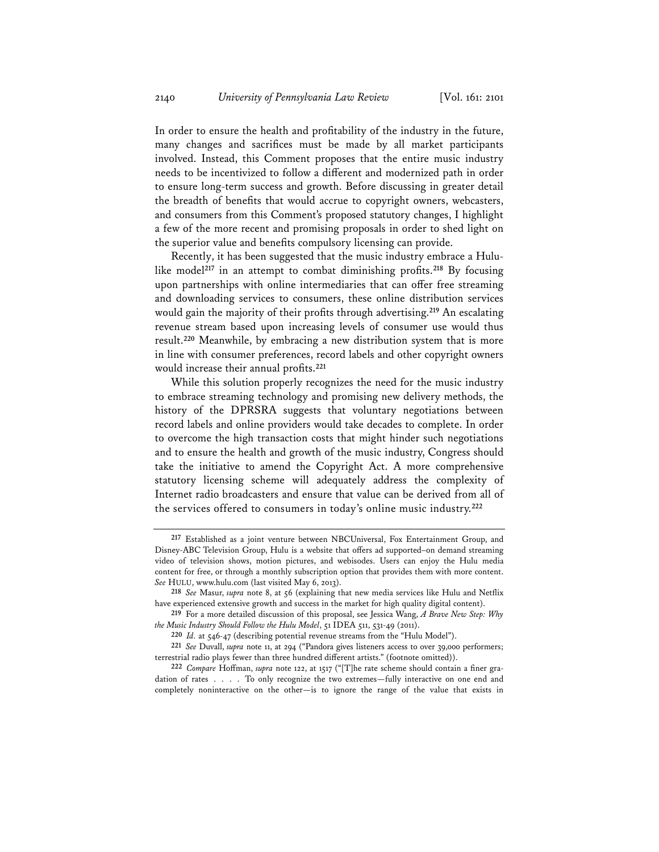In order to ensure the health and profitability of the industry in the future, many changes and sacrifices must be made by all market participants involved. Instead, this Comment proposes that the entire music industry needs to be incentivized to follow a different and modernized path in order to ensure long-term success and growth. Before discussing in greater detail the breadth of benefits that would accrue to copyright owners, webcasters, and consumers from this Comment's proposed statutory changes, I highlight a few of the more recent and promising proposals in order to shed light on the superior value and benefits compulsory licensing can provide.

Recently, it has been suggested that the music industry embrace a Hululike model**<sup>217</sup>** in an attempt to combat diminishing profits.**<sup>218</sup>** By focusing upon partnerships with online intermediaries that can offer free streaming and downloading services to consumers, these online distribution services would gain the majority of their profits through advertising.**<sup>219</sup>** An escalating revenue stream based upon increasing levels of consumer use would thus result.**<sup>220</sup>** Meanwhile, by embracing a new distribution system that is more in line with consumer preferences, record labels and other copyright owners would increase their annual profits.**<sup>221</sup>**

While this solution properly recognizes the need for the music industry to embrace streaming technology and promising new delivery methods, the history of the DPRSRA suggests that voluntary negotiations between record labels and online providers would take decades to complete. In order to overcome the high transaction costs that might hinder such negotiations and to ensure the health and growth of the music industry, Congress should take the initiative to amend the Copyright Act. A more comprehensive statutory licensing scheme will adequately address the complexity of Internet radio broadcasters and ensure that value can be derived from all of the services offered to consumers in today's online music industry.**<sup>222</sup>**

**<sup>217</sup>** Established as a joint venture between NBCUniversal, Fox Entertainment Group, and Disney-ABC Television Group, Hulu is a website that offers ad supported–on demand streaming video of television shows, motion pictures, and webisodes. Users can enjoy the Hulu media content for free, or through a monthly subscription option that provides them with more content. *See* HULU, www.hulu.com (last visited May 6, 2013).

**<sup>218</sup>** *See* Masur, *supra* note 8, at 56 (explaining that new media services like Hulu and Netflix have experienced extensive growth and success in the market for high quality digital content).

**<sup>219</sup>** For a more detailed discussion of this proposal, see Jessica Wang, *A Brave New Step: Why the Music Industry Should Follow the Hulu Model*, 51 IDEA 511, 531-49 (2011).

**<sup>220</sup>** *Id.* at 546-47 (describing potential revenue streams from the "Hulu Model").

**<sup>221</sup>** *See* Duvall, *supra* note 11, at 294 ("Pandora gives listeners access to over 39,000 performers; terrestrial radio plays fewer than three hundred different artists." (footnote omitted)).

**<sup>222</sup>** *Compare* Hoffman, *supra* note 122, at 1517 ("[T]he rate scheme should contain a finer gradation of rates . . . . To only recognize the two extremes—fully interactive on one end and completely noninteractive on the other—is to ignore the range of the value that exists in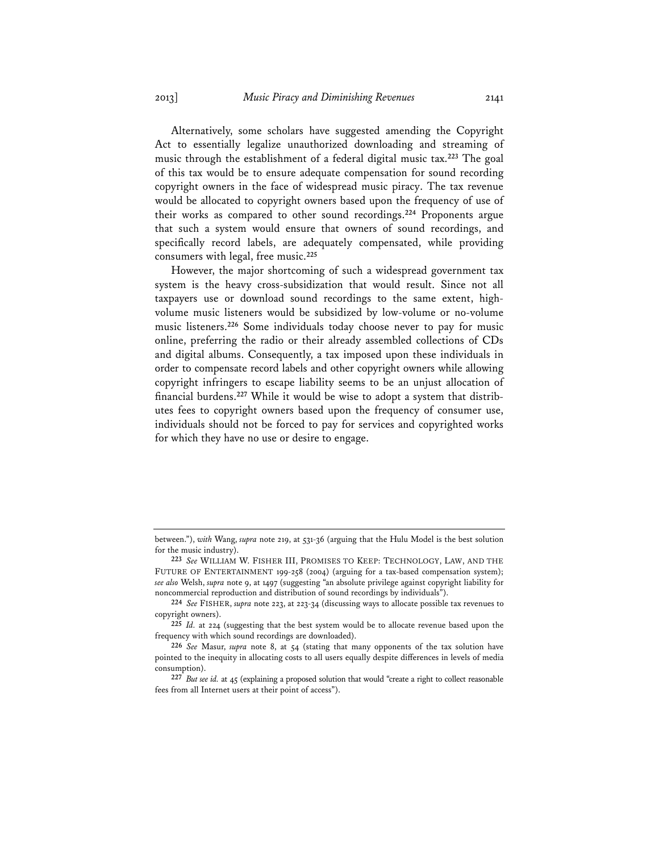Alternatively, some scholars have suggested amending the Copyright Act to essentially legalize unauthorized downloading and streaming of music through the establishment of a federal digital music tax.**<sup>223</sup>** The goal of this tax would be to ensure adequate compensation for sound recording copyright owners in the face of widespread music piracy. The tax revenue would be allocated to copyright owners based upon the frequency of use of their works as compared to other sound recordings.**<sup>224</sup>** Proponents argue that such a system would ensure that owners of sound recordings, and specifically record labels, are adequately compensated, while providing consumers with legal, free music.**<sup>225</sup>**

However, the major shortcoming of such a widespread government tax system is the heavy cross-subsidization that would result. Since not all taxpayers use or download sound recordings to the same extent, highvolume music listeners would be subsidized by low-volume or no-volume music listeners.**<sup>226</sup>** Some individuals today choose never to pay for music online, preferring the radio or their already assembled collections of CDs and digital albums. Consequently, a tax imposed upon these individuals in order to compensate record labels and other copyright owners while allowing copyright infringers to escape liability seems to be an unjust allocation of financial burdens.**227** While it would be wise to adopt a system that distributes fees to copyright owners based upon the frequency of consumer use, individuals should not be forced to pay for services and copyrighted works for which they have no use or desire to engage.

between."), *with* Wang, *supra* note 219, at 531-36 (arguing that the Hulu Model is the best solution for the music industry).

**<sup>223</sup>** *See* WILLIAM W. FISHER III, PROMISES TO KEEP: TECHNOLOGY, LAW, AND THE FUTURE OF ENTERTAINMENT 199-258 (2004) (arguing for a tax-based compensation system); *see also* Welsh, *supra* note 9, at 1497 (suggesting "an absolute privilege against copyright liability for noncommercial reproduction and distribution of sound recordings by individuals").

**<sup>224</sup>** *See* FISHER, *supra* note 223, at 223-34 (discussing ways to allocate possible tax revenues to copyright owners).

**<sup>225</sup>** *Id.* at 224 (suggesting that the best system would be to allocate revenue based upon the frequency with which sound recordings are downloaded).

**<sup>226</sup>** *See* Masur, *supra* note 8, at 54 (stating that many opponents of the tax solution have pointed to the inequity in allocating costs to all users equally despite differences in levels of media consumption).

**<sup>227</sup>** *But see id.* at 45 (explaining a proposed solution that would "create a right to collect reasonable fees from all Internet users at their point of access").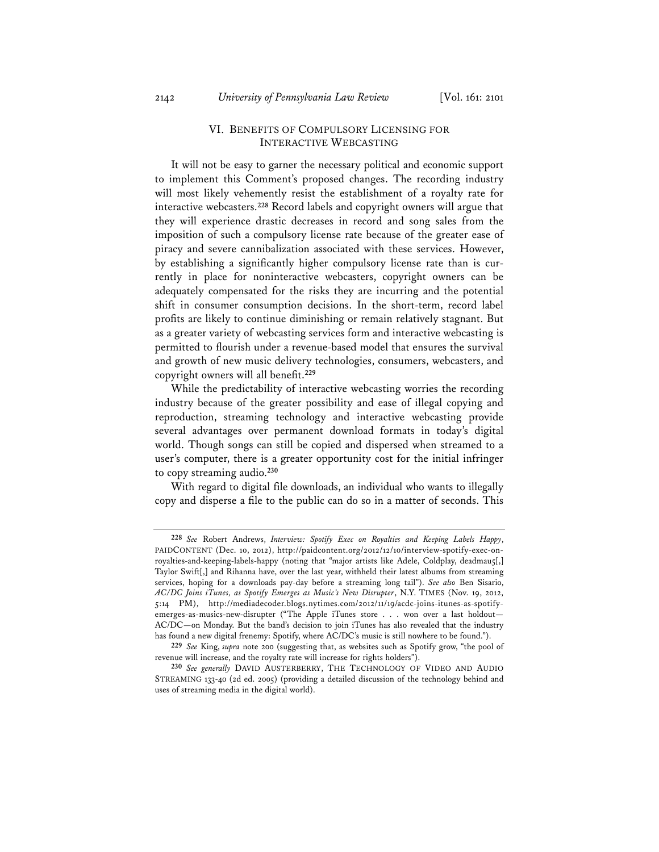### VI. BENEFITS OF COMPULSORY LICENSING FOR INTERACTIVE WEBCASTING

It will not be easy to garner the necessary political and economic support to implement this Comment's proposed changes. The recording industry will most likely vehemently resist the establishment of a royalty rate for interactive webcasters.**<sup>228</sup>** Record labels and copyright owners will argue that they will experience drastic decreases in record and song sales from the imposition of such a compulsory license rate because of the greater ease of piracy and severe cannibalization associated with these services. However, by establishing a significantly higher compulsory license rate than is currently in place for noninteractive webcasters, copyright owners can be adequately compensated for the risks they are incurring and the potential shift in consumer consumption decisions. In the short-term, record label profits are likely to continue diminishing or remain relatively stagnant. But as a greater variety of webcasting services form and interactive webcasting is permitted to flourish under a revenue-based model that ensures the survival and growth of new music delivery technologies, consumers, webcasters, and copyright owners will all benefit.**<sup>229</sup>**

While the predictability of interactive webcasting worries the recording industry because of the greater possibility and ease of illegal copying and reproduction, streaming technology and interactive webcasting provide several advantages over permanent download formats in today's digital world. Though songs can still be copied and dispersed when streamed to a user's computer, there is a greater opportunity cost for the initial infringer to copy streaming audio.**<sup>230</sup>**

With regard to digital file downloads, an individual who wants to illegally copy and disperse a file to the public can do so in a matter of seconds. This

**<sup>228</sup>** *See* Robert Andrews, *Interview: Spotify Exec on Royalties and Keeping Labels Happy*, PAIDCONTENT (Dec. 10, 2012), http://paidcontent.org/2012/12/10/interview-spotify-exec-onroyalties-and-keeping-labels-happy (noting that "major artists like Adele, Coldplay, deadmau5[,] Taylor Swift[,] and Rihanna have, over the last year, withheld their latest albums from streaming services, hoping for a downloads pay-day before a streaming long tail"). *See also* Ben Sisario, *AC/DC Joins iTunes, as Spotify Emerges as Music's New Disrupter*, N.Y. TIMES (Nov. 19, 2012, 5:14 PM), http://mediadecoder.blogs.nytimes.com/2012/11/19/acdc-joins-itunes-as-spotifyemerges-as-musics-new-disrupter ("The Apple iTunes store . . . won over a last holdout— AC/DC—on Monday. But the band's decision to join iTunes has also revealed that the industry has found a new digital frenemy: Spotify, where AC/DC's music is still nowhere to be found.").

**<sup>229</sup>** *See* King, *supra* note 200 (suggesting that, as websites such as Spotify grow, "the pool of revenue will increase, and the royalty rate will increase for rights holders").

**<sup>230</sup>** *See generally* DAVID AUSTERBERRY, THE TECHNOLOGY OF VIDEO AND AUDIO STREAMING 133-40 (2d ed. 2005) (providing a detailed discussion of the technology behind and uses of streaming media in the digital world).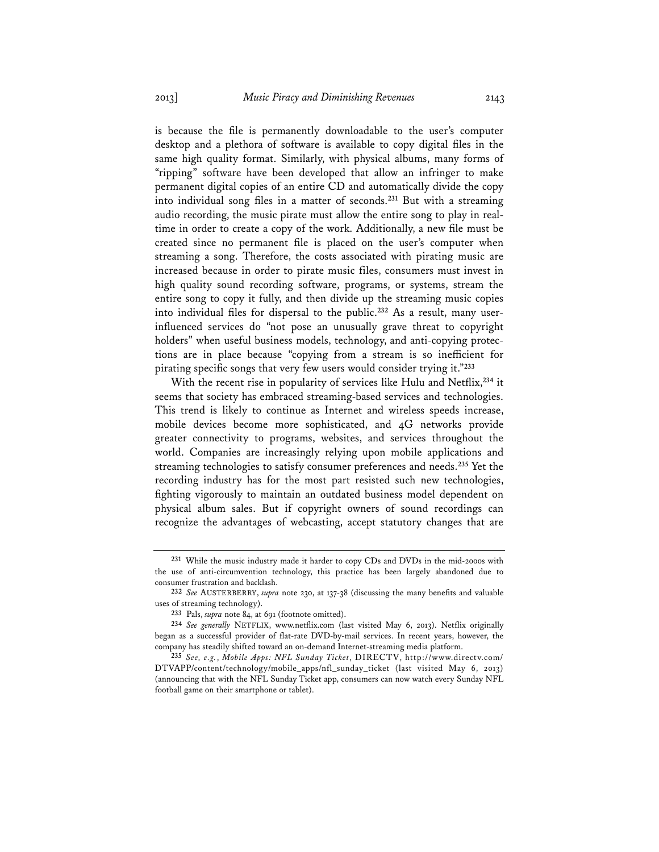is because the file is permanently downloadable to the user's computer desktop and a plethora of software is available to copy digital files in the same high quality format. Similarly, with physical albums, many forms of "ripping" software have been developed that allow an infringer to make permanent digital copies of an entire CD and automatically divide the copy into individual song files in a matter of seconds.**<sup>231</sup>** But with a streaming audio recording, the music pirate must allow the entire song to play in realtime in order to create a copy of the work. Additionally, a new file must be created since no permanent file is placed on the user's computer when streaming a song. Therefore, the costs associated with pirating music are increased because in order to pirate music files, consumers must invest in high quality sound recording software, programs, or systems, stream the entire song to copy it fully, and then divide up the streaming music copies into individual files for dispersal to the public.**232** As a result, many userinfluenced services do "not pose an unusually grave threat to copyright holders" when useful business models, technology, and anti-copying protections are in place because "copying from a stream is so inefficient for pirating specific songs that very few users would consider trying it."**<sup>233</sup>**

With the recent rise in popularity of services like Hulu and Netflix,**<sup>234</sup>** it seems that society has embraced streaming-based services and technologies. This trend is likely to continue as Internet and wireless speeds increase, mobile devices become more sophisticated, and 4G networks provide greater connectivity to programs, websites, and services throughout the world. Companies are increasingly relying upon mobile applications and streaming technologies to satisfy consumer preferences and needs.**<sup>235</sup>** Yet the recording industry has for the most part resisted such new technologies, fighting vigorously to maintain an outdated business model dependent on physical album sales. But if copyright owners of sound recordings can recognize the advantages of webcasting, accept statutory changes that are

**<sup>231</sup>** While the music industry made it harder to copy CDs and DVDs in the mid-2000s with the use of anti-circumvention technology, this practice has been largely abandoned due to consumer frustration and backlash.

**<sup>232</sup>** *See* AUSTERBERRY, *supra* note 230, at 137-38 (discussing the many benefits and valuable uses of streaming technology).

**<sup>233</sup>** Pals, *supra* note 84, at 691 (footnote omitted).

**<sup>234</sup>** *See generally* NETFLIX, www.netflix.com (last visited May 6, 2013). Netflix originally began as a successful provider of flat-rate DVD-by-mail services. In recent years, however, the company has steadily shifted toward an on-demand Internet-streaming media platform.

**<sup>235</sup>** *See, e.g.*, *Mobile Apps: NFL Sunday Ticket*, DIRECTV, http://www.directv.com/ DTVAPP/content/technology/mobile\_apps/nfl\_sunday\_ticket (last visited May 6, 2013) (announcing that with the NFL Sunday Ticket app, consumers can now watch every Sunday NFL football game on their smartphone or tablet).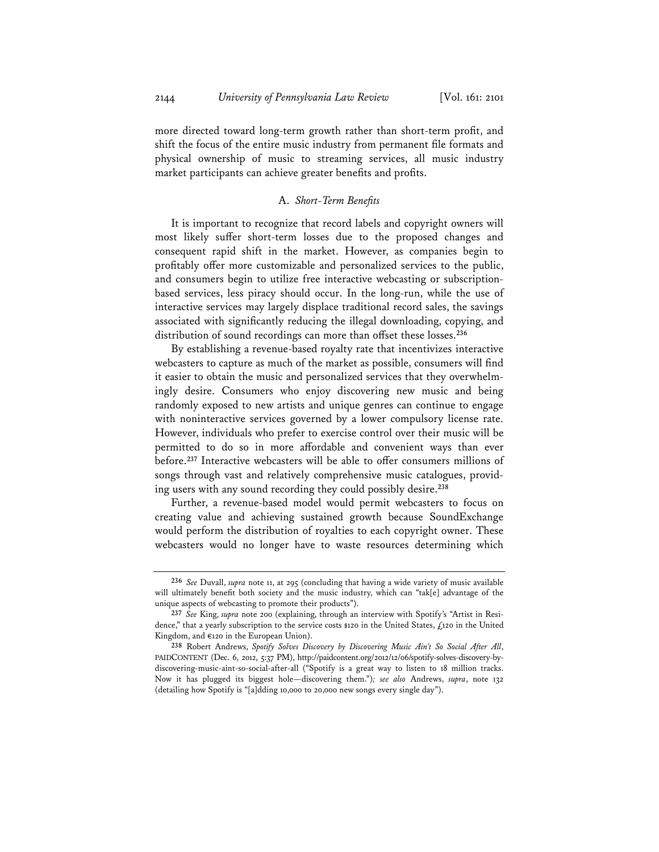more directed toward long-term growth rather than short-term profit, and shift the focus of the entire music industry from permanent file formats and physical ownership of music to streaming services, all music industry market participants can achieve greater benefits and profits.

#### A. *Short-Term Benefits*

It is important to recognize that record labels and copyright owners will most likely suffer short-term losses due to the proposed changes and consequent rapid shift in the market. However, as companies begin to profitably offer more customizable and personalized services to the public, and consumers begin to utilize free interactive webcasting or subscriptionbased services, less piracy should occur. In the long-run, while the use of interactive services may largely displace traditional record sales, the savings associated with significantly reducing the illegal downloading, copying, and distribution of sound recordings can more than offset these losses.**<sup>236</sup>**

By establishing a revenue-based royalty rate that incentivizes interactive webcasters to capture as much of the market as possible, consumers will find it easier to obtain the music and personalized services that they overwhelmingly desire. Consumers who enjoy discovering new music and being randomly exposed to new artists and unique genres can continue to engage with noninteractive services governed by a lower compulsory license rate. However, individuals who prefer to exercise control over their music will be permitted to do so in more affordable and convenient ways than ever before.**<sup>237</sup>** Interactive webcasters will be able to offer consumers millions of songs through vast and relatively comprehensive music catalogues, providing users with any sound recording they could possibly desire.**<sup>238</sup>**

Further, a revenue-based model would permit webcasters to focus on creating value and achieving sustained growth because SoundExchange would perform the distribution of royalties to each copyright owner. These webcasters would no longer have to waste resources determining which

**<sup>236</sup>** *See* Duvall, *supra* note 11, at 295 (concluding that having a wide variety of music available will ultimately benefit both society and the music industry, which can "tak[e] advantage of the unique aspects of webcasting to promote their products").

**<sup>237</sup>** *See* King, *supra* note 200 (explaining, through an interview with Spotify's "Artist in Residence," that a yearly subscription to the service costs \$120 in the United States, £120 in the United Kingdom, and €120 in the European Union).

**<sup>238</sup>** Robert Andrews, *Spotify Solves Discovery by Discovering Music Ain't So Social After All*, PAIDCONTENT (Dec. 6, 2012, 5:37 PM), http://paidcontent.org/2012/12/06/spotify-solves-discovery-bydiscovering-music-aint-so-social-after-all ("Spotify is a great way to listen to 18 million tracks. Now it has plugged its biggest hole—discovering them.")*; see also* Andrews, *supra*, note 132 (detailing how Spotify is "[a]dding 10,000 to 20,000 new songs every single day").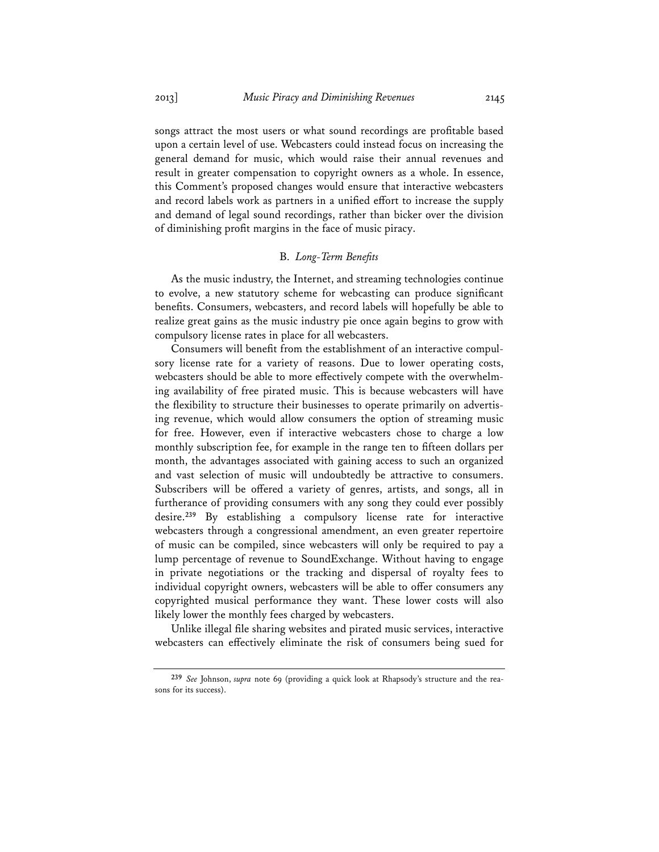songs attract the most users or what sound recordings are profitable based upon a certain level of use. Webcasters could instead focus on increasing the general demand for music, which would raise their annual revenues and result in greater compensation to copyright owners as a whole. In essence, this Comment's proposed changes would ensure that interactive webcasters and record labels work as partners in a unified effort to increase the supply and demand of legal sound recordings, rather than bicker over the division of diminishing profit margins in the face of music piracy.

# B. *Long-Term Benefits*

As the music industry, the Internet, and streaming technologies continue to evolve, a new statutory scheme for webcasting can produce significant benefits. Consumers, webcasters, and record labels will hopefully be able to realize great gains as the music industry pie once again begins to grow with compulsory license rates in place for all webcasters.

Consumers will benefit from the establishment of an interactive compulsory license rate for a variety of reasons. Due to lower operating costs, webcasters should be able to more effectively compete with the overwhelming availability of free pirated music. This is because webcasters will have the flexibility to structure their businesses to operate primarily on advertising revenue, which would allow consumers the option of streaming music for free. However, even if interactive webcasters chose to charge a low monthly subscription fee, for example in the range ten to fifteen dollars per month, the advantages associated with gaining access to such an organized and vast selection of music will undoubtedly be attractive to consumers. Subscribers will be offered a variety of genres, artists, and songs, all in furtherance of providing consumers with any song they could ever possibly desire.**<sup>239</sup>** By establishing a compulsory license rate for interactive webcasters through a congressional amendment, an even greater repertoire of music can be compiled, since webcasters will only be required to pay a lump percentage of revenue to SoundExchange. Without having to engage in private negotiations or the tracking and dispersal of royalty fees to individual copyright owners, webcasters will be able to offer consumers any copyrighted musical performance they want. These lower costs will also likely lower the monthly fees charged by webcasters.

Unlike illegal file sharing websites and pirated music services, interactive webcasters can effectively eliminate the risk of consumers being sued for

**<sup>239</sup>** *See* Johnson, *supra* note 69 (providing a quick look at Rhapsody's structure and the reasons for its success).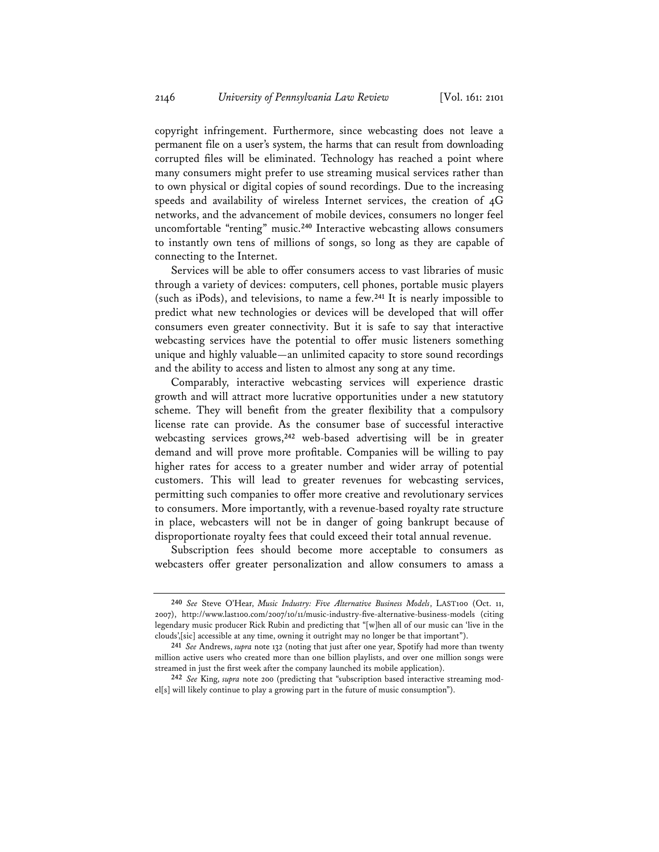copyright infringement. Furthermore, since webcasting does not leave a permanent file on a user's system, the harms that can result from downloading corrupted files will be eliminated. Technology has reached a point where many consumers might prefer to use streaming musical services rather than to own physical or digital copies of sound recordings. Due to the increasing speeds and availability of wireless Internet services, the creation of 4G networks, and the advancement of mobile devices, consumers no longer feel uncomfortable "renting" music.**<sup>240</sup>** Interactive webcasting allows consumers to instantly own tens of millions of songs, so long as they are capable of connecting to the Internet.

Services will be able to offer consumers access to vast libraries of music through a variety of devices: computers, cell phones, portable music players (such as iPods), and televisions, to name a few.**<sup>241</sup>** It is nearly impossible to predict what new technologies or devices will be developed that will offer consumers even greater connectivity. But it is safe to say that interactive webcasting services have the potential to offer music listeners something unique and highly valuable—an unlimited capacity to store sound recordings and the ability to access and listen to almost any song at any time.

Comparably, interactive webcasting services will experience drastic growth and will attract more lucrative opportunities under a new statutory scheme. They will benefit from the greater flexibility that a compulsory license rate can provide. As the consumer base of successful interactive webcasting services grows,**<sup>242</sup>** web-based advertising will be in greater demand and will prove more profitable. Companies will be willing to pay higher rates for access to a greater number and wider array of potential customers. This will lead to greater revenues for webcasting services, permitting such companies to offer more creative and revolutionary services to consumers. More importantly, with a revenue-based royalty rate structure in place, webcasters will not be in danger of going bankrupt because of disproportionate royalty fees that could exceed their total annual revenue.

Subscription fees should become more acceptable to consumers as webcasters offer greater personalization and allow consumers to amass a

**<sup>240</sup>** *See* Steve O'Hear, *Music Industry: Five Alternative Business Models*, LAST100 (Oct. 11, 2007), http://www.last100.com/2007/10/11/music-industry-five-alternative-business-models (citing legendary music producer Rick Rubin and predicting that "[w]hen all of our music can 'live in the clouds',[sic] accessible at any time, owning it outright may no longer be that important").

**<sup>241</sup>** *See* Andrews, *supra* note 132 (noting that just after one year, Spotify had more than twenty million active users who created more than one billion playlists, and over one million songs were streamed in just the first week after the company launched its mobile application).

**<sup>242</sup>** *See* King, *supra* note 200 (predicting that "subscription based interactive streaming model[s] will likely continue to play a growing part in the future of music consumption").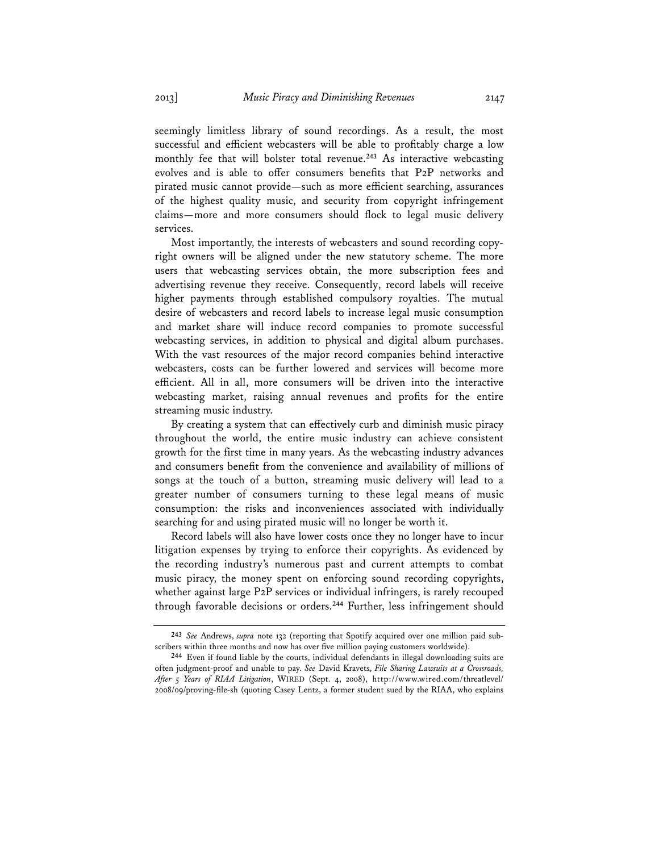seemingly limitless library of sound recordings. As a result, the most successful and efficient webcasters will be able to profitably charge a low monthly fee that will bolster total revenue.**<sup>243</sup>** As interactive webcasting evolves and is able to offer consumers benefits that P2P networks and pirated music cannot provide—such as more efficient searching, assurances of the highest quality music, and security from copyright infringement claims—more and more consumers should flock to legal music delivery services.

Most importantly, the interests of webcasters and sound recording copyright owners will be aligned under the new statutory scheme. The more users that webcasting services obtain, the more subscription fees and advertising revenue they receive. Consequently, record labels will receive higher payments through established compulsory royalties. The mutual desire of webcasters and record labels to increase legal music consumption and market share will induce record companies to promote successful webcasting services, in addition to physical and digital album purchases. With the vast resources of the major record companies behind interactive webcasters, costs can be further lowered and services will become more efficient. All in all, more consumers will be driven into the interactive webcasting market, raising annual revenues and profits for the entire streaming music industry.

By creating a system that can effectively curb and diminish music piracy throughout the world, the entire music industry can achieve consistent growth for the first time in many years. As the webcasting industry advances and consumers benefit from the convenience and availability of millions of songs at the touch of a button, streaming music delivery will lead to a greater number of consumers turning to these legal means of music consumption: the risks and inconveniences associated with individually searching for and using pirated music will no longer be worth it.

Record labels will also have lower costs once they no longer have to incur litigation expenses by trying to enforce their copyrights. As evidenced by the recording industry's numerous past and current attempts to combat music piracy, the money spent on enforcing sound recording copyrights, whether against large P2P services or individual infringers, is rarely recouped through favorable decisions or orders.**<sup>244</sup>** Further, less infringement should

**<sup>243</sup>** *See* Andrews, *supra* note 132 (reporting that Spotify acquired over one million paid subscribers within three months and now has over five million paying customers worldwide).

**<sup>244</sup>** Even if found liable by the courts, individual defendants in illegal downloading suits are often judgment-proof and unable to pay. *See* David Kravets, *File Sharing Lawsuits at a Crossroads, After 5 Years of RIAA Litigation*, WIRED (Sept. 4, 2008), http://www.wired.com/threatlevel/ 2008/09/proving-file-sh (quoting Casey Lentz, a former student sued by the RIAA, who explains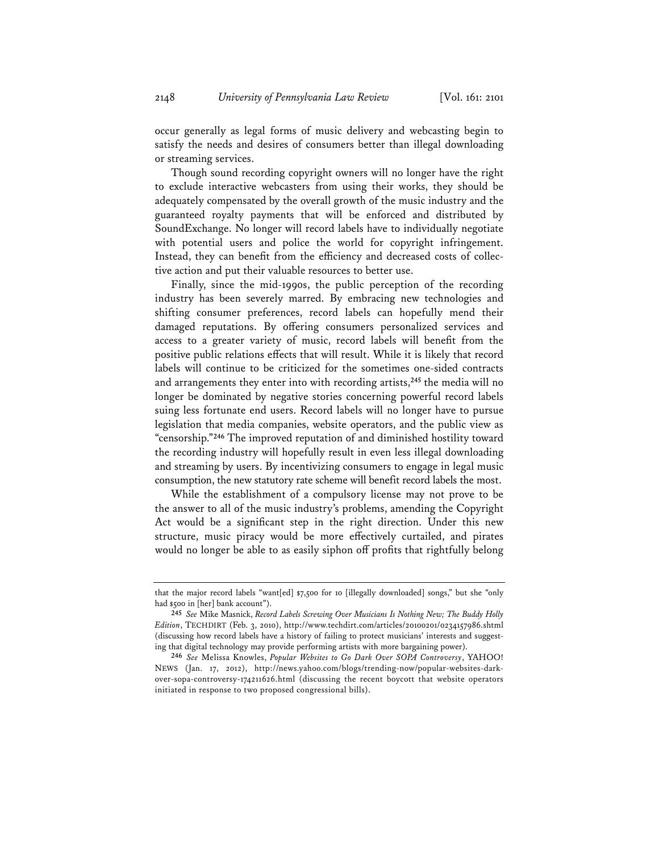occur generally as legal forms of music delivery and webcasting begin to satisfy the needs and desires of consumers better than illegal downloading or streaming services.

Though sound recording copyright owners will no longer have the right to exclude interactive webcasters from using their works, they should be adequately compensated by the overall growth of the music industry and the guaranteed royalty payments that will be enforced and distributed by SoundExchange. No longer will record labels have to individually negotiate with potential users and police the world for copyright infringement. Instead, they can benefit from the efficiency and decreased costs of collective action and put their valuable resources to better use.

Finally, since the mid-1990s, the public perception of the recording industry has been severely marred. By embracing new technologies and shifting consumer preferences, record labels can hopefully mend their damaged reputations. By offering consumers personalized services and access to a greater variety of music, record labels will benefit from the positive public relations effects that will result. While it is likely that record labels will continue to be criticized for the sometimes one-sided contracts and arrangements they enter into with recording artists,**<sup>245</sup>** the media will no longer be dominated by negative stories concerning powerful record labels suing less fortunate end users. Record labels will no longer have to pursue legislation that media companies, website operators, and the public view as "censorship."**<sup>246</sup>** The improved reputation of and diminished hostility toward the recording industry will hopefully result in even less illegal downloading and streaming by users. By incentivizing consumers to engage in legal music consumption, the new statutory rate scheme will benefit record labels the most.

While the establishment of a compulsory license may not prove to be the answer to all of the music industry's problems, amending the Copyright Act would be a significant step in the right direction. Under this new structure, music piracy would be more effectively curtailed, and pirates would no longer be able to as easily siphon off profits that rightfully belong

that the major record labels "want[ed] \$7,500 for 10 [illegally downloaded] songs," but she "only had \$500 in [her] bank account").

**<sup>245</sup>** *See* Mike Masnick, *Record Labels Screwing Over Musicians Is Nothing New; The Buddy Holly Edition*, TECHDIRT (Feb. 3, 2010), http://www.techdirt.com/articles/20100201/0234157986.shtml (discussing how record labels have a history of failing to protect musicians' interests and suggesting that digital technology may provide performing artists with more bargaining power).

**<sup>246</sup>** *See* Melissa Knowles, *Popular Websites to Go Dark Over SOPA Controversy*, YAHOO! NEWS (Jan. 17, 2012), http://news.yahoo.com/blogs/trending-now/popular-websites-darkover-sopa-controversy-174211626.html (discussing the recent boycott that website operators initiated in response to two proposed congressional bills).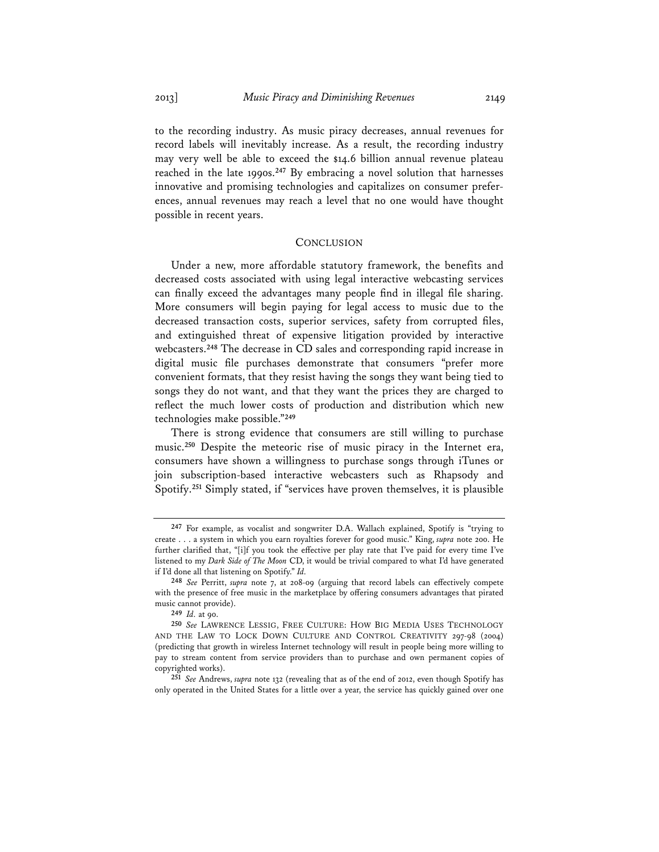to the recording industry. As music piracy decreases, annual revenues for record labels will inevitably increase. As a result, the recording industry may very well be able to exceed the \$14.6 billion annual revenue plateau reached in the late 1990s.**<sup>247</sup>** By embracing a novel solution that harnesses innovative and promising technologies and capitalizes on consumer preferences, annual revenues may reach a level that no one would have thought possible in recent years.

# **CONCLUSION**

Under a new, more affordable statutory framework, the benefits and decreased costs associated with using legal interactive webcasting services can finally exceed the advantages many people find in illegal file sharing. More consumers will begin paying for legal access to music due to the decreased transaction costs, superior services, safety from corrupted files, and extinguished threat of expensive litigation provided by interactive webcasters.**<sup>248</sup>** The decrease in CD sales and corresponding rapid increase in digital music file purchases demonstrate that consumers "prefer more convenient formats, that they resist having the songs they want being tied to songs they do not want, and that they want the prices they are charged to reflect the much lower costs of production and distribution which new technologies make possible."**<sup>249</sup>**

There is strong evidence that consumers are still willing to purchase music.**<sup>250</sup>** Despite the meteoric rise of music piracy in the Internet era, consumers have shown a willingness to purchase songs through iTunes or join subscription-based interactive webcasters such as Rhapsody and Spotify.**<sup>251</sup>** Simply stated, if "services have proven themselves, it is plausible

**<sup>247</sup>** For example, as vocalist and songwriter D.A. Wallach explained, Spotify is "trying to create . . . a system in which you earn royalties forever for good music." King, *supra* note 200. He further clarified that, "[i]f you took the effective per play rate that I've paid for every time I've listened to my *Dark Side of The Moon* CD, it would be trivial compared to what I'd have generated if I'd done all that listening on Spotify." *Id.*

**<sup>248</sup>** *See* Perritt, *supra* note 7, at 208-09 (arguing that record labels can effectively compete with the presence of free music in the marketplace by offering consumers advantages that pirated music cannot provide).

**<sup>249</sup>** *Id.* at 90.

**<sup>250</sup>** *See* LAWRENCE LESSIG, FREE CULTURE: HOW BIG MEDIA USES TECHNOLOGY AND THE LAW TO LOCK DOWN CULTURE AND CONTROL CREATIVITY 297-98 (2004) (predicting that growth in wireless Internet technology will result in people being more willing to pay to stream content from service providers than to purchase and own permanent copies of copyrighted works).

**<sup>251</sup>** *See* Andrews, *supra* note 132 (revealing that as of the end of 2012, even though Spotify has only operated in the United States for a little over a year, the service has quickly gained over one